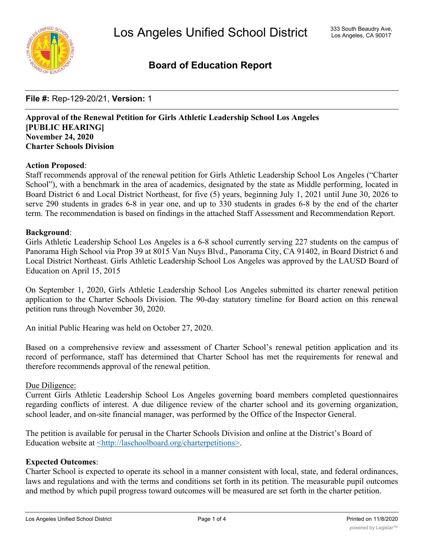

## **Board of Education Report**

**File #:** Rep-129-20/21, **Version:** 1

**Approval of the Renewal Petition for Girls Athletic Leadership School Los Angeles [PUBLIC HEARING] November 24, 2020 Charter Schools Division**

### **Action Proposed**:

Staff recommends approval of the renewal petition for Girls Athletic Leadership School Los Angeles ("Charter School"), with a benchmark in the area of academics, designated by the state as Middle performing, located in Board District 6 and Local District Northeast, for five (5) years, beginning July 1, 2021 until June 30, 2026 to serve 290 students in grades 6-8 in year one, and up to 330 students in grades 6-8 by the end of the charter term. The recommendation is based on findings in the attached Staff Assessment and Recommendation Report.

#### **Background**:

Girls Athletic Leadership School Los Angeles is a 6-8 school currently serving 227 students on the campus of Panorama High School via Prop 39 at 8015 Van Nuys Blvd., Panorama City, CA 91402, in Board District 6 and Local District Northeast. Girls Athletic Leadership School Los Angeles was approved by the LAUSD Board of Education on April 15, 2015

On September 1, 2020, Girls Athletic Leadership School Los Angeles submitted its charter renewal petition application to the Charter Schools Division. The 90-day statutory timeline for Board action on this renewal petition runs through November 30, 2020.

An initial Public Hearing was held on October 27, 2020.

Based on a comprehensive review and assessment of Charter School's renewal petition application and its record of performance, staff has determined that Charter School has met the requirements for renewal and therefore recommends approval of the renewal petition.

#### Due Diligence:

Current Girls Athletic Leadership School Los Angeles governing board members completed questionnaires regarding conflicts of interest. A due diligence review of the charter school and its governing organization, school leader, and on-site financial manager, was performed by the Office of the Inspector General.

The petition is available for perusal in the Charter Schools Division and online at the District's Board of Education website at <http://laschoolboard.org/charterpetitions>.

### **Expected Outcomes**:

Charter School is expected to operate its school in a manner consistent with local, state, and federal ordinances, laws and regulations and with the terms and conditions set forth in its petition. The measurable pupil outcomes and method by which pupil progress toward outcomes will be measured are set forth in the charter petition.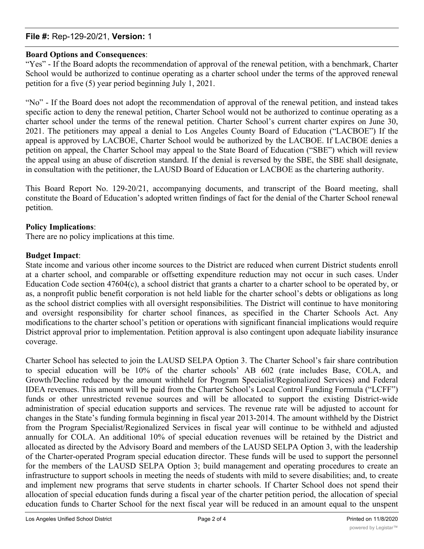### **File #:** Rep-129-20/21, **Version:** 1

### **Board Options and Consequences**:

"Yes" - If the Board adopts the recommendation of approval of the renewal petition, with a benchmark, Charter School would be authorized to continue operating as a charter school under the terms of the approved renewal petition for a five (5) year period beginning July 1, 2021.

"No" - If the Board does not adopt the recommendation of approval of the renewal petition, and instead takes specific action to deny the renewal petition, Charter School would not be authorized to continue operating as a charter school under the terms of the renewal petition. Charter School's current charter expires on June 30, 2021. The petitioners may appeal a denial to Los Angeles County Board of Education ("LACBOE") If the appeal is approved by LACBOE, Charter School would be authorized by the LACBOE. If LACBOE denies a petition on appeal, the Charter School may appeal to the State Board of Education ("SBE") which will review the appeal using an abuse of discretion standard. If the denial is reversed by the SBE, the SBE shall designate, in consultation with the petitioner, the LAUSD Board of Education or LACBOE as the chartering authority.

This Board Report No. 129-20/21, accompanying documents, and transcript of the Board meeting, shall constitute the Board of Education's adopted written findings of fact for the denial of the Charter School renewal petition.

### **Policy Implications**:

There are no policy implications at this time.

### **Budget Impact**:

State income and various other income sources to the District are reduced when current District students enroll at a charter school, and comparable or offsetting expenditure reduction may not occur in such cases. Under Education Code section 47604(c), a school district that grants a charter to a charter school to be operated by, or as, a nonprofit public benefit corporation is not held liable for the charter school's debts or obligations as long as the school district complies with all oversight responsibilities. The District will continue to have monitoring and oversight responsibility for charter school finances, as specified in the Charter Schools Act. Any modifications to the charter school's petition or operations with significant financial implications would require District approval prior to implementation. Petition approval is also contingent upon adequate liability insurance coverage.

Charter School has selected to join the LAUSD SELPA Option 3. The Charter School's fair share contribution to special education will be 10% of the charter schools' AB 602 (rate includes Base, COLA, and Growth/Decline reduced by the amount withheld for Program Specialist/Regionalized Services) and Federal IDEA revenues. This amount will be paid from the Charter School's Local Control Funding Formula ("LCFF") funds or other unrestricted revenue sources and will be allocated to support the existing District-wide administration of special education supports and services. The revenue rate will be adjusted to account for changes in the State's funding formula beginning in fiscal year 2013-2014. The amount withheld by the District from the Program Specialist/Regionalized Services in fiscal year will continue to be withheld and adjusted annually for COLA. An additional 10% of special education revenues will be retained by the District and allocated as directed by the Advisory Board and members of the LAUSD SELPA Option 3, with the leadership of the Charter-operated Program special education director. These funds will be used to support the personnel for the members of the LAUSD SELPA Option 3; build management and operating procedures to create an infrastructure to support schools in meeting the needs of students with mild to severe disabilities; and, to create and implement new programs that serve students in charter schools. If Charter School does not spend their allocation of special education funds during a fiscal year of the charter petition period, the allocation of special education funds to Charter School for the next fiscal year will be reduced in an amount equal to the unspent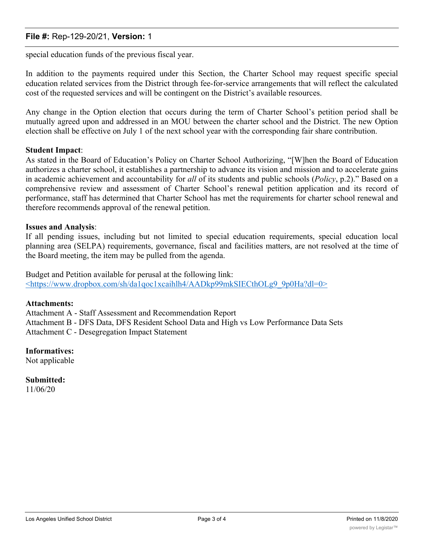### **File #:** Rep-129-20/21, **Version:** 1

special education funds of the previous fiscal year.

In addition to the payments required under this Section, the Charter School may request specific special education related services from the District through fee-for-service arrangements that will reflect the calculated cost of the requested services and will be contingent on the District's available resources.

Any change in the Option election that occurs during the term of Charter School's petition period shall be mutually agreed upon and addressed in an MOU between the charter school and the District. The new Option election shall be effective on July 1 of the next school year with the corresponding fair share contribution.

#### **Student Impact**:

As stated in the Board of Education's Policy on Charter School Authorizing, "[W]hen the Board of Education authorizes a charter school, it establishes a partnership to advance its vision and mission and to accelerate gains in academic achievement and accountability for *all* of its students and public schools (*Policy*, p.2)." Based on a comprehensive review and assessment of Charter School's renewal petition application and its record of performance, staff has determined that Charter School has met the requirements for charter school renewal and therefore recommends approval of the renewal petition.

#### **Issues and Analysis**:

If all pending issues, including but not limited to special education requirements, special education local planning area (SELPA) requirements, governance, fiscal and facilities matters, are not resolved at the time of the Board meeting, the item may be pulled from the agenda.

Budget and Petition available for perusal at the following link: <https://www.dropbox.com/sh/da1qoc1xcaihlh4/AADkp99mkSIECthOLg9\_9p0Ha?dl=0>

#### **Attachments:**

Attachment A - Staff Assessment and Recommendation Report Attachment B - DFS Data, DFS Resident School Data and High vs Low Performance Data Sets Attachment C - Desegregation Impact Statement

### **Informatives:**

Not applicable

**Submitted:** 11/06/20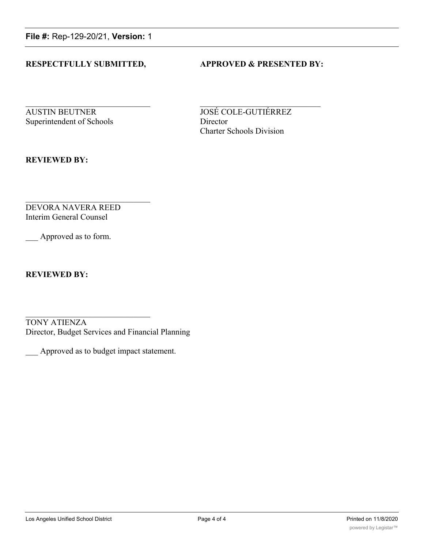**File #:** Rep-129-20/21, **Version:** 1

### **RESPECTFULLY SUBMITTED, APPROVED & PRESENTED BY:**

**AUSTIN BEUTNER JOSÉ COLE-GUTIÉRREZ** Superintendent of Schools Director

Charter Schools Division

**REVIEWED BY:**

DEVORA NAVERA REED Interim General Counsel

Approved as to form.

**REVIEWED BY:**

TONY ATIENZA Director, Budget Services and Financial Planning

\_\_\_ Approved as to budget impact statement.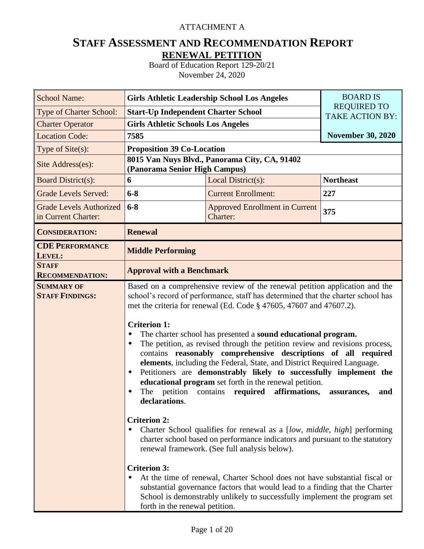### ATTACHMENT A

# **STAFF ASSESSMENT AND RECOMMENDATION REPORT RENEWAL PETITION**

Board of Education Report 129-20/21 November 24, 2020

| <b>School Name:</b>                                   | <b>Girls Athletic Leadership School Los Angeles</b>                                                                                           | <b>BOARD IS</b>                                                                                                                                                                                                                                                                                                                                                                                                                                                                                                                                                                                                                                                                                                                                                                                                                                                                                                                                                                                                                                                                                                                                                            |                          |  |  |  |  |  |
|-------------------------------------------------------|-----------------------------------------------------------------------------------------------------------------------------------------------|----------------------------------------------------------------------------------------------------------------------------------------------------------------------------------------------------------------------------------------------------------------------------------------------------------------------------------------------------------------------------------------------------------------------------------------------------------------------------------------------------------------------------------------------------------------------------------------------------------------------------------------------------------------------------------------------------------------------------------------------------------------------------------------------------------------------------------------------------------------------------------------------------------------------------------------------------------------------------------------------------------------------------------------------------------------------------------------------------------------------------------------------------------------------------|--------------------------|--|--|--|--|--|
| <b>Type of Charter School:</b>                        | <b>Start-Up Independent Charter School</b>                                                                                                    | <b>REQUIRED TO</b><br><b>TAKE ACTION BY:</b>                                                                                                                                                                                                                                                                                                                                                                                                                                                                                                                                                                                                                                                                                                                                                                                                                                                                                                                                                                                                                                                                                                                               |                          |  |  |  |  |  |
| <b>Charter Operator</b>                               | <b>Girls Athletic Schools Los Angeles</b>                                                                                                     |                                                                                                                                                                                                                                                                                                                                                                                                                                                                                                                                                                                                                                                                                                                                                                                                                                                                                                                                                                                                                                                                                                                                                                            |                          |  |  |  |  |  |
| <b>Location Code:</b>                                 | 7585                                                                                                                                          |                                                                                                                                                                                                                                                                                                                                                                                                                                                                                                                                                                                                                                                                                                                                                                                                                                                                                                                                                                                                                                                                                                                                                                            | <b>November 30, 2020</b> |  |  |  |  |  |
| Type of Site(s):                                      | <b>Proposition 39 Co-Location</b>                                                                                                             |                                                                                                                                                                                                                                                                                                                                                                                                                                                                                                                                                                                                                                                                                                                                                                                                                                                                                                                                                                                                                                                                                                                                                                            |                          |  |  |  |  |  |
| Site Address(es):                                     | (Panorama Senior High Campus)                                                                                                                 | 8015 Van Nuys Blvd., Panorama City, CA, 91402                                                                                                                                                                                                                                                                                                                                                                                                                                                                                                                                                                                                                                                                                                                                                                                                                                                                                                                                                                                                                                                                                                                              |                          |  |  |  |  |  |
| <b>Board District(s):</b>                             | 6                                                                                                                                             | Local District(s):                                                                                                                                                                                                                                                                                                                                                                                                                                                                                                                                                                                                                                                                                                                                                                                                                                                                                                                                                                                                                                                                                                                                                         | <b>Northeast</b>         |  |  |  |  |  |
| <b>Grade Levels Served:</b>                           | $6 - 8$                                                                                                                                       | <b>Current Enrollment:</b>                                                                                                                                                                                                                                                                                                                                                                                                                                                                                                                                                                                                                                                                                                                                                                                                                                                                                                                                                                                                                                                                                                                                                 | 227                      |  |  |  |  |  |
| <b>Grade Levels Authorized</b><br>in Current Charter: | $6 - 8$                                                                                                                                       | <b>Approved Enrollment in Current</b><br>Charter:                                                                                                                                                                                                                                                                                                                                                                                                                                                                                                                                                                                                                                                                                                                                                                                                                                                                                                                                                                                                                                                                                                                          | 375                      |  |  |  |  |  |
| <b>CONSIDERATION:</b>                                 | <b>Renewal</b>                                                                                                                                |                                                                                                                                                                                                                                                                                                                                                                                                                                                                                                                                                                                                                                                                                                                                                                                                                                                                                                                                                                                                                                                                                                                                                                            |                          |  |  |  |  |  |
| <b>CDE PERFORMANCE</b><br>LEVEL:                      | <b>Middle Performing</b>                                                                                                                      |                                                                                                                                                                                                                                                                                                                                                                                                                                                                                                                                                                                                                                                                                                                                                                                                                                                                                                                                                                                                                                                                                                                                                                            |                          |  |  |  |  |  |
| <b>STAFF</b><br><b>RECOMMENDATION:</b>                | <b>Approval with a Benchmark</b>                                                                                                              |                                                                                                                                                                                                                                                                                                                                                                                                                                                                                                                                                                                                                                                                                                                                                                                                                                                                                                                                                                                                                                                                                                                                                                            |                          |  |  |  |  |  |
| <b>SUMMARY OF</b><br><b>STAFF FINDINGS:</b>           | <b>Criterion 1:</b><br>٠<br>٠<br>٠<br>declarations.<br><b>Criterion 2:</b><br>٠<br><b>Criterion 3:</b><br>٠<br>forth in the renewal petition. | Based on a comprehensive review of the renewal petition application and the<br>school's record of performance, staff has determined that the charter school has<br>met the criteria for renewal (Ed. Code § 47605, 47607 and 47607.2).<br>The charter school has presented a sound educational program.<br>The petition, as revised through the petition review and revisions process,<br>contains reasonably comprehensive descriptions of all required<br>elements, including the Federal, State, and District Required Language.<br>Petitioners are demonstrably likely to successfully implement the<br>educational program set forth in the renewal petition.<br>The petition contains required affirmations,<br>Charter School qualifies for renewal as a [low, middle, high] performing<br>charter school based on performance indicators and pursuant to the statutory<br>renewal framework. (See full analysis below).<br>At the time of renewal, Charter School does not have substantial fiscal or<br>substantial governance factors that would lead to a finding that the Charter<br>School is demonstrably unlikely to successfully implement the program set | and<br>assurances,       |  |  |  |  |  |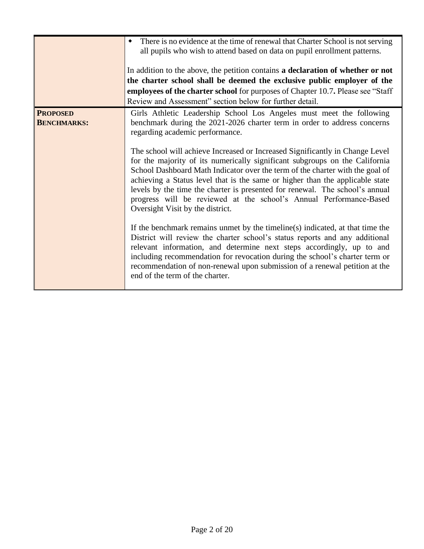|                                       | There is no evidence at the time of renewal that Charter School is not serving<br>all pupils who wish to attend based on data on pupil enrollment patterns.<br>In addition to the above, the petition contains a declaration of whether or not<br>the charter school shall be deemed the exclusive public employer of the<br>employees of the charter school for purposes of Chapter 10.7. Please see "Staff"<br>Review and Assessment" section below for further detail.                                                                                                                                                                                                                                                                                                                                                                                                                                                                                                                                                                                                                                                                               |
|---------------------------------------|---------------------------------------------------------------------------------------------------------------------------------------------------------------------------------------------------------------------------------------------------------------------------------------------------------------------------------------------------------------------------------------------------------------------------------------------------------------------------------------------------------------------------------------------------------------------------------------------------------------------------------------------------------------------------------------------------------------------------------------------------------------------------------------------------------------------------------------------------------------------------------------------------------------------------------------------------------------------------------------------------------------------------------------------------------------------------------------------------------------------------------------------------------|
| <b>PROPOSED</b><br><b>BENCHMARKS:</b> | Girls Athletic Leadership School Los Angeles must meet the following<br>benchmark during the 2021-2026 charter term in order to address concerns<br>regarding academic performance.<br>The school will achieve Increased or Increased Significantly in Change Level<br>for the majority of its numerically significant subgroups on the California<br>School Dashboard Math Indicator over the term of the charter with the goal of<br>achieving a Status level that is the same or higher than the applicable state<br>levels by the time the charter is presented for renewal. The school's annual<br>progress will be reviewed at the school's Annual Performance-Based<br>Oversight Visit by the district.<br>If the benchmark remains unmet by the timeline(s) indicated, at that time the<br>District will review the charter school's status reports and any additional<br>relevant information, and determine next steps accordingly, up to and<br>including recommendation for revocation during the school's charter term or<br>recommendation of non-renewal upon submission of a renewal petition at the<br>end of the term of the charter. |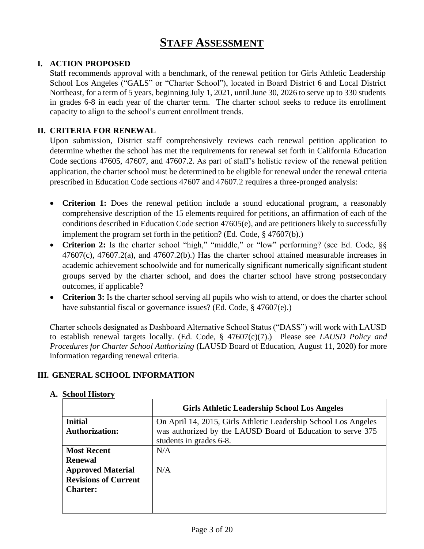# **STAFF ASSESSMENT**

### **I. ACTION PROPOSED**

Staff recommends approval with a benchmark, of the renewal petition for Girls Athletic Leadership School Los Angeles ("GALS" or "Charter School"), located in Board District 6 and Local District Northeast, for a term of 5 years, beginning July 1, 2021, until June 30, 2026 to serve up to 330 students in grades 6-8 in each year of the charter term. The charter school seeks to reduce its enrollment capacity to align to the school's current enrollment trends.

### **II. CRITERIA FOR RENEWAL**

Upon submission, District staff comprehensively reviews each renewal petition application to determine whether the school has met the requirements for renewal set forth in California Education Code sections 47605, 47607, and 47607.2. As part of staff's holistic review of the renewal petition application, the charter school must be determined to be eligible for renewal under the renewal criteria prescribed in Education Code sections 47607 and 47607.2 requires a three-pronged analysis:

- **Criterion 1:** Does the renewal petition include a sound educational program, a reasonably comprehensive description of the 15 elements required for petitions, an affirmation of each of the conditions described in Education Code section 47605(e), and are petitioners likely to successfully implement the program set forth in the petition? (Ed. Code, § 47607(b).)
- **Criterion 2:** Is the charter school "high," "middle," or "low" performing? (see Ed. Code, §§ 47607(c), 47607.2(a), and 47607.2(b).) Has the charter school attained measurable increases in academic achievement schoolwide and for numerically significant numerically significant student groups served by the charter school, and does the charter school have strong postsecondary outcomes, if applicable?
- **Criterion 3:** Is the charter school serving all pupils who wish to attend, or does the charter school have substantial fiscal or governance issues? (Ed. Code, § 47607(e).)

Charter schools designated as Dashboard Alternative School Status ("DASS") will work with LAUSD to establish renewal targets locally. (Ed. Code, § 47607(c)(7).) Please see *LAUSD Policy and Procedures for Charter School Authorizing* (LAUSD Board of Education, August 11, 2020) for more information regarding renewal criteria.

### **III. GENERAL SCHOOL INFORMATION**

|                                         | <b>Girls Athletic Leadership School Los Angeles</b>                                                                            |
|-----------------------------------------|--------------------------------------------------------------------------------------------------------------------------------|
| <b>Initial</b><br><b>Authorization:</b> | On April 14, 2015, Girls Athletic Leadership School Los Angeles<br>was authorized by the LAUSD Board of Education to serve 375 |
|                                         | students in grades 6-8.                                                                                                        |
| <b>Most Recent</b>                      | N/A                                                                                                                            |
| <b>Renewal</b>                          |                                                                                                                                |
| <b>Approved Material</b>                | N/A                                                                                                                            |
| <b>Revisions of Current</b>             |                                                                                                                                |
| <b>Charter:</b>                         |                                                                                                                                |
|                                         |                                                                                                                                |
|                                         |                                                                                                                                |

### **A. School History**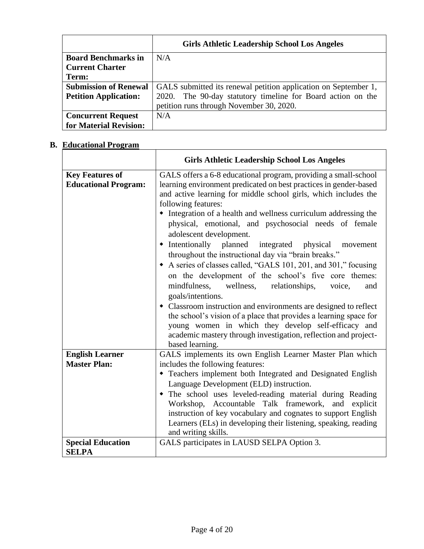|                              | <b>Girls Athletic Leadership School Los Angeles</b>             |
|------------------------------|-----------------------------------------------------------------|
| <b>Board Benchmarks in</b>   | N/A                                                             |
| <b>Current Charter</b>       |                                                                 |
| Term:                        |                                                                 |
| <b>Submission of Renewal</b> | GALS submitted its renewal petition application on September 1, |
| <b>Petition Application:</b> | 2020. The 90-day statutory timeline for Board action on the     |
|                              | petition runs through November 30, 2020.                        |
| <b>Concurrent Request</b>    | N/A                                                             |
| for Material Revision:       |                                                                 |

# **B. Educational Program**

|                                                       | <b>Girls Athletic Leadership School Los Angeles</b>                                                                                                                                                                                                                                                                                                                                                                                                                                                                                                                                                                                                                                                                                                                                                                                                                                                                                                                                                            |
|-------------------------------------------------------|----------------------------------------------------------------------------------------------------------------------------------------------------------------------------------------------------------------------------------------------------------------------------------------------------------------------------------------------------------------------------------------------------------------------------------------------------------------------------------------------------------------------------------------------------------------------------------------------------------------------------------------------------------------------------------------------------------------------------------------------------------------------------------------------------------------------------------------------------------------------------------------------------------------------------------------------------------------------------------------------------------------|
| <b>Key Features of</b><br><b>Educational Program:</b> | GALS offers a 6-8 educational program, providing a small-school<br>learning environment predicated on best practices in gender-based<br>and active learning for middle school girls, which includes the<br>following features:<br>• Integration of a health and wellness curriculum addressing the<br>physical, emotional, and psychosocial needs of female<br>adolescent development.<br>• Intentionally planned integrated physical<br>movement<br>throughout the instructional day via "brain breaks."<br>A series of classes called, "GALS 101, 201, and 301," focusing<br>on the development of the school's five core themes:<br>mindfulness,<br>wellness,<br>relationships,<br>voice,<br>and<br>goals/intentions.<br>• Classroom instruction and environments are designed to reflect<br>the school's vision of a place that provides a learning space for<br>young women in which they develop self-efficacy and<br>academic mastery through investigation, reflection and project-<br>based learning. |
| <b>English Learner</b><br><b>Master Plan:</b>         | GALS implements its own English Learner Master Plan which<br>includes the following features:<br>• Teachers implement both Integrated and Designated English<br>Language Development (ELD) instruction.<br>• The school uses leveled-reading material during Reading<br>Workshop, Accountable Talk framework, and explicit<br>instruction of key vocabulary and cognates to support English<br>Learners (ELs) in developing their listening, speaking, reading<br>and writing skills.                                                                                                                                                                                                                                                                                                                                                                                                                                                                                                                          |
| <b>Special Education</b><br><b>SELPA</b>              | GALS participates in LAUSD SELPA Option 3.                                                                                                                                                                                                                                                                                                                                                                                                                                                                                                                                                                                                                                                                                                                                                                                                                                                                                                                                                                     |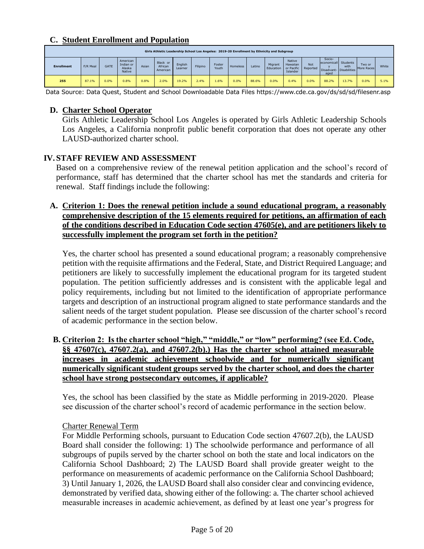### **C. Student Enrollment and Population**

|                   | Girls Athletic Leadership School Los Angeles: 2019-20 Enrollment by Ethnicity and Subgroup |             |                                           |       |                                 |                    |          |                 |          |        |                      |                                |                            |                                        |                                   |                      |       |
|-------------------|--------------------------------------------------------------------------------------------|-------------|-------------------------------------------|-------|---------------------------------|--------------------|----------|-----------------|----------|--------|----------------------|--------------------------------|----------------------------|----------------------------------------|-----------------------------------|----------------------|-------|
| <b>Enrollment</b> | F/R Meal                                                                                   | <b>GATE</b> | American<br>Indian or<br>Alaska<br>Native | Asian | Black or<br>African<br>American | English<br>Learner | Filipino | Foster<br>Youth | Homeless | Latino | Migrant<br>Education | Native<br>Hawaiian<br>Islander | Not<br>or Pacific Reported | Socio-<br>economicall Students<br>aged | with<br>Disadvant-   Disabilities | Two or<br>More Races | White |
| 255               | 87.1%                                                                                      | 0.0%        | 0.8%                                      | 0.8%  | 2.0%                            | 19.2%              | 2.4%     | 1.6%            | 0.0%     | 88.6%  | 0.0%                 | 0.4%                           | 0.0%                       | 88.2%                                  | 13.7%                             | 0.0%                 | 5.1%  |

Data Source: Data Quest, Student and School Downloadable Data Files https://www.cde.ca.gov/ds/sd/sd/filesenr.asp

### **D. Charter School Operator**

Girls Athletic Leadership School Los Angeles is operated by Girls Athletic Leadership Schools Los Angeles, a California nonprofit public benefit corporation that does not operate any other LAUSD-authorized charter school.

### **IV. STAFF REVIEW AND ASSESSMENT**

Based on a comprehensive review of the renewal petition application and the school's record of performance, staff has determined that the charter school has met the standards and criteria for renewal. Staff findings include the following:

### **A. Criterion 1: Does the renewal petition include a sound educational program, a reasonably comprehensive description of the 15 elements required for petitions, an affirmation of each of the conditions described in Education Code section 47605(e), and are petitioners likely to successfully implement the program set forth in the petition?**

Yes, the charter school has presented a sound educational program; a reasonably comprehensive petition with the requisite affirmations and the Federal, State, and District Required Language; and petitioners are likely to successfully implement the educational program for its targeted student population. The petition sufficiently addresses and is consistent with the applicable legal and policy requirements, including but not limited to the identification of appropriate performance targets and description of an instructional program aligned to state performance standards and the salient needs of the target student population. Please see discussion of the charter school's record of academic performance in the section below.

### **B. Criterion 2: Is the charter school "high," "middle," or "low" performing? (see Ed. Code, §§ 47607(c), 47607.2(a), and 47607.2(b).) Has the charter school attained measurable increases in academic achievement schoolwide and for numerically significant numerically significant student groups served by the charter school, and does the charter school have strong postsecondary outcomes, if applicable?**

Yes, the school has been classified by the state as Middle performing in 2019-2020. Please see discussion of the charter school's record of academic performance in the section below.

### Charter Renewal Term

For Middle Performing schools, pursuant to Education Code section 47607.2(b), the LAUSD Board shall consider the following: 1) The schoolwide performance and performance of all subgroups of pupils served by the charter school on both the state and local indicators on the California School Dashboard; 2) The LAUSD Board shall provide greater weight to the performance on measurements of academic performance on the California School Dashboard; 3) Until January 1, 2026, the LAUSD Board shall also consider clear and convincing evidence, demonstrated by verified data, showing either of the following: a. The charter school achieved measurable increases in academic achievement, as defined by at least one year's progress for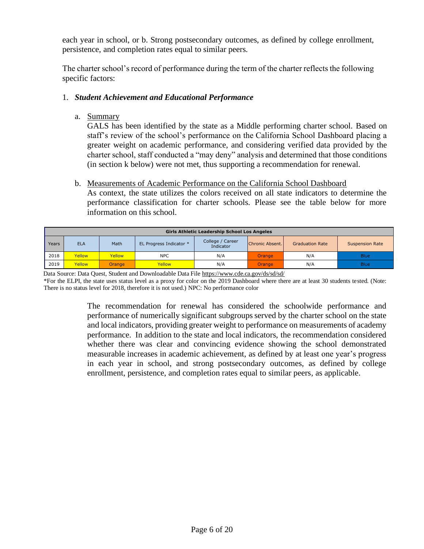each year in school, or b. Strong postsecondary outcomes, as defined by college enrollment, persistence, and completion rates equal to similar peers.

The charter school's record of performance during the term of the charter reflects the following specific factors:

### 1. *Student Achievement and Educational Performance*

a. Summary

GALS has been identified by the state as a Middle performing charter school. Based on staff's review of the school's performance on the California School Dashboard placing a greater weight on academic performance, and considering verified data provided by the charter school, staff conducted a "may deny" analysis and determined that those conditions (in section k below) were not met, thus supporting a recommendation for renewal.

### b. Measurements of Academic Performance on the California School Dashboard

As context, the state utilizes the colors received on all state indicators to determine the performance classification for charter schools. Please see the table below for more information on this school.

|       | <b>Girls Athletic Leadership School Los Angeles</b>               |        |                         |                               |                 |                        |                        |  |  |  |  |  |  |  |
|-------|-------------------------------------------------------------------|--------|-------------------------|-------------------------------|-----------------|------------------------|------------------------|--|--|--|--|--|--|--|
| Years | <b>ELA</b>                                                        | Math   | EL Progress Indicator * | College / Career<br>Indicator | Chronic Absent. | <b>Graduation Rate</b> | <b>Suspension Rate</b> |  |  |  |  |  |  |  |
| 2018  | Yellow                                                            | Yellow | <b>NPC</b>              | N/A                           | Orange          | N/A                    | <b>Blue</b>            |  |  |  |  |  |  |  |
| 2019  | Yellow<br>Yellow<br>N/A<br>N/A<br><b>Blue</b><br>Orange<br>Orange |        |                         |                               |                 |                        |                        |  |  |  |  |  |  |  |

Data Source: Data Quest, Student and Downloadable Data File<https://www.cde.ca.gov/ds/sd/sd/>

\*For the ELPI, the state uses status level as a proxy for color on the 2019 Dashboard where there are at least 30 students tested. (Note: There is no status level for 2018, therefore it is not used.) NPC: No performance color

> The recommendation for renewal has considered the schoolwide performance and performance of numerically significant subgroups served by the charter school on the state and local indicators, providing greater weight to performance on measurements of academy performance. In addition to the state and local indicators, the recommendation considered whether there was clear and convincing evidence showing the school demonstrated measurable increases in academic achievement, as defined by at least one year's progress in each year in school, and strong postsecondary outcomes, as defined by college enrollment, persistence, and completion rates equal to similar peers, as applicable.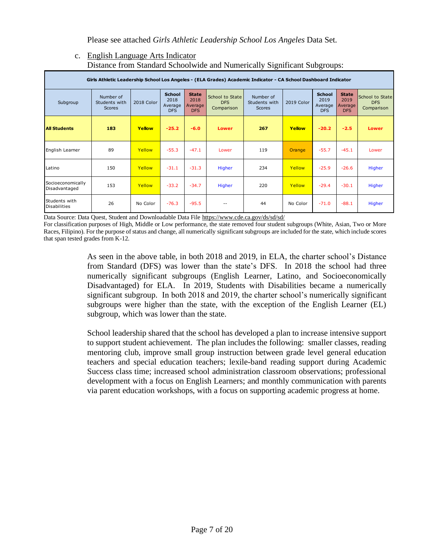Please see attached *Girls Athletic Leadership School Los Angeles* Data Set.

#### c. English Language Arts Indicator Distance from Standard Schoolwide and Numerically Significant Subgroups:

| Girls Athletic Leadership School Los Angeles - (ELA Grades) Academic Indicator - CA School Dashboard Indicator |                                             |            |                                                |                                               |                                             |                                             |            |                                                |                                        |                                             |  |  |  |
|----------------------------------------------------------------------------------------------------------------|---------------------------------------------|------------|------------------------------------------------|-----------------------------------------------|---------------------------------------------|---------------------------------------------|------------|------------------------------------------------|----------------------------------------|---------------------------------------------|--|--|--|
| Subgroup                                                                                                       | Number of<br>Students with<br><b>Scores</b> | 2018 Color | <b>School</b><br>2018<br>Average<br><b>DFS</b> | <b>State</b><br>2018<br>Average<br><b>DFS</b> | School to State<br><b>DFS</b><br>Comparison | Number of<br>Students with<br><b>Scores</b> | 2019 Color | <b>School</b><br>2019<br>Average<br><b>DFS</b> | <b>State</b><br>2019<br>Average<br>DFS | School to State<br><b>DFS</b><br>Comparison |  |  |  |
| <b>All Students</b>                                                                                            | 183                                         | Yellow     | $-25.2$                                        | $-6.0$                                        | Lower                                       | 267                                         | Yellow     | $-20.2$                                        | $-2.5$                                 | Lower                                       |  |  |  |
| English Leamer                                                                                                 | 89                                          | Yellow     | $-55.3$                                        | $-47.1$                                       | Lower                                       | 119                                         | Orange     | $-55.7$                                        | $-45.1$                                | Lower                                       |  |  |  |
| Latino                                                                                                         | 150                                         | Yellow     | $-31.1$                                        | $-31.3$                                       | Higher                                      | 234                                         | Yellow     | $-25.9$                                        | $-26.6$                                | Higher                                      |  |  |  |
| Socioeconomically<br>Disadvantaged                                                                             | 153                                         | Yellow     | $-33.2$                                        | $-34.7$                                       | Higher                                      | 220                                         | Yellow     | $-29.4$                                        | $-30.1$                                | Higher                                      |  |  |  |
| Students with<br><b>Disabilities</b>                                                                           | 26                                          | No Color   | $-76.3$                                        | $-95.5$                                       | $- -$                                       | 44                                          | No Color   | $-71.0$                                        | $-88.1$                                | Higher                                      |  |  |  |

Data Source: Data Quest, Student and Downloadable Data File<https://www.cde.ca.gov/ds/sd/sd/>

 For classification purposes of High, Middle or Low performance, the state removed four student subgroups (White, Asian, Two or More Races, Filipino). For the purpose of status and change, all numerically significant subgroups are included for the state, which include scores that span tested grades from K-12.

> As seen in the above table, in both 2018 and 2019, in ELA, the charter school's Distance from Standard (DFS) was lower than the state's DFS. In 2018 the school had three numerically significant subgroups (English Learner, Latino, and Socioeconomically Disadvantaged) for ELA. In 2019, Students with Disabilities became a numerically significant subgroup. In both 2018 and 2019, the charter school's numerically significant subgroups were higher than the state, with the exception of the English Learner (EL) subgroup, which was lower than the state.

> School leadership shared that the school has developed a plan to increase intensive support to support student achievement. The plan includes the following: smaller classes, reading mentoring club, improve small group instruction between grade level general education teachers and special education teachers; lexile-band reading support during Academic Success class time; increased school administration classroom observations; professional development with a focus on English Learners; and monthly communication with parents via parent education workshops, with a focus on supporting academic progress at home.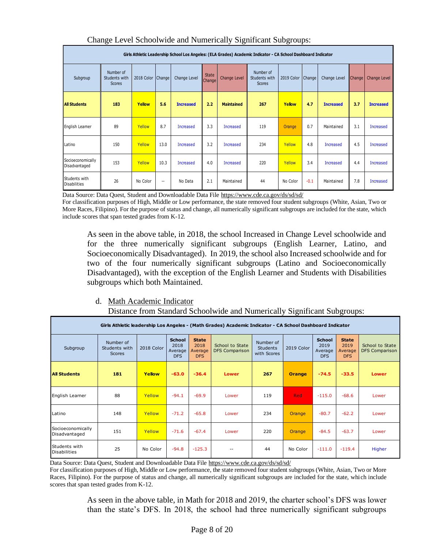|                                      | Girls Athletic Leadership School Los Angeles: (ELA Grades) Academic Indicator - CA School Dashboard Indicator |                     |      |                  |                        |                   |                                             |            |               |                  |        |                  |  |  |
|--------------------------------------|---------------------------------------------------------------------------------------------------------------|---------------------|------|------------------|------------------------|-------------------|---------------------------------------------|------------|---------------|------------------|--------|------------------|--|--|
| Subgroup                             | Number of<br>Students with<br><b>Scores</b>                                                                   | 2018 Color   Change |      | Change Level     | <b>State</b><br>Change | Change Level      | Number of<br>Students with<br><b>Scores</b> | 2019 Color | <b>Change</b> | Change Level     | Change | Change Level     |  |  |
| <b>All Students</b>                  | 183                                                                                                           | Yellow              | 5.6  | <b>Increased</b> | 2.2                    | <b>Maintained</b> | 267                                         | Yellow     | 4.7           | <b>Increased</b> | 3.7    | <b>Increased</b> |  |  |
| English Leamer                       | 89                                                                                                            | Yellow              | 8.7  | Increased        | 3.3                    | <b>Increased</b>  | 119                                         | Orange     | 0.7           | Maintained       | 3.1    | <b>Increased</b> |  |  |
| Latino                               | 150                                                                                                           | Yellow              | 13.0 | Increased        | 3.2                    | <b>Increased</b>  | 234                                         | Yellow     | 4.8           | <b>Increased</b> | 4.5    | <b>Increased</b> |  |  |
| Socioeconomically<br>Disadvantaged   | 153                                                                                                           | Yellow              | 10.3 | Increased        | 4.0                    | <b>Increased</b>  | 220                                         | Yellow     | 3.4           | <b>Increased</b> | 4.4    | <b>Increased</b> |  |  |
| Students with<br><b>Disabilities</b> | 26                                                                                                            | No Color            | --   | No Data          | 2.1                    | Maintained        | 44                                          | No Color   | $-0.1$        | Maintained       | 7.8    | <b>Increased</b> |  |  |

#### Change Level Schoolwide and Numerically Significant Subgroups:

### d. Math Academic Indicator

| Subgroup                                                                                                                                                                                                                                                                                                                                                                                                                    | Students with<br><b>Scores</b>                                                                                                                                                                                                                                                                                                              | 2018 Color   Change |                          | Change Level                                   | Change                                        | Change Level                                                                          | Students with<br><b>Scores</b>              | 2019 Color   Change |        | Change Level                                   |                                               | Change   Change Level                    |
|-----------------------------------------------------------------------------------------------------------------------------------------------------------------------------------------------------------------------------------------------------------------------------------------------------------------------------------------------------------------------------------------------------------------------------|---------------------------------------------------------------------------------------------------------------------------------------------------------------------------------------------------------------------------------------------------------------------------------------------------------------------------------------------|---------------------|--------------------------|------------------------------------------------|-----------------------------------------------|---------------------------------------------------------------------------------------|---------------------------------------------|---------------------|--------|------------------------------------------------|-----------------------------------------------|------------------------------------------|
| <b>All Students</b>                                                                                                                                                                                                                                                                                                                                                                                                         | 183                                                                                                                                                                                                                                                                                                                                         | Yellow              | 5.6                      | <b>Increased</b>                               | 2.2                                           | <b>Maintained</b>                                                                     | 267                                         | Yellow              | 4.7    | <b>Increased</b>                               | 3.7                                           | <b>Increased</b>                         |
| English Leamer                                                                                                                                                                                                                                                                                                                                                                                                              | 89                                                                                                                                                                                                                                                                                                                                          | Yellow              | 8.7                      | <b>Increased</b>                               | 3.3                                           | <b>Increased</b>                                                                      | 119                                         | Orange              | 0.7    | Maintained                                     | 3.1                                           | <b>Increased</b>                         |
| Latino                                                                                                                                                                                                                                                                                                                                                                                                                      | 150                                                                                                                                                                                                                                                                                                                                         | Yellow              | 13.0                     | <b>Increased</b>                               | 3.2                                           | <b>Increased</b>                                                                      | 234                                         | Yellow              | 4.8    | <b>Increased</b>                               | 4.5                                           | <b>Increased</b>                         |
| Socioeconomically<br>Disadvantaged                                                                                                                                                                                                                                                                                                                                                                                          | 153                                                                                                                                                                                                                                                                                                                                         | Yellow              | 10.3                     | <b>Increased</b>                               | 4.0                                           | <b>Increased</b>                                                                      | 220                                         | Yellow              | 3.4    | <b>Increased</b>                               | 4.4                                           | <b>Increased</b>                         |
| Students with<br><b>Disabilities</b>                                                                                                                                                                                                                                                                                                                                                                                        | 26                                                                                                                                                                                                                                                                                                                                          | No Color            | $\overline{\phantom{a}}$ | No Data                                        | 2.1                                           | Maintained                                                                            | 44                                          | No Color            | $-0.1$ | Maintained                                     | 7.8                                           | <b>Increased</b>                         |
|                                                                                                                                                                                                                                                                                                                                                                                                                             | Socioeconomically Disadvantaged). In 2019, the school also Increased schoolwide and for<br>two of the four numerically significant subgroups (Latino and Socioeconomically<br>Disadvantaged), with the exception of the English Learner and Students with Disabilities<br>subgroups which both Maintained.<br>Math Academic Indicator<br>d. |                     |                          |                                                |                                               |                                                                                       |                                             |                     |        |                                                |                                               |                                          |
|                                                                                                                                                                                                                                                                                                                                                                                                                             | Girls Athletic leadership Los Angeles - (Math Grades) Academic Indicator - CA School Dashboard Indicator                                                                                                                                                                                                                                    |                     |                          |                                                |                                               | Distance from Standard Schoolwide and Numerically Significant Subgroups:              |                                             |                     |        |                                                |                                               |                                          |
| Subgroup                                                                                                                                                                                                                                                                                                                                                                                                                    | Number of<br>Students with<br><b>Scores</b>                                                                                                                                                                                                                                                                                                 | 2018 Color          |                          | <b>School</b><br>2018<br>Average<br><b>DFS</b> | <b>State</b><br>2018<br>Average<br><b>DFS</b> | School to State<br><b>DFS Comparison</b>                                              | Number of<br><b>Students</b><br>with Scores | 2019 Color          |        | <b>School</b><br>2019<br>Average<br><b>DFS</b> | <b>State</b><br>2019<br>Average<br><b>DFS</b> | School to State<br><b>DFS Comparison</b> |
| <b>All Students</b>                                                                                                                                                                                                                                                                                                                                                                                                         | 181                                                                                                                                                                                                                                                                                                                                         | Yellow              |                          | $-63.0$                                        | $-36.4$                                       | <b>Lower</b>                                                                          | 267                                         | <b>Orange</b>       |        | $-74.5$                                        | $-33.5$                                       | <b>Lower</b>                             |
| English Learner                                                                                                                                                                                                                                                                                                                                                                                                             | 88                                                                                                                                                                                                                                                                                                                                          | Yellow              |                          | $-94.1$                                        | $-69.9$                                       | Lower                                                                                 | 119                                         | <b>Red</b>          |        | $-115.0$                                       | $-68.6$                                       | Lower                                    |
| Latino                                                                                                                                                                                                                                                                                                                                                                                                                      | 148                                                                                                                                                                                                                                                                                                                                         | Yellow              |                          | $-71.2$                                        | $-65.8$                                       | Lower                                                                                 | 234                                         | Orange              |        | $-80.7$                                        | $-62.2$                                       | Lower                                    |
| Socioeconomically<br>Disadvantaged                                                                                                                                                                                                                                                                                                                                                                                          | 151                                                                                                                                                                                                                                                                                                                                         | Yellow              |                          | $-71.6$                                        | $-67.4$                                       | Lower                                                                                 | 220                                         | Orange              |        | $-84.5$                                        | $-63.7$                                       | Lower                                    |
| Students with<br><b>Disabilities</b>                                                                                                                                                                                                                                                                                                                                                                                        | 25                                                                                                                                                                                                                                                                                                                                          | No Color            |                          | $-94.8$                                        | $-125.3$                                      | --                                                                                    | 44                                          | No Color            |        | $-111.0$                                       | $-119.4$                                      | Higher                                   |
| Data Source: Data Quest, Student and Downloadable Data File https://www.cde.ca.gov/ds/sd/sd/<br>For classification purposes of High, Middle or Low performance, the state removed four student subgroups (White, Asian, Two or More<br>Races, Filipino). For the purpose of status and change, all numerically significant subgroups are included for the state, which include<br>scores that span tested grades from K-12. | As seen in the above table, in Math for 2018 and 2019, the charter school's DFS was lower                                                                                                                                                                                                                                                   |                     |                          |                                                |                                               | than the state's DFS. In 2018, the school had three numerically significant subgroups |                                             |                     |        |                                                |                                               |                                          |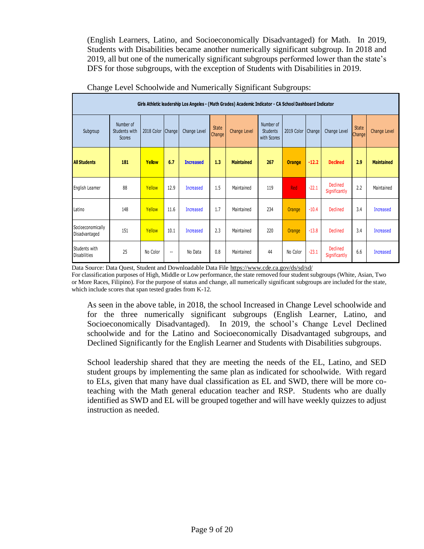(English Learners, Latino, and Socioeconomically Disadvantaged) for Math. In 2019, Students with Disabilities became another numerically significant subgroup. In 2018 and 2019, all but one of the numerically significant subgroups performed lower than the state's DFS for those subgroups, with the exception of Students with Disabilities in 2019.

|                                      |                                             |            |                          |                  |                        | Girls Athletic leadership Los Angeles - (Math Grades) Academic Indicator - CA School Dashboard Indicator |                                             |               |         |                                  |                               |                     |
|--------------------------------------|---------------------------------------------|------------|--------------------------|------------------|------------------------|----------------------------------------------------------------------------------------------------------|---------------------------------------------|---------------|---------|----------------------------------|-------------------------------|---------------------|
| Subgroup                             | Number of<br>Students with<br><b>Scores</b> | 2018 Color | Change                   | Change Level     | <b>State</b><br>Change | Change Level                                                                                             | Number of<br><b>Students</b><br>with Scores | 2019 Color    | Change  | Change Level                     | <b>State</b><br><b>Change</b> | <b>Change Level</b> |
| <b>All Students</b>                  | 181                                         | Yellow     | 6.7                      | <b>Increased</b> | 1.3                    | <b>Maintained</b>                                                                                        | 267                                         | <b>Orange</b> | $-12.2$ | <b>Declined</b>                  | 2.9                           | <b>Maintained</b>   |
| English Learner                      | 88                                          | Yellow     | 12.9                     | Increased        | 1.5                    | Maintained                                                                                               | 119                                         | <b>Red</b>    | $-22.1$ | <b>Declined</b><br>Significantly | 2.2                           | Maintained          |
| Latino                               | 148                                         | Yellow     | 11.6                     | Increased        | 1.7                    | Maintained                                                                                               | 234                                         | Orange        | $-10.4$ | <b>Declined</b>                  | 3.4                           | Increased           |
| Socioeconomically<br>Disadvantaged   | 151                                         | Yellow     | 10.1                     | Increased        | 2.3                    | Maintained                                                                                               | 220                                         | Orange        | $-13.8$ | <b>Declined</b>                  | 3.4                           | Increased           |
| Students with<br><b>Disabilities</b> | 25                                          | No Color   | $\overline{\phantom{a}}$ | No Data          | 0.8                    | Maintained                                                                                               | 44                                          | No Color      | $-23.1$ | Declined<br>Significantly        | 6.6                           | Increased           |

Change Level Schoolwide and Numerically Significant Subgroups:

Data Source: Data Quest, Student and Downloadable Data Fil[e https://www.cde.ca.gov/ds/sd/sd/](https://www.cde.ca.gov/ds/sd/sd/)

For classification purposes of High, Middle or Low performance, the state removed four student subgroups (White, Asian, Two or More Races, Filipino). For the purpose of status and change, all numerically significant subgroups are included for the state, which include scores that span tested grades from K-12.

As seen in the above table, in 2018, the school Increased in Change Level schoolwide and for the three numerically significant subgroups (English Learner, Latino, and Socioeconomically Disadvantaged). In 2019, the school's Change Level Declined schoolwide and for the Latino and Socioeconomically Disadvantaged subgroups, and Declined Significantly for the English Learner and Students with Disabilities subgroups.

School leadership shared that they are meeting the needs of the EL, Latino, and SED student groups by implementing the same plan as indicated for schoolwide. With regard to ELs, given that many have dual classification as EL and SWD, there will be more coteaching with the Math general education teacher and RSP. Students who are dually identified as SWD and EL will be grouped together and will have weekly quizzes to adjust instruction as needed.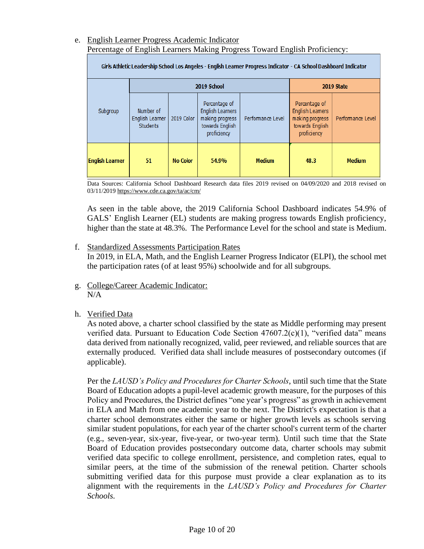### e. English Learner Progress Academic Indicator Percentage of English Learners Making Progress Toward English Proficiency:

| Girls Athletic Leadership School Los Angeles - English Learner Progress Indicator - CA School Dashboard Indicator |                                                 |                 |                                                                                               |                   |                                                                                              |                   |  |  |  |  |  |  |  |
|-------------------------------------------------------------------------------------------------------------------|-------------------------------------------------|-----------------|-----------------------------------------------------------------------------------------------|-------------------|----------------------------------------------------------------------------------------------|-------------------|--|--|--|--|--|--|--|
|                                                                                                                   |                                                 |                 | 2019 School                                                                                   |                   |                                                                                              | 2019 State        |  |  |  |  |  |  |  |
| Subgroup                                                                                                          | Number of<br>English Learner<br><b>Students</b> | 2019 Color      | Percentage of<br><b>English Learners</b><br>making progress<br>towards English<br>proficiency | Performance Level | Percentage of<br><b>English Leamers</b><br>making progress<br>towards English<br>proficiency | Performance Level |  |  |  |  |  |  |  |
| <b>English Learner</b>                                                                                            | 51                                              | <b>No Color</b> | 54.9%                                                                                         | <b>Medium</b>     | 48.3                                                                                         | <b>Medium</b>     |  |  |  |  |  |  |  |

Data Sources: California School Dashboard Research data files 2019 revised on 04/09/2020 and 2018 revised on 03/11/201[9 https://www.cde.ca.gov/ta/ac/cm/](https://www.cde.ca.gov/ta/ac/cm/)

As seen in the table above, the 2019 California School Dashboard indicates 54.9% of GALS' English Learner (EL) students are making progress towards English proficiency, higher than the state at 48.3%. The Performance Level for the school and state is Medium.

### f. Standardized Assessments Participation Rates

In 2019, in ELA, Math, and the English Learner Progress Indicator (ELPI), the school met the participation rates (of at least 95%) schoolwide and for all subgroups.

- g. College/Career Academic Indicator: N/A
- h. Verified Data

As noted above, a charter school classified by the state as Middle performing may present verified data. Pursuant to Education Code Section 47607.2(c)(1), "verified data" means data derived from nationally recognized, valid, peer reviewed, and reliable sources that are externally produced. Verified data shall include measures of postsecondary outcomes (if applicable).

Per the *LAUSD's Policy and Procedures for Charter Schools*, until such time that the State Board of Education adopts a pupil-level academic growth measure, for the purposes of this Policy and Procedures, the District defines "one year's progress" as growth in achievement in ELA and Math from one academic year to the next. The District's expectation is that a charter school demonstrates either the same or higher growth levels as schools serving similar student populations, for each year of the charter school's current term of the charter (e.g., seven-year, six-year, five-year, or two-year term). Until such time that the State Board of Education provides postsecondary outcome data, charter schools may submit verified data specific to college enrollment, persistence, and completion rates, equal to similar peers, at the time of the submission of the renewal petition. Charter schools submitting verified data for this purpose must provide a clear explanation as to its alignment with the requirements in the *LAUSD's Policy and Procedures for Charter Schools*.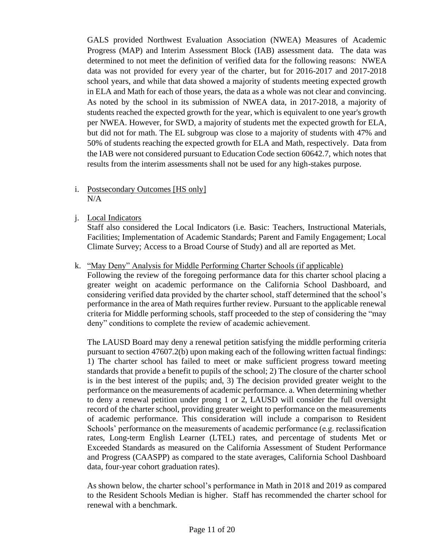GALS provided Northwest Evaluation Association (NWEA) Measures of Academic Progress (MAP) and Interim Assessment Block (IAB) assessment data. The data was determined to not meet the definition of verified data for the following reasons: NWEA data was not provided for every year of the charter, but for 2016-2017 and 2017-2018 school years, and while that data showed a majority of students meeting expected growth in ELA and Math for each of those years, the data as a whole was not clear and convincing. As noted by the school in its submission of NWEA data, in 2017-2018, a majority of students reached the expected growth for the year, which is equivalent to one year's growth per NWEA. However, for SWD, a majority of students met the expected growth for ELA, but did not for math. The EL subgroup was close to a majority of students with 47% and 50% of students reaching the expected growth for ELA and Math, respectively. Data from the IAB were not considered pursuant to Education Code section 60642.7, which notes that results from the interim assessments shall not be used for any high-stakes purpose.

### i. Postsecondary Outcomes [HS only] N/A

j. Local Indicators

Staff also considered the Local Indicators (i.e. Basic: Teachers, Instructional Materials, Facilities; Implementation of Academic Standards; Parent and Family Engagement; Local Climate Survey; Access to a Broad Course of Study) and all are reported as Met.

### k. "May Deny" Analysis for Middle Performing Charter Schools (if applicable)

Following the review of the foregoing performance data for this charter school placing a greater weight on academic performance on the California School Dashboard, and considering verified data provided by the charter school, staff determined that the school's performance in the area of Math requires further review. Pursuant to the applicable renewal criteria for Middle performing schools, staff proceeded to the step of considering the "may deny" conditions to complete the review of academic achievement.

The LAUSD Board may deny a renewal petition satisfying the middle performing criteria pursuant to section 47607.2(b) upon making each of the following written factual findings: 1) The charter school has failed to meet or make sufficient progress toward meeting standards that provide a benefit to pupils of the school; 2) The closure of the charter school is in the best interest of the pupils; and, 3) The decision provided greater weight to the performance on the measurements of academic performance. a. When determining whether to deny a renewal petition under prong 1 or 2, LAUSD will consider the full oversight record of the charter school, providing greater weight to performance on the measurements of academic performance. This consideration will include a comparison to Resident Schools' performance on the measurements of academic performance (e.g. reclassification rates, Long-term English Learner (LTEL) rates, and percentage of students Met or Exceeded Standards as measured on the California Assessment of Student Performance and Progress (CAASPP) as compared to the state averages, California School Dashboard data, four-year cohort graduation rates).

As shown below, the charter school's performance in Math in 2018 and 2019 as compared to the Resident Schools Median is higher. Staff has recommended the charter school for renewal with a benchmark.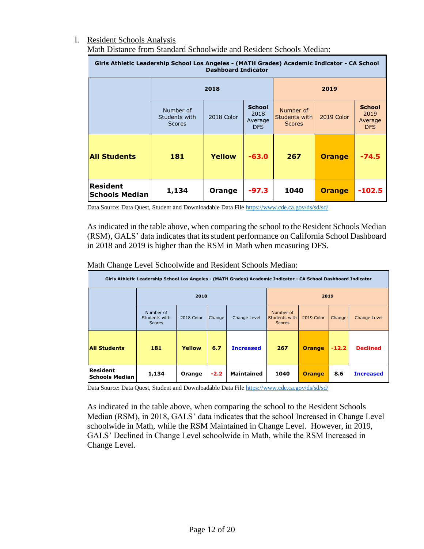# l. Resident Schools Analysis

| Girls Athletic Leadership School Los Angeles - (MATH Grades) Academic Indicator - CA School<br><b>Dashboard Indicator</b> |                                             |               |                                         |                                             |               |                                                |  |  |  |  |
|---------------------------------------------------------------------------------------------------------------------------|---------------------------------------------|---------------|-----------------------------------------|---------------------------------------------|---------------|------------------------------------------------|--|--|--|--|
|                                                                                                                           |                                             | 2019          |                                         |                                             |               |                                                |  |  |  |  |
|                                                                                                                           | Number of<br>Students with<br><b>Scores</b> | 2018 Color    | <b>School</b><br>2018<br>Average<br>DFS | Number of<br>Students with<br><b>Scores</b> | 2019 Color    | <b>School</b><br>2019<br>Average<br><b>DFS</b> |  |  |  |  |
| <b>All Students</b>                                                                                                       | 181                                         | <b>Yellow</b> | $-63.0$                                 | 267                                         | <b>Orange</b> | -74.5                                          |  |  |  |  |
| <b>Resident</b><br><b>Schools Median</b>                                                                                  | 1,134                                       | Orange        | $-97.3$                                 | 1040                                        | <b>Orange</b> | $-102.5$                                       |  |  |  |  |

Math Distance from Standard Schoolwide and Resident Schools Median:

Data Source: Data Quest, Student and Downloadable Data File<https://www.cde.ca.gov/ds/sd/sd/>

As indicated in the table above, when comparing the school to the Resident Schools Median (RSM), GALS' data indicates that its student performance on California School Dashboard in 2018 and 2019 is higher than the RSM in Math when measuring DFS.

Math Change Level Schoolwide and Resident Schools Median:

| Girls Athletic Leadership School Los Angeles - (MATH Grades) Academic Indicator - CA School Dashboard Indicator |                                             |            |        |                   |                                             |               |         |                  |  |  |  |
|-----------------------------------------------------------------------------------------------------------------|---------------------------------------------|------------|--------|-------------------|---------------------------------------------|---------------|---------|------------------|--|--|--|
|                                                                                                                 |                                             | 2018       |        |                   | 2019                                        |               |         |                  |  |  |  |
|                                                                                                                 | Number of<br>Students with<br><b>Scores</b> | 2018 Color | Change | Change Level      | Number of<br>Students with<br><b>Scores</b> | 2019 Color    | Change  | Change Level     |  |  |  |
| <b>All Students</b>                                                                                             | 181                                         | Yellow     | 6.7    | <b>Increased</b>  | 267                                         | <b>Orange</b> | $-12.2$ | <b>Declined</b>  |  |  |  |
| Resident<br><b>Schools Median</b>                                                                               | 1,134                                       | Orange     | $-2.2$ | <b>Maintained</b> | 1040                                        | <b>Orange</b> | 8.6     | <b>Increased</b> |  |  |  |

Data Source: Data Quest, Student and Downloadable Data File<https://www.cde.ca.gov/ds/sd/sd/>

As indicated in the table above, when comparing the school to the Resident Schools Median (RSM), in 2018, GALS' data indicates that the school Increased in Change Level schoolwide in Math, while the RSM Maintained in Change Level. However, in 2019, GALS' Declined in Change Level schoolwide in Math, while the RSM Increased in Change Level.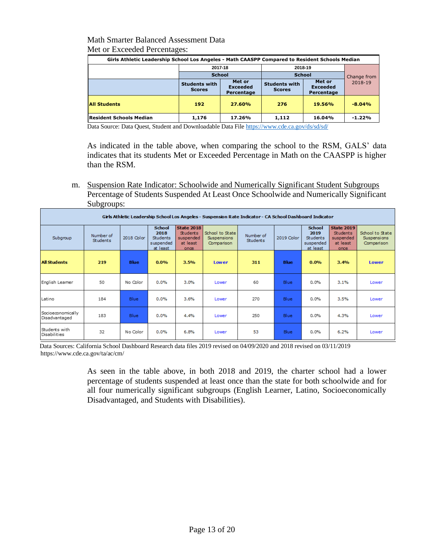### Math Smarter Balanced Assessment Data Met or Exceeded Percentages:

| Girls Athletic Leadership School Los Angeles - Math CAASPP Compared to Resident Schools Median |                                       |                                         |                                       |                        |          |  |  |  |  |  |
|------------------------------------------------------------------------------------------------|---------------------------------------|-----------------------------------------|---------------------------------------|------------------------|----------|--|--|--|--|--|
|                                                                                                | 2017-18                               |                                         | 2018-19                               |                        |          |  |  |  |  |  |
|                                                                                                | <b>School</b>                         |                                         | <b>School</b>                         | Change from<br>2018-19 |          |  |  |  |  |  |
|                                                                                                | <b>Students with</b><br><b>Scores</b> | Met or<br><b>Exceeded</b><br>Percentage | <b>Students with</b><br><b>Scores</b> |                        |          |  |  |  |  |  |
| <b>All Students</b>                                                                            | 192                                   | 27.60%                                  | 276                                   | 19.56%                 | $-8.04%$ |  |  |  |  |  |
| Resident Schools Median                                                                        | 1,176                                 | 17.26%                                  | 1,112                                 | 16.04%                 | $-1.22%$ |  |  |  |  |  |

Data Source: Data Quest, Student and Downloadable Data File<https://www.cde.ca.gov/ds/sd/sd/>

As indicated in the table above, when comparing the school to the RSM, GALS' data indicates that its students Met or Exceeded Percentage in Math on the CAASPP is higher than the RSM.

m. Suspension Rate Indicator: Schoolwide and Numerically Significant Student Subgroups Percentage of Students Suspended At Least Once Schoolwide and Numerically Significant Subgroups:

|                                      | Girls Athletic Leadership School Los Angeles - Suspension Rate Indicator - CA School Dashboard Indicator |             |                                                                   |                                                                       |                                                     |                              |             |                                                     |                                                                       |                                              |  |  |
|--------------------------------------|----------------------------------------------------------------------------------------------------------|-------------|-------------------------------------------------------------------|-----------------------------------------------------------------------|-----------------------------------------------------|------------------------------|-------------|-----------------------------------------------------|-----------------------------------------------------------------------|----------------------------------------------|--|--|
| Subgroup                             | Number of<br><b>Students</b>                                                                             | 2018 Color  | <b>School</b><br>2018<br><b>Students</b><br>suspended<br>at least | <b>State 2018</b><br><b>Students</b><br>suspended<br>at least<br>once | School to State<br><b>Suspensions</b><br>Comparison | Number of<br><b>Students</b> | 2019 Color  | School<br>2019<br>Students<br>suspended<br>at least | <b>State 2019</b><br><b>Students</b><br>suspended<br>at least<br>once | School to State<br>Suspensions<br>Comparison |  |  |
| <b>All Students</b>                  | 219                                                                                                      | <b>Blue</b> | 0.0%                                                              | 3.5%                                                                  | Lower                                               | 311                          | <b>Blue</b> | 0.0%                                                | 3.4%                                                                  | Lower                                        |  |  |
| English Leamer                       | 50                                                                                                       | No Color    | 0.0%                                                              | 3.0%                                                                  | Lower                                               | 60                           | Blue        | 0.0%                                                | 3.1%                                                                  | Lower                                        |  |  |
| Latino                               | 184                                                                                                      | <b>Blue</b> | 0.0%                                                              | 3.6%                                                                  | Lower                                               | 270                          | Blue        | 0.0%                                                | 3.5%                                                                  | Lower                                        |  |  |
| Socioeconomically<br>Disadvantaged   | 183                                                                                                      | Blue        | 0.0%                                                              | 4.4%                                                                  | Lower                                               | 250                          | Blue        | 0.0%                                                | 4.3%                                                                  | Lower                                        |  |  |
| Students with<br><b>Disabilities</b> | 32                                                                                                       | No Color    | 0.0%                                                              | 6.8%                                                                  | Lower                                               | 53                           | Blue        | 0.0%                                                | 6.2%                                                                  | Lower                                        |  |  |

 Data Sources: California School Dashboard Research data files 2019 revised on 04/09/2020 and 2018 revised on 03/11/2019 <https://www.cde.ca.gov/ta/ac/cm/>

> As seen in the table above, in both 2018 and 2019, the charter school had a lower percentage of students suspended at least once than the state for both schoolwide and for all four numerically significant subgroups (English Learner, Latino, Socioeconomically Disadvantaged, and Students with Disabilities).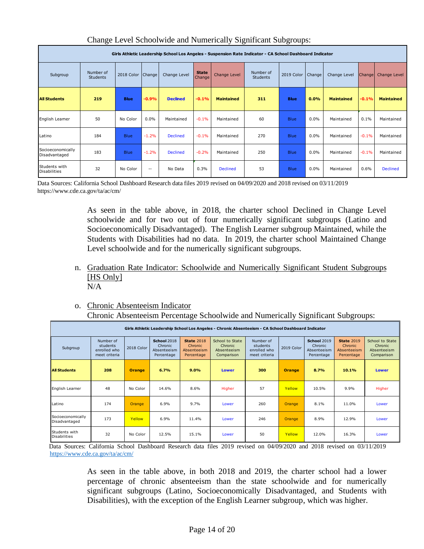|                                      | Girls Athletic Leadership School Los Angeles - Suspension Rate Indicator - CA School Dashboard Indicator |                   |                   |                 |                        |                     |                       |                     |      |                   |               |                   |
|--------------------------------------|----------------------------------------------------------------------------------------------------------|-------------------|-------------------|-----------------|------------------------|---------------------|-----------------------|---------------------|------|-------------------|---------------|-------------------|
| Subgroup                             | Number of<br><b>Students</b>                                                                             | 2018 Color Change |                   | Change Level    | <b>State</b><br>Change | <b>Change Level</b> | Number of<br>Students | 2019 Color   Change |      | Change Level      | <b>Change</b> | Change Level      |
| <b>All Students</b>                  | 219                                                                                                      | <b>Blue</b>       | $-0.9%$           | <b>Declined</b> | $-0.1%$                | <b>Maintained</b>   | 311                   | <b>Blue</b>         | 0.0% | <b>Maintained</b> | $-0.1%$       | <b>Maintained</b> |
| English Leamer                       | 50                                                                                                       | No Color          | 0.0%              | Maintained      | $-0.1%$                | Maintained          | 60                    | <b>Blue</b>         | 0.0% | Maintained        | 0.1%          | Maintained        |
| Latino                               | 184                                                                                                      | <b>Blue</b>       | $-1.2%$           | <b>Declined</b> | $-0.1%$                | Maintained          | 270                   | <b>Blue</b>         | 0.0% | Maintained        | $-0.1%$       | Maintained        |
| Socioeconomically<br>Disadvantaged   | 183                                                                                                      | <b>Blue</b>       | $-1.2%$           | <b>Declined</b> | $-0.2%$                | Maintained          | 250                   | <b>Blue</b>         | 0.0% | Maintained        | $-0.1%$       | Maintained        |
| Students with<br><b>Disabilities</b> | 32                                                                                                       | No Color          | $\qquad \qquad -$ | No Data         | 0.3%                   | <b>Declined</b>     | 53                    | <b>Blue</b>         | 0.0% | Maintained        | 0.6%          | <b>Declined</b>   |

### Change Level Schoolwide and Numerically Significant Subgroups:

Data Sources: California School Dashboard Research data files 2019 revised on 04/09/2020 and 2018 revised on 03/11/2019 <https://www.cde.ca.gov/ta/ac/cm/>

> As seen in the table above, in 2018, the charter school Declined in Change Level schoolwide and for two out of four numerically significant subgroups (Latino and Socioeconomically Disadvantaged). The English Learner subgroup Maintained, while the Students with Disabilities had no data. In 2019, the charter school Maintained Change Level schoolwide and for the numerically significant subgroups.

- n. Graduation Rate Indicator: Schoolwide and Numerically Significant Student Subgroups [HS Only] N/A
- o. Chronic Absenteeism Indicator

Chronic Absenteeism Percentage Schoolwide and Numerically Significant Subgroups:

|                                      | Girls Athletic Leadership School Los Angeles - Chronic Absenteeism - CA School Dashboard Indicator |            |                                                     |                                                           |                                                         |                                                        |               |                                                            |                                                           |                                                         |  |  |
|--------------------------------------|----------------------------------------------------------------------------------------------------|------------|-----------------------------------------------------|-----------------------------------------------------------|---------------------------------------------------------|--------------------------------------------------------|---------------|------------------------------------------------------------|-----------------------------------------------------------|---------------------------------------------------------|--|--|
| Subgroup                             | Number of<br>students<br>enrolled who<br>meet criteria                                             | 2018 Color | School 2018<br>Chronic<br>Absenteeism<br>Percentage | <b>State 2018</b><br>Chronic<br>Absenteeism<br>Percentage | School to State<br>Chronic<br>Absenteeism<br>Comparison | Number of<br>students<br>enrolled who<br>meet criteria | 2019 Color    | <b>School 2019</b><br>Chronic<br>Absenteeism<br>Percentage | <b>State 2019</b><br>Chronic<br>Absenteeism<br>Percentage | School to State<br>Chronic<br>Absenteeism<br>Comparison |  |  |
| <b>All Students</b>                  | 208                                                                                                | Orange     | 6.7%                                                | 9.0%                                                      | <b>Lower</b>                                            | 300                                                    | <b>Orange</b> | 8.7%                                                       | 10.1%                                                     | <b>Lower</b>                                            |  |  |
| English Learner                      | 48                                                                                                 | No Color   | 14.6%                                               | 8.6%                                                      | Higher                                                  | 57                                                     | Yellow        | 10.5%                                                      | 9.9%                                                      | Higher                                                  |  |  |
| Latino                               | 174                                                                                                | Orange     | 6.9%                                                | 9.7%                                                      | Lower                                                   | 260                                                    | <b>Orange</b> | 8.1%                                                       | 11.0%                                                     | Lower                                                   |  |  |
| Socioeconomically<br>Disadvantaged   | 173                                                                                                | Yellow     | 6.9%                                                | 11.4%                                                     | Lower                                                   | 246                                                    | <b>Orange</b> | 8.9%                                                       | 12.9%                                                     | Lower                                                   |  |  |
| Students with<br><b>Disabilities</b> | 32                                                                                                 | No Color   | 12.5%                                               | 15.1%                                                     | Lower                                                   | 50                                                     | Yellow        | 12.0%                                                      | 16.3%                                                     | Lower                                                   |  |  |

 Data Sources: California School Dashboard Research data files 2019 revised on 04/09/2020 and 2018 revised on 03/11/2019 <https://www.cde.ca.gov/ta/ac/cm/>

> As seen in the table above, in both 2018 and 2019, the charter school had a lower percentage of chronic absenteeism than the state schoolwide and for numerically significant subgroups (Latino, Socioeconomically Disadvantaged, and Students with Disabilities), with the exception of the English Learner subgroup, which was higher.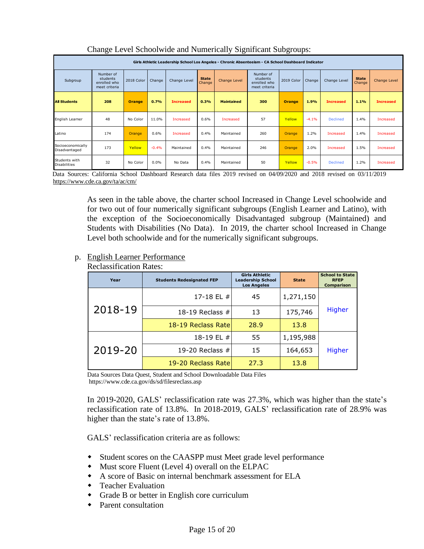|                                      | Girls Athletic Leadership School Los Angeles - Chronic Absenteeism - CA School Dashboard Indicator |               |         |                  |                        |                   |                                                        |               |         |                  |                        |                  |
|--------------------------------------|----------------------------------------------------------------------------------------------------|---------------|---------|------------------|------------------------|-------------------|--------------------------------------------------------|---------------|---------|------------------|------------------------|------------------|
| Subgroup                             | Number of<br>students<br>enrolled who<br>meet criteria                                             | 2018 Color    | Change  | Change Level     | <b>State</b><br>Change | Change Level      | Number of<br>students<br>enrolled who<br>meet criteria | 2019 Color    | Change  | Change Level     | <b>State</b><br>Change | Change Level     |
| <b>All Students</b>                  | 208                                                                                                | <b>Orange</b> | 0.7%    | <b>Increased</b> | 0.3%                   | <b>Maintained</b> | 300                                                    | <b>Orange</b> | 1.9%    | <b>Increased</b> | 1.1%                   | <b>Increased</b> |
| English Learner                      | 48                                                                                                 | No Color      | 11.0%   | Increased        | 0.6%                   | Increased         | 57                                                     | Yellow        | $-4.1%$ | <b>Declined</b>  | 1.4%                   | Increased        |
| Latino                               | 174                                                                                                | Orange        | 0.6%    | Increased        | 0.4%                   | Maintained        | 260                                                    | Orange        | 1.2%    | <b>Increased</b> | 1.4%                   | Increased        |
| Socioeconomically<br>Disadvantaged   | 173                                                                                                | Yellow        | $-0.4%$ | Maintained       | 0.4%                   | Maintained        | 246                                                    | <b>Orange</b> | 2.0%    | Increased        | 1.5%                   | Increased        |
| Students with<br><b>Disabilities</b> | 32                                                                                                 | No Color      | 0.0%    | No Data          | 0.4%                   | Maintained        | 50                                                     | Yellow        | $-0.5%$ | <b>Declined</b>  | 1.2%                   | Increased        |

### Change Level Schoolwide and Numerically Significant Subgroups:

 Data Sources: California School Dashboard Research data files 2019 revised on 04/09/2020 and 2018 revised on 03/11/2019 <https://www.cde.ca.gov/ta/ac/cm/>

> As seen in the table above, the charter school Increased in Change Level schoolwide and for two out of four numerically significant subgroups (English Learner and Latino), with the exception of the Socioeconomically Disadvantaged subgroup (Maintained) and Students with Disabilities (No Data). In 2019, the charter school Increased in Change Level both schoolwide and for the numerically significant subgroups.

### p. English Learner Performance

| Year    | <b>Students Redesignated FEP</b> | <b>Girls Athletic</b><br><b>Leadership School</b><br><b>Los Angeles</b> | <b>State</b> | <b>School to State</b><br><b>RFEP</b><br><b>Comparison</b> |  |
|---------|----------------------------------|-------------------------------------------------------------------------|--------------|------------------------------------------------------------|--|
| 2018-19 | 17-18 EL #                       | 45                                                                      | 1,271,150    |                                                            |  |
|         | 18-19 Reclass #                  | 13                                                                      | 175,746      | <b>Higher</b>                                              |  |
|         | 18-19 Reclass Rate               | 28.9                                                                    | 13.8         |                                                            |  |
|         | 18-19 EL #                       | 55                                                                      | 1,195,988    |                                                            |  |
| 2019-20 | 19-20 Reclass $#$                | 15                                                                      | 164,653      | Higher                                                     |  |
|         | 19-20 Reclass Rate               | 27.3                                                                    | 13.8         |                                                            |  |

Reclassification Rates:

Data Sources Data Quest, Student and School Downloadable Data Files https://www.cde.ca.gov/ds/sd/filesreclass.asp

In 2019-2020, GALS' reclassification rate was 27.3%, which was higher than the state's reclassification rate of 13.8%. In 2018-2019, GALS' reclassification rate of 28.9% was higher than the state's rate of 13.8%.

GALS' reclassification criteria are as follows:

- Student scores on the CAASPP must Meet grade level performance
- Must score Fluent (Level 4) overall on the ELPAC
- A score of Basic on internal benchmark assessment for ELA
- Teacher Evaluation
- Grade B or better in English core curriculum
- Parent consultation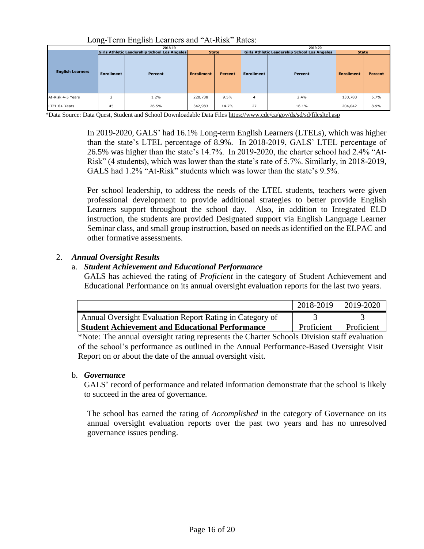|                         |                   | 2018-19                                      |                   |                | 2019-20           |                                              |                   |                |  |  |
|-------------------------|-------------------|----------------------------------------------|-------------------|----------------|-------------------|----------------------------------------------|-------------------|----------------|--|--|
|                         |                   | Girls Athletic Leadership School Los Angeles | <b>State</b>      |                |                   | Girls Athletic Leadership School Los Angeles | <b>State</b>      |                |  |  |
| <b>English Learners</b> | <b>Enrollment</b> | Percent                                      | <b>Enrollment</b> | <b>Percent</b> | <b>Enrollment</b> | Percent                                      | <b>Enrollment</b> | <b>Percent</b> |  |  |
| At-Risk 4-5 Years       |                   | 1.2%                                         | 220,738           | 9.5%           | 4                 | 2.4%                                         | 130,783           | 5.7%           |  |  |
| LTEL 6+ Years           | 45                | 26.5%                                        | 342,983           | 14.7%          | 27                | 16.1%                                        | 204,042           | 8.9%           |  |  |

Long-Term English Learners and "At-Risk" Rates:

\*Data Source: Data Quest, Student and School Downloadable Data Files<https://www.cde/ca/gov/ds/sd/sd/filesltel.asp>

In 2019-2020, GALS' had 16.1% Long-term English Learners (LTELs), which was higher than the state's LTEL percentage of 8.9%. In 2018-2019, GALS' LTEL percentage of 26.5% was higher than the state's 14.7%. In 2019-2020, the charter school had 2.4% "At-Risk" (4 students), which was lower than the state's rate of 5.7%. Similarly, in 2018-2019, GALS had 1.2% "At-Risk" students which was lower than the state's 9.5%.

Per school leadership, to address the needs of the LTEL students, teachers were given professional development to provide additional strategies to better provide English Learners support throughout the school day. Also, in addition to Integrated ELD instruction, the students are provided Designated support via English Language Learner Seminar class, and small group instruction, based on needs as identified on the ELPAC and other formative assessments.

### 2. *Annual Oversight Results*

### a. *Student Achievement and Educational Performance*

GALS has achieved the rating of *Proficient* in the category of Student Achievement and Educational Performance on its annual oversight evaluation reports for the last two years.

|                                                          | 2018-2019  | 2019-2020  |
|----------------------------------------------------------|------------|------------|
| Annual Oversight Evaluation Report Rating in Category of |            |            |
| <b>Student Achievement and Educational Performance</b>   | Proficient | Proficient |

\*Note: The annual oversight rating represents the Charter Schools Division staff evaluation of the school's performance as outlined in the Annual Performance-Based Oversight Visit Report on or about the date of the annual oversight visit.

### b. *Governance*

GALS' record of performance and related information demonstrate that the school is likely to succeed in the area of governance.

The school has earned the rating of *Accomplished* in the category of Governance on its annual oversight evaluation reports over the past two years and has no unresolved governance issues pending.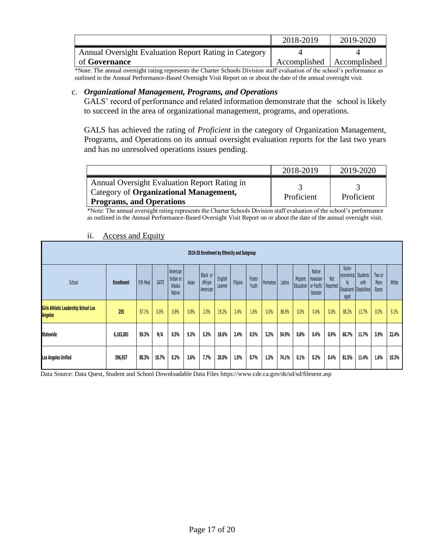|                                                       | 2018-2019                   | 2019-2020 |
|-------------------------------------------------------|-----------------------------|-----------|
| Annual Oversight Evaluation Report Rating in Category |                             |           |
| of <b>Governance</b>                                  | Accomplished   Accomplished |           |

\*Note: The annual oversight rating represents the Charter Schools Division staff evaluation of the school's performance as outlined in the Annual Performance-Based Oversight Visit Report on or about the date of the annual oversight visit.

#### c. *Organizational Management, Programs, and Operations*

GALS' record of performance and related information demonstrate that the school is likely to succeed in the area of organizational management, programs, and operations.

GALS has achieved the rating of *Proficient* in the category of Organization Management, Programs, and Operations on its annual oversight evaluation reports for the last two years and has no unresolved operations issues pending.

|                                                                                                                           | 2018-2019  | 2019-2020  |
|---------------------------------------------------------------------------------------------------------------------------|------------|------------|
| Annual Oversight Evaluation Report Rating in<br>Category of Organizational Management,<br><b>Programs, and Operations</b> | Proficient | Proficient |

\*Note: The annual oversight rating represents the Charter Schools Division staff evaluation of the school's performance as outlined in the Annual Performance-Based Oversight Visit Report on or about the date of the annual oversight visit.

| 2019-20 Enrollment by Ethnicity and Subgroup                  |                   |          |       |                                                  |       |                                 |                    |          |                 |                 |        |                                              |                                       |      |                                              |                                            |                         |       |
|---------------------------------------------------------------|-------------------|----------|-------|--------------------------------------------------|-------|---------------------------------|--------------------|----------|-----------------|-----------------|--------|----------------------------------------------|---------------------------------------|------|----------------------------------------------|--------------------------------------------|-------------------------|-------|
| School                                                        | <b>Enrollment</b> | F/R Meal | GATE  | American<br>Indian or<br>Alaska<br><b>Native</b> | Asian | Black or<br>African<br>American | English<br>Learner | Filipino | Foster<br>Youth | <b>Homeless</b> | Latino | Migrant<br>Education   or Pacific   Reported | <b>Native</b><br>Hawaiian<br>Islander | Not  | Socio-<br>economical<br>$\mathbb{I}$<br>aged | Students<br>with<br>Disadvant-Disabilities | Two or<br>More<br>Races | White |
| <b>Girls Athletic Leadership School Los</b><br><b>Angeles</b> | 255               | 87.1%    | 0.0%  | 0.8%                                             | 0.8%  | 2.0%                            | 19.2%              | 2.4%     | 1.6%            | 0.0%            | 88.6%  | 0.0%                                         | 0.4%                                  | 0.0% | 88.2%                                        | 13.7%                                      | 0.0%                    | 5.1%  |
| <b>Statewide</b>                                              | 6,163,001         | 59.3%    | N/A   | 0.5%                                             | 9.3%  | 5.3%                            | 18.6%              | 2.4%     | 0.5%            | 3.2%            | 54.9%  | 0.8%                                         | 0.4%                                  | 0.9% | 60.7%                                        | 11.7%                                      | 3.9%                    | 22.4% |
| <b>Los Angeles Unified</b>                                    | 596,937           | 80.3%    | 10.7% | 0.2%                                             | 3.6%  | 7.7%                            | 20.0%              | 1.9%     | 0.7%            | 1.3%            | 74.1%  | 0.1%                                         | 0.2%                                  | 0.4% | 81.5%                                        | 11.4%                                      | 1.6%                    | 10.3% |

### ii. Access and Equity

Data Source: Data Quest, Student and School Downloadable Data Files https://www.cde.ca.gov/ds/sd/sd/filesenr.asp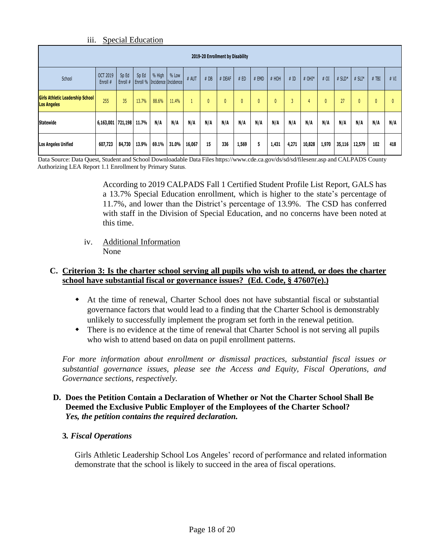### iii. Special Education

|                                                                                                                                                                                                                                |                   |        |       |       |       |        |     | 2019-20 Enrollment by Disability |              |              |              |               |        |              |        |        |     |     |
|--------------------------------------------------------------------------------------------------------------------------------------------------------------------------------------------------------------------------------|-------------------|--------|-------|-------|-------|--------|-----|----------------------------------|--------------|--------------|--------------|---------------|--------|--------------|--------|--------|-----|-----|
| Sp Ed<br>% High<br>% Low<br>OCT 2019<br>Sp Ed<br>School<br># AUT<br># HOH<br>#DB<br># DEAF<br># ED<br>#ID<br>$#$ OHI*<br># OI<br>$#$ SLD*<br># EMD<br># $SLI^*$<br>Enroll #<br><b>Enroll % Incidence Incidence</b><br>Enroll # |                   |        |       |       |       |        |     |                                  |              |              | $#$ TBI      | # VI          |        |              |        |        |     |     |
| <b>Girls Athletic Leadership School</b><br><b>Los Angeles</b>                                                                                                                                                                  | 255               | 35     | 13.7% | 88.6% | 11.4% |        |     | 0                                | $\mathbf{0}$ | $\mathbf{0}$ | $\mathbf{0}$ | $\mathcal{D}$ | 4      | $\mathbf{0}$ | 27     | U      | 0   | 0   |
| <b>Statewide</b>                                                                                                                                                                                                               | 6,163,001 721,198 |        | 11.7% | N/A   | N/A   | N/A    | N/A | N/A                              | N/A          | N/A          | N/A          | N/A           | N/A    | N/A          | N/A    | N/A    | N/A | N/A |
| <b>Los Angeles Unified</b>                                                                                                                                                                                                     | 607,723           | 84,730 | 13.9% | 69.1% | 31.0% | 16,067 | 15  | 336                              | 1,569        | 5            | 1,431        | 4,271         | 10,828 | 1,970        | 35,116 | 12,579 | 102 | 418 |

Data Source: Data Quest, Student and School Downloadable Data Files https://www.cde.ca.gov/ds/sd/sd/filesenr.asp and CALPADS County Authorizing LEA Report 1.1 Enrollment by Primary Status.

> According to 2019 CALPADS Fall 1 Certified Student Profile List Report, GALS has a 13.7% Special Education enrollment, which is higher to the state's percentage of 11.7%, and lower than the District's percentage of 13.9%. The CSD has conferred with staff in the Division of Special Education, and no concerns have been noted at this time.

iv. Additional Information None

### **C. Criterion 3: Is the charter school serving all pupils who wish to attend, or does the charter school have substantial fiscal or governance issues? (Ed. Code, § 47607(e).)**

- At the time of renewal, Charter School does not have substantial fiscal or substantial governance factors that would lead to a finding that the Charter School is demonstrably unlikely to successfully implement the program set forth in the renewal petition.
- There is no evidence at the time of renewal that Charter School is not serving all pupils who wish to attend based on data on pupil enrollment patterns.

*For more information about enrollment or dismissal practices, substantial fiscal issues or substantial governance issues, please see the Access and Equity, Fiscal Operations, and Governance sections, respectively.* 

### **D. Does the Petition Contain a Declaration of Whether or Not the Charter School Shall Be Deemed the Exclusive Public Employer of the Employees of the Charter School?** *Yes, the petition contains the required declaration.*

### **3***. Fiscal Operations*

Girls Athletic Leadership School Los Angeles' record of performance and related information demonstrate that the school is likely to succeed in the area of fiscal operations.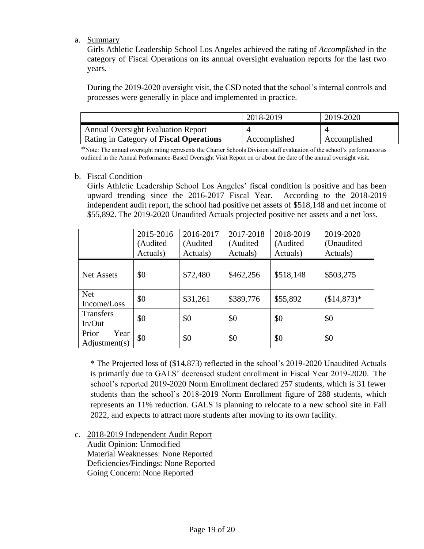### a. Summary

Girls Athletic Leadership School Los Angeles achieved the rating of *Accomplished* in the category of Fiscal Operations on its annual oversight evaluation reports for the last two years.

During the 2019-2020 oversight visit, the CSD noted that the school's internal controls and processes were generally in place and implemented in practice.

|                                           | 2018-2019    | 2019-2020    |
|-------------------------------------------|--------------|--------------|
| <b>Annual Oversight Evaluation Report</b> |              |              |
| Rating in Category of Fiscal Operations   | Accomplished | Accomplished |

\*Note: The annual oversight rating represents the Charter Schools Division staff evaluation of the school's performance as outlined in the Annual Performance-Based Oversight Visit Report on or about the date of the annual oversight visit.

### b. Fiscal Condition

Girls Athletic Leadership School Los Angeles' fiscal condition is positive and has been upward trending since the 2016-2017 Fiscal Year. According to the 2018-2019 independent audit report, the school had positive net assets of \$518,148 and net income of \$55,892. The 2019-2020 Unaudited Actuals projected positive net assets and a net loss.

|                                | 2015-2016<br>(Audited<br>Actuals) | 2016-2017<br>(Audited<br>Actuals) | 2017-2018<br>(Audited<br>Actuals) | 2018-2019<br>(Audited<br>Actuals) | 2019-2020<br>(Unaudited)<br>Actuals) |
|--------------------------------|-----------------------------------|-----------------------------------|-----------------------------------|-----------------------------------|--------------------------------------|
| <b>Net Assets</b>              | \$0                               | \$72,480                          | \$462,256                         | \$518,148                         | \$503,275                            |
| <b>Net</b><br>Income/Loss      | \$0                               | \$31,261                          | \$389,776                         | \$55,892                          | $($14,873)*$                         |
| <b>Transfers</b><br>In/Out     | \$0                               | \$0                               | \$0                               | \$0                               | \$0                                  |
| Prior<br>Year<br>Adjustment(s) | \$0                               | \$0                               | \$0                               | \$0                               | \$0                                  |

\* The Projected loss of (\$14,873) reflected in the school's 2019-2020 Unaudited Actuals is primarily due to GALS' decreased student enrollment in Fiscal Year 2019-2020. The school's reported 2019-2020 Norm Enrollment declared 257 students, which is 31 fewer students than the school's 2018-2019 Norm Enrollment figure of 288 students, which represents an 11% reduction. GALS is planning to relocate to a new school site in Fall 2022, and expects to attract more students after moving to its own facility.

c. 2018-2019 Independent Audit Report

Audit Opinion: Unmodified Material Weaknesses: None Reported Deficiencies/Findings: None Reported Going Concern: None Reported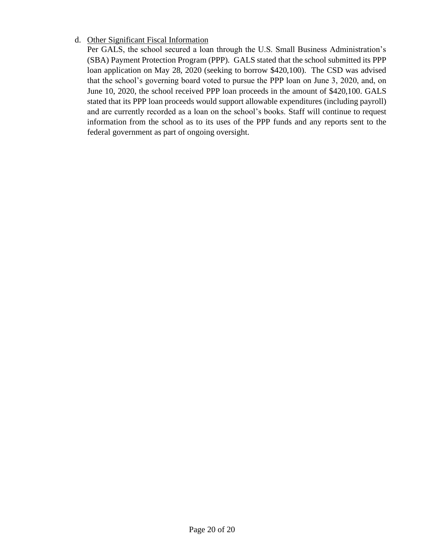### d. Other Significant Fiscal Information

Per GALS, the school secured a loan through the U.S. Small Business Administration's (SBA) Payment Protection Program (PPP). GALS stated that the school submitted its PPP loan application on May 28, 2020 (seeking to borrow \$420,100). The CSD was advised that the school's governing board voted to pursue the PPP loan on June 3, 2020, and, on June 10, 2020, the school received PPP loan proceeds in the amount of \$420,100. GALS stated that its PPP loan proceeds would support allowable expenditures (including payroll) and are currently recorded as a loan on the school's books. Staff will continue to request information from the school as to its uses of the PPP funds and any reports sent to the federal government as part of ongoing oversight.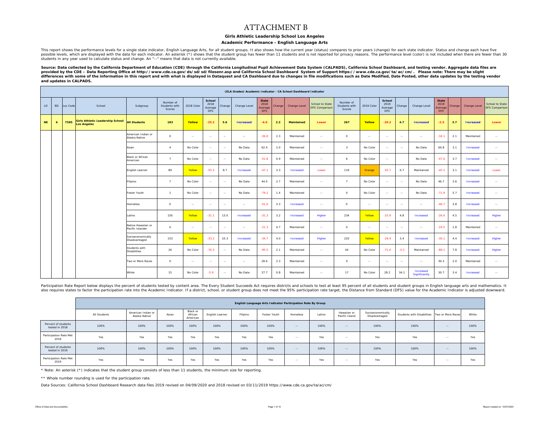#### ATTACHMENT B

#### **Girls Athletic Leadership School Los Angeles**

#### **Academic Performance - English Language Arts**

This report shows the performance levels for a single state indicator, English Language Arts, for all student groups. It also shows how the current year (status) compares to prior years (change) for each state indicator. S students in any year used to calculate status and change. An "--" means that data is not currently available.

Source: Data collected by the California Department of Education (CDE) through the California Longitudinal Pupil Achievement Data System (CALPADS), California School Dashboard, and testing vendor. Aggregate data files are *provided by the CDE – Data Reporting Office at http://www.cde.ca.gov/ds/sd/sd/filesenr.asp and California School Dashboard System of Support https://www.cde.ca.gov/ta/ac/cm/. Please note: There may be slight*  differences with some of the information in this report and with what is displayed in Dataquest and CA Dashboard due to changes in file modifications such as Date Modified, Date Posted, other data updates by the testing ve *and updates in CALPADS.* 

|           | (ELA Grades) Academic Indicator - CA School Dashboard Indicator |          |                                                               |                                        |                                      |            |                                         |               |                  |                                               |        |                   |                                          |                                      |               |                                         |        |                            |                                               |        |                  |                                          |
|-----------|-----------------------------------------------------------------|----------|---------------------------------------------------------------|----------------------------------------|--------------------------------------|------------|-----------------------------------------|---------------|------------------|-----------------------------------------------|--------|-------------------|------------------------------------------|--------------------------------------|---------------|-----------------------------------------|--------|----------------------------|-----------------------------------------------|--------|------------------|------------------------------------------|
| LD        | <b>BD</b>                                                       | Loc Code | School                                                        | Subgroup                               | Number of<br>Students with<br>Scores | 2018 Color | School<br>2018<br>Average<br><b>DFS</b> | Change        | Change Level     | <b>State</b><br>2018<br>Average<br><b>DFS</b> | Change | Change Level      | School to State<br><b>DFS Comparison</b> | Number of<br>Students with<br>Scores | 2019 Color    | School<br>2019<br>Average<br><b>DFS</b> | Change | Change Level               | <b>State</b><br>2019<br>Average<br><b>DFS</b> | Change | Change Level     | School to State<br><b>DFS Comparison</b> |
| <b>NE</b> | $\overline{6}$                                                  | 7585     | <b>Girls Athletic Leadership School</b><br><b>Los Angeles</b> | <b>All Students</b>                    | 183                                  | Yellow     | $-25.2$                                 | 5.6           | <b>Increased</b> | $-6.0$                                        | 2.2    | <b>Maintained</b> | Lower                                    | 267                                  | Yellow        | $-20.2$                                 | 4.7    | <b>Increased</b>           | $-2.5$                                        | 3.7    | <b>Increased</b> | Lower                                    |
|           |                                                                 |          |                                                               | American Indian or<br>Alaska Native    | $\circ$                              | $\sim$     | $\sim$                                  | $\sim$        | $\sim$           | $-36.8$                                       | 2.3    | Maintained        | $\sim$                                   | $\circ$                              | $\sim$        | $\sim$                                  | $\sim$ | $\sim$                     | $-34.1$                                       | 2.1    | Maintained       | $\sim$                                   |
|           |                                                                 |          |                                                               | Asian                                  | $\overline{a}$                       | No Color   | $\sim$                                  | $\sim$        | No Data          | 62.4                                          | 2.0    | Maintained        | $\sim$                                   | $\mathbf{3}$                         | No Color      | $\sim$                                  | $\sim$ | No Data                    | 64.8                                          | 3.1    | Increased        | $\sim$                                   |
|           |                                                                 |          |                                                               | Black or African<br>American           | $\mathbf{z}$                         | No Color   | $\sim$                                  | $\sim$        | No Data          | $-51.8$                                       | 0.9    | Maintained        | $\sim$                                   | 6                                    | No Color      | $\sim$                                  |        | No Data                    | $-47.6$                                       | 3.7    | Increased        | $\sim$                                   |
|           |                                                                 |          |                                                               | English Learner                        | 89                                   | Yellow     | $-55.3$                                 | 8.7           | Increased        | $-47.1$                                       | 3.3    | Increased         | Lower                                    | 119                                  | Orange        | $-55.7$                                 | 0.7    | Maintained                 | $-45.1$                                       | 3.1    | Increased        | Lower                                    |
|           |                                                                 |          |                                                               | Filipino                               | $\overline{7}$                       | No Color   | $\sim$                                  | $\sim$        | No Data          | 44.0                                          | 2.7    | Maintained        | $\sim$                                   | $\overline{7}$                       | No Color      | $\sim$                                  | $\sim$ | No Data                    | 46.7                                          | 3.6    | Increased        | $\sim$ $\sim$                            |
|           |                                                                 |          |                                                               | Foster Youth                           | $\mathbf{1}$                         | No Color   | $\sim$                                  | $\sim$        | No Data          | $-79.2$                                       | 1.4    | Maintained        | $\sim$                                   | $\boldsymbol{A}$                     | No Color      | $\sim$                                  | $\sim$ | No Data                    | $-71.9$                                       | 5.7    | Increased        | $\sim$                                   |
|           |                                                                 |          |                                                               | Homeless                               | $\circ$                              | $\sim$     | $\sim$                                  | $\sim$ $\sim$ | $\sim$           | $-51.0$                                       | 3.3    | Increased         | $\sim$                                   | $\circ$                              | $\sim$        | $\sim$                                  | $\sim$ | $\sim$ $\sim$              | $-46.7$                                       | 3.8    | Increased        | $\sim$                                   |
|           |                                                                 |          |                                                               | Latino                                 | 150                                  | Yellow     | $-31.1$                                 | 13.0          | Increased        | $-31.3$                                       | 3.2    | Increased         | Higher                                   | 234                                  | Yellow        | $-25.9$                                 | 4.8    | Increased                  | $-26.6$                                       | 4.5    | Increased        | Higher                                   |
|           |                                                                 |          |                                                               | Native Hawaiian or<br>Pacific Islander | $\circ$                              | $\sim$     | $\sim$                                  | $\sim$        | $\sim$ $\sim$    | $-21.3$                                       | 0.7    | Maintained        | $\sim$                                   | $\circ$                              | $\sim$ $\sim$ | $\sim$                                  | $\sim$ | $\sim$ $\sim$              | $-19.5$                                       | 1.8    | Maintained       | $\sim$ $\sim$                            |
|           |                                                                 |          |                                                               | Socioeconomically<br>Disadvantaged     | 153                                  | Yellow     | $-33.2$                                 | 10.3          | Increased        | $-34.7$                                       | 4.0    | Increased         | Higher                                   | 220                                  | Yellow        | $-29.4$                                 | 3.4    | Increased                  | $-30.1$                                       | 4.4    | Increased        | Higher                                   |
|           |                                                                 |          |                                                               | Students with<br><b>Disabilities</b>   | 26                                   | No Color   | $-76.3$                                 | $\sim$        | No Data          | $-95.5$                                       | 2.1    | Maintained        | $\sim$                                   | 44                                   | No Color      | $-71.0$                                 | $-0.1$ | Maintained                 | $-88.1$                                       | 7.8    | Increased        | Higher                                   |
|           |                                                                 |          |                                                               | Two or More Races                      | $\Omega$                             | $\sim$     | $\sim$                                  | $\sim$ $-$    | $\sim$           | 28.6                                          | 2.3    | Maintained        | $\sim$                                   | $\Omega$                             | $\sim$        | $\sim$                                  | $\sim$ | $\sim$                     | 30.3                                          | 2.0    | Maintained       | $\sim$ $\sim$                            |
|           |                                                                 |          |                                                               | White                                  | 15                                   | No Color   | $-5.9$                                  | $\sim$        | No Data          | 27.7                                          | 0.8    | Maintained        | $\sim$                                   | 17                                   | No Color      | 28.2                                    | 34.1   | Increased<br>Significantly | 30.7                                          | 3.4    | Increased        | $\sim$                                   |

Participation Rate Report below displays the percent of students tested by content area. The Every Student Succeeds Act requires districts and schools to test at least 95 percent of all students and student groups in Engli also requires states to factor the participation rate into the Academic Indicator. If a district, school, or student group does not meet the 95% participation rate target, the Distance from Standard (DFS) value for the Aca

|                                       |              |                                     | English Language Arts Indicator Participation Rate By Group |                                 |                 |          |              |            |        |                               |                                    |                                              |               |       |  |  |  |
|---------------------------------------|--------------|-------------------------------------|-------------------------------------------------------------|---------------------------------|-----------------|----------|--------------|------------|--------|-------------------------------|------------------------------------|----------------------------------------------|---------------|-------|--|--|--|
|                                       | All Students | American Indian or<br>Alaska Native | Asian                                                       | Black or<br>African<br>American | English Learner | Filipino | Foster Youth | Homeless   | Latino | Hawaiian or<br>Pacific Island | Socioeconomically<br>Disadvantaged | Students with Disabilities Two or More Races |               | White |  |  |  |
| Percent of students<br>tested in 2018 | 100%         | 100%                                | 100%                                                        | 100%                            | 100%            | 100%     | 100%         | $\sim$ $-$ | 100%   | $\sim$ $\sim$                 | 100%                               | 100%                                         | $\sim$ $\sim$ | 100%  |  |  |  |
| Participation Rate Met<br>2018        | Yes          | Yes                                 | Yes                                                         | Yes                             | Yes             | Yes      | Yes          | $-$        | Yes    | $\sim$ $-$                    | Yes                                | Yes                                          | $\sim$ $\sim$ | Yes   |  |  |  |
| Percent of students<br>tested in 2019 | 100%         | 100%                                | 100%                                                        | 100%                            | 100%            | 100%     | 100%         | $-$        | 100%   | $\sim$ $\sim$                 | 100%                               | 100%                                         | $\sim$ $\sim$ | 100%  |  |  |  |
| Participation Rate Met<br>2019        | Yes          | Yes                                 | Yes                                                         | Yes                             | Yes             | Yes      | Yes          | $-$        | Yes    | $\sim$ $-$                    | Yes                                | Yes                                          | $\sim$ $\sim$ | Yes   |  |  |  |

\* Note: An asterisk (\*) indicates that the student group consists of less than 11 students, the minimum size for reporting.

\*\* Whole number rounding is used for the participation rate.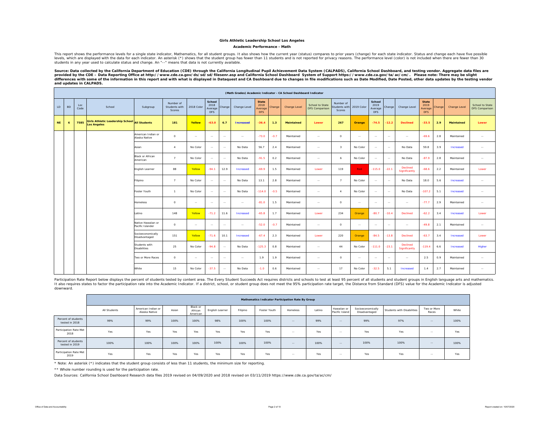#### **Academic Performance - Math**

This report shows the performance levels for a single state indicator, Mathematics, for all student groups. It also shows how the current year (status) compares to prior years (change) for each state indicator. Status and levels, which are displayed with the data for each indicator. An asterisk (\*) shows that the student group has fewer than 11 students and is not reported for privacy reasons. The performance level (color) is not included w students in any year used to calculate status and change. An "--" means that data is not currently available.

Source: Data collected by the California Department of Education (CDE) through the California Longitudinal Pupil Achievement Data System (CALPADS), California School Dashboard, and testing vendor. Aggregate data files are *provided by the CDE – Data Reporting Office at http://www.cde.ca.gov/ds/sd/sd/filesenr.asp and California School Dashboard System of Support https://www.cde.ca.gov/ta/ac/cm/. Please note: There may be slight*  differences with some of the information in this report and with what is displayed in Dataquest and CA Dashboard due to changes in file modifications such as Date Modified, Date Posted, other data updates by the testing ve *and updates in CALPADS.* 

|           | (Math Grades) Academic Indicator - CA School Dashboard Indicator |             |                                                                     |                                        |                                      |            |                                  |               |                  |                                               |        |                   |                                   |                                      |               |                                                |            |                           |                                               |        |                   |                                   |
|-----------|------------------------------------------------------------------|-------------|---------------------------------------------------------------------|----------------------------------------|--------------------------------------|------------|----------------------------------|---------------|------------------|-----------------------------------------------|--------|-------------------|-----------------------------------|--------------------------------------|---------------|------------------------------------------------|------------|---------------------------|-----------------------------------------------|--------|-------------------|-----------------------------------|
| LD        | <b>BD</b>                                                        | Loc<br>Code | School                                                              | Subgroup                               | Number of<br>Students with<br>Scores | 2018 Color | School<br>2018<br>Average<br>DFS | Change        | Change Level     | <b>State</b><br>2018<br>Average<br><b>DFS</b> | Change | Change Level      | School to State<br>DFS Comparison | Number of<br>Students with<br>Scores | 2019 Color    | <b>School</b><br>2019<br>Average<br><b>DFS</b> | Change     | Change Level              | <b>State</b><br>2019<br>Average<br><b>DFS</b> | Change | Change Level      | School to State<br>DFS Comparison |
| <b>NE</b> | 6                                                                | 7585        | Girls Athletic Leadership School All Students<br><b>Los Angeles</b> |                                        | 181                                  | Yellow     | $-63.0$                          | 6.7           | <b>Increased</b> | $-36.4$                                       | 1.3    | <b>Maintained</b> | Lower                             | 267                                  | Orange        | $-74.5$                                        | $-12.2$    | <b>Declined</b>           | $-33.5$                                       | 2.9    | <b>Maintained</b> | Lower                             |
|           |                                                                  |             |                                                                     | American Indian or<br>Alaska Native    | $\circ$                              | $\sim$     | $\sim$ $\sim$                    | $\sim$        | $\sim$ $\sim$    | $-73.0$                                       | $-0.7$ | Maintained        | $\sim$                            | $\circ$                              | $\sim$ $-$    | $\sim$                                         | $\sim$     | $\sim$                    | $-69.6$                                       | 2.8    | Maintained        | $\sim$                            |
|           |                                                                  |             |                                                                     | Asian                                  | $\boldsymbol{A}$                     | No Color   | $\sim$ $\sim$                    | $\sim$        | No Data          | 56.7                                          | 2.4    | Maintained        | $\sim$                            | $\overline{\mathbf{3}}$              | No Color      | $\sim$ $-$                                     | $\sim$ $-$ | No Data                   | 59.8                                          | 3.9    | Increased         | $\sim$                            |
|           |                                                                  |             |                                                                     | <b>Black or African</b><br>American    | $\overline{7}$                       | No Color   | $\sim$                           | $\sim$        | No Data          | $-91.5$                                       | 0.2    | Maintained        | $\sim$                            | 6                                    | No Color      | $\sim$                                         | $\sim$     | No Data                   | $-87.9$                                       | 2.8    | Maintained        | $\sim$                            |
|           |                                                                  |             |                                                                     | English Learner                        | 88                                   | Yellow     | $-94.1$                          | 12.9          | Increased        | $-69.9$                                       | 1.5    | Maintained        | Lower                             | 119                                  | Red           | $-115.0$                                       | $-22.1$    | Declined<br>Significantly | $-68.6$                                       | 2.2    | Maintained        | Lower                             |
|           |                                                                  |             |                                                                     | Filipino                               | $\overline{7}$                       | No Color   | $\sim$                           | $\sim$        | No Data          | 13.1                                          | 2.8    | Maintained        | $\sim$                            | 7                                    | No Color      | $\sim$                                         | $\sim$     | No Data                   | 18.0                                          | 5.6    | Increased         | $\sim$                            |
|           |                                                                  |             |                                                                     | Foster Youth                           | $\overline{1}$                       | No Color   | $\sim$                           | $\sim$ $\sim$ | No Data          | $-114.0$                                      | $-0.5$ | Maintained        | $\sim$                            | $\overline{a}$                       | No Color      | $\sim$ $-$                                     | $\sim$     | No Data                   | $-107.2$                                      | 5.1    | Increased         | $\sim$                            |
|           |                                                                  |             |                                                                     | Homeless                               | $\circ$                              | $\sim$     | $\sim$ $\sim$                    | $\sim$        | $\sim$           | $-81.0$                                       | 1.5    | Maintained        | $\sim$                            | $\circ$                              | $\sim$ $\sim$ | $\sim$                                         | $\sim$     | $\sim$                    | $-77.7$                                       | 2.9    | Maintained        | $\sim$                            |
|           |                                                                  |             |                                                                     | Latino                                 | 148                                  | Yellow     | $-71.2$                          | 11.6          | Increased        | $-65.8$                                       | 1.7    | Maintained        | Lower                             | 234                                  | Orange        | $-80.7$                                        | $-10.4$    | Declined                  | $-62.2$                                       | 3.4    | Increased         | Lower                             |
|           |                                                                  |             |                                                                     | Native Hawaiian or<br>Pacific Islander | $\circ$                              | $\sim$     | $\sim$ $\sim$                    | $\sim$        | $\sim$           | $-52.0$                                       | $-0.7$ | Maintained        | $\sim$ $\sim$                     | $\circ$                              | $\sim$ $-$    | $\sim$ $-$                                     | $\sim$     | $\sim$ $\sim$             | $-49.8$                                       | 2.1    | Maintained        | $\sim$                            |
|           |                                                                  |             |                                                                     | Socioeconomically<br>Disadvantaged     | 151                                  | Yellow     | $-71.6$                          | 10.1          | Increased        | $-67.4$                                       | 2.3    | Maintained        | Lower                             | 220                                  | Orange        | $-84.5$                                        | $-13.8$    | Declined                  | $-63.7$                                       | 3.4    | Increased         | Lower                             |
|           |                                                                  |             |                                                                     | Students with<br><b>Disabilities</b>   | 25                                   | No Color   | $-94.8$                          | $\sim$        | No Data          | $-125.3$                                      | 0.8    | Maintained        | $\sim$                            | 44                                   | No Color      | $-111.0$                                       | $-23.1$    | Declined<br>Significantly | $-119.4$                                      | 6.6    | Increased         | Higher                            |
|           |                                                                  |             |                                                                     | Two or More Races                      | $\circ$                              | $\sim$     | $\sim$                           | $\sim$ $\sim$ | $\sim$ $-$       | 1.9                                           | 1.9    | Maintained        | $\sim$                            | $\circ$                              | $\sim$        | $\sim$                                         | $\sim$     | $\sim$ $-$                | 2.5                                           | 0.9    | Maintained        | $\sim$                            |
|           |                                                                  |             |                                                                     | White                                  | 15                                   | No Color   | $-37.5$                          | $\sim$        | No Data          | $-1.0$                                        | 0.6    | Maintained        | $\sim$                            | 17                                   | No Color      | $-32.5$                                        | 5.1        | Increased                 | 1.4                                           | 2.7    | Maintained        | $\sim$                            |

Participation Rate Report below displays the percent of students tested by content area. The Every Student Succeeds Act requires districts and schools to test at least 95 percent of all students and student groups in Engli It also requires states to factor the participation rate into the Academic Indicator. If a district, school, or student group does not meet the 95% participation rate target, the Distance from Standard (DFS) value for the downward.

|                                       |              |                                     |       |                                 |                 |          | Mathematics Indicator Participation Rate By Group |               |        |                               |                                    |                            |                      |       |
|---------------------------------------|--------------|-------------------------------------|-------|---------------------------------|-----------------|----------|---------------------------------------------------|---------------|--------|-------------------------------|------------------------------------|----------------------------|----------------------|-------|
|                                       | All Students | American Indian or<br>Alaska Native | Asian | Black or<br>African<br>American | English Learner | Filipino | Foster Youth                                      | Homeless      | Latino | Hawaiian or<br>Pacific Island | Socioeconomically<br>Disadvantaged | Students with Disabilities | Two or More<br>Races | White |
| Percent of students<br>tested in 2018 | 99%          | 99%                                 | 100%  | 100%                            | 98%             | 100%     | 100%                                              | $-$           | 99%    | $\sim$                        | 99%                                | 97%                        | $-1$                 | 100%  |
| Participation Rate Met<br>2018        | Yes          | Yes                                 | Yes   | Yes                             | Yes             | Yes      | Yes                                               | $-$           | Yes    | $\sim$                        | Yes                                | Yes                        | $\sim$ $-$           | Yes   |
| Percent of students<br>tested in 2019 | 100%         | 100%                                | 100%  | 100%                            | 100%            | 100%     | 100%                                              | $\sim$ $\sim$ | 100%   | $\sim$                        | 100%                               | 100%                       | $\sim$ $-$           | 100%  |
| Participation Rate Met<br>2019        | Yes          | Yes                                 | Yes   | Yes                             | Yes             | Yes      | Yes                                               | $\sim$ $-$    | Yes    | $\sim$ $-$                    | Yes                                | Yes                        | $\sim$               | Yes   |

\* Note: An asterisk (\*) indicates that the student group consists of less than 11 students, the minimum size for reporting.

\*\* Whole number rounding is used for the participation rate.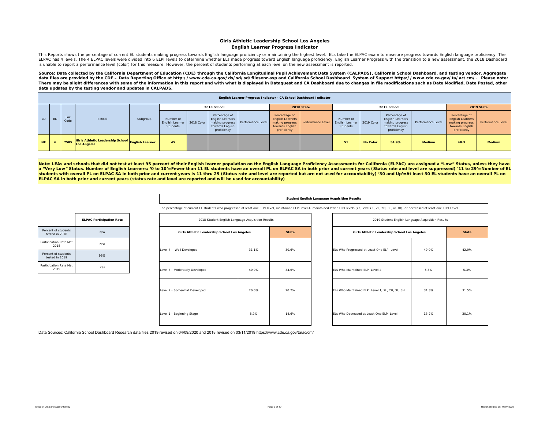#### **Girls Athletic Leadership School Los Angeles English Learner Progress Indicator**

This Reports shows the percentage of current EL students making progress towards English language proficiency or maintaining the highest level. ELs take the ELPAC exam to measure progress towards English language proficien ELPAC has 4 levels. The 4 ELPAC levels were divided into 6 ELPI levels to determine whether ELs made progress toward English language proficiency. English Learner Progress with the transition to a new assessment, the 2018 is unable to report a performance level (color) for this measure. However, the percent of students performing at each level on the new assessment is reported.

Source: Data collected by the California Department of Education (CDE) through the California Longitudinal Pupil Achievement Data System (CALPADS), California School Dashboard, and testing vendor. Aggregate data files are provided by the CDE – Data Reporting Office at http://www.cde.ca.gov/ds/sd/sd/filesenr.asp and California School Dashboard System of Support https://www.cde.ca.gov/ta/ac/cm/. Please note: There may be slight differences with some of the information in this report and with what is displayed in Dataquest and CA Dashboard due to changes in file modifications such as Date Modified, Date Posted, other *data updates by the testing vendor and updates in CALPADS.* 

|     | English Learner Progress Indicator - CA School Dashboard Indicator |             |                                                                 |          |                                                     |  |                                                                            |                                     |                                                                                               |                   |                                                |                 |                                                                                               |                   |                                                                                               |                   |
|-----|--------------------------------------------------------------------|-------------|-----------------------------------------------------------------|----------|-----------------------------------------------------|--|----------------------------------------------------------------------------|-------------------------------------|-----------------------------------------------------------------------------------------------|-------------------|------------------------------------------------|-----------------|-----------------------------------------------------------------------------------------------|-------------------|-----------------------------------------------------------------------------------------------|-------------------|
|     |                                                                    |             |                                                                 |          |                                                     |  | 2018 School                                                                |                                     |                                                                                               | 2018 State        |                                                |                 | 2019 School                                                                                   |                   |                                                                                               | 2019 State        |
| LD. | <b>BD</b>                                                          | Loc<br>Code | School                                                          | Subgroup | Number of<br>English Learner 2018 Color<br>Students |  | Percentage of<br><b>English Learners</b><br>towards English<br>proficiency | making progress   Performance Level | Percentage of<br><b>English Learners</b><br>making progress<br>towards English<br>proficiency | Performance Level | Number of<br><b>English Learne</b><br>Students | 2019 Color      | Percentage of<br><b>English Learners</b><br>making progress<br>towards English<br>proficiency | Performance Level | Percentage of<br><b>English Learners</b><br>making progress<br>towards English<br>proficiency | Performance Level |
| NE. |                                                                    | 7585        | Girls Athletic Leadership School English Learner<br>Los Angeles |          | 45                                                  |  |                                                                            |                                     |                                                                                               |                   | 51                                             | <b>No Color</b> | 54.9%                                                                                         | <b>Medium</b>     | 48.3                                                                                          | Medium            |

Note: LEAs and schools that did not test at least 95 percent of their English learner population on the English Language Proficiency Assessments for California (ELPAC) are assigned a "Low" Status, unless they have **<sup>a</sup>"Very Low" Status. Number of English Learners: '0 to 10'=Fewer than 11 EL students have an overall PL on ELPAC SA in both prior and current years (Status rate and level are suppressed) '11 to 29'=Number of EL students with overall PL on ELPAC SA in both prior and current years is 11 thru 29 (Status rate and level are reported but are not used for accountability) '30 and Up'=At least 30 EL students have an overall PL on ELPAC SA in both prior and current years (status rate and level are reported and will be used for accountability)** 

#### **Student English Language Acquisition Results**

The percentage of current EL students who progressed at least one ELPI level, maintained ELPI level 4, maintained lower ELPI levels (i.e, levels 1, 2L, 2H, 3L, or 3H), or decreased at least one ELPI Level.

|                                       | <b>ELPAC Participation Rate</b> |
|---------------------------------------|---------------------------------|
| Percent of students<br>tested in 2018 | N/A                             |
| Participation Rate Met<br>2018        | N/A                             |
| Percent of students<br>tested in 2019 | 96%                             |
| Participation Rate Met<br>2019        | Yes                             |

| 2018 Student English Language Acquisition Results |       |              |
|---------------------------------------------------|-------|--------------|
| Girls Athletic Leadership School Los Angeles      |       | <b>State</b> |
| Level 4 - Well Developed                          | 31.1% | 30.6%        |
| Level 3 - Moderately Developed                    | 40.0% | 34.6%        |
| Level 2 - Somewhat Developed                      | 20.0% | 20.2%        |
| Level 1 - Beginning Stage                         | 8.9%  | 14.6%        |

| 2018 Student English Language Acquisition Results |       |              | 2019 Student English Language Acquisition Results |       |              |
|---------------------------------------------------|-------|--------------|---------------------------------------------------|-------|--------------|
| Girls Athletic Leadership School Los Angeles      |       | <b>State</b> | Girls Athletic Leadership School Los Angeles      |       | <b>State</b> |
| ell Developed                                     | 31.1% | 30.6%        | ELs Who Progressed at Least One ELPI Level        | 49.0% | 42.9%        |
| derately Developed<br>40.0%                       |       | 34.6%        | ELs Who Maintained ELPI Level 4                   | 5.8%  | 5.3%         |
| newhat Developed                                  | 20.0% | 20.2%        | ELs Who Maintained ELPI Level 1, 2L, 2H, 3L, 3H   | 31.3% | 31.5%        |
| jinning Stage                                     | 8.9%  | 14.6%        | FLs Who Decreased at Least One FLPL Level         | 13.7% | 20.1%        |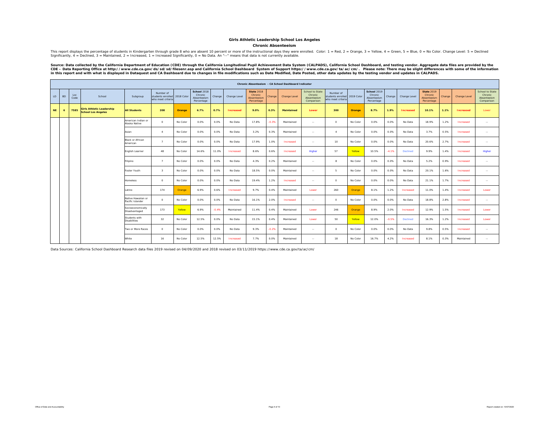#### **Chronic Absenteeism**

This report displays the percentage of students in Kindergarten through grade 8 who are absent 10 percent or more of the instructional days they were enrolled. Color: 1 = Red, 2 = Orange, 3 = Yellow, 4 = Green, 5 = Blue, 0

Source: Data collected by the California Department of Education (CDE) through the California Longitudinal Pupil Achievement Data System (CALPADS), California School Dashboard, and testing vendor. Aggregate data files are

|           |                |             |                                                               |                                        |                                                     |            |                                                     |         |              |                                                           |         | Chronic Absenteeism - CA School Dashboard Indicator |                                                         |                                                                |               |                                                     |         |                  |                                                           |        |                  |                                                         |
|-----------|----------------|-------------|---------------------------------------------------------------|----------------------------------------|-----------------------------------------------------|------------|-----------------------------------------------------|---------|--------------|-----------------------------------------------------------|---------|-----------------------------------------------------|---------------------------------------------------------|----------------------------------------------------------------|---------------|-----------------------------------------------------|---------|------------------|-----------------------------------------------------------|--------|------------------|---------------------------------------------------------|
| LD        | <b>BD</b>      | Loc<br>Code | School                                                        | Subgroup                               | Number of<br>students enrolled<br>who meet criteria | 2018 Color | School 2018<br>Chronic<br>Absenteeism<br>Percentage | Change  | Change Level | <b>State 2018</b><br>Chronic<br>Absenteeism<br>Percentage | Change  | Change Level                                        | School to State<br>Chronic<br>Absenteeism<br>Comparison | Number of<br>students enrolled 2019 Color<br>who meet criteria |               | School 2019<br>Chronic<br>Absenteeism<br>Percentage | Change  | Change Level     | <b>State 2019</b><br>Chronic<br>Absenteeism<br>Percentage | Change | Change Level     | School to State<br>Chronic<br>Absenteeism<br>Comparison |
| <b>NE</b> | $\overline{a}$ | 7585        | <b>Girls Athletic Leadership</b><br><b>School Los Angeles</b> | <b>All Students</b>                    | 208                                                 | Orange     | 6.7%                                                | 0.7%    | Increased    | 9.0%                                                      | 0.3%    | Maintained                                          | Lower                                                   | 300                                                            | Orange        | 8.7%                                                | 1.9%    | <b>Increased</b> | 10.1%                                                     | 1.1%   | <b>Increased</b> | Lower                                                   |
|           |                |             |                                                               | American Indian or<br>Alaska Native    | $\circ$                                             | No Color   | 0.0%                                                | 0.0%    | No Data      | 17.8%                                                     | $-0.3%$ | Maintained                                          | $\overline{\phantom{a}}$                                | $\circ$                                                        | No Color      | 0.0%                                                | 0.0%    | No Data          | 18.9%                                                     | 1.2%   | Increased        | $\sim$                                                  |
|           |                |             |                                                               | Asian                                  | $\overline{4}$                                      | No Color   | 0.0%                                                | 0.0%    | No Data      | 3.2%                                                      | 0.3%    | Maintained                                          | $\sim$                                                  | $\mathbf{d}$                                                   | No Color      | 0.0%                                                | 0.0%    | No Data          | 3.7%                                                      | 0.5%   | Increased        | $\sim$                                                  |
|           |                |             |                                                               | Black or African<br>American           | $\overline{7}$                                      | No Color   | 0.0%                                                | 0.0%    | No Data      | 17.9%                                                     | 1.0%    | Increased                                           | $\sim$                                                  | 10                                                             | No Color      | 0.0%                                                | 0.0%    | No Data          | 20.6%                                                     | 2.7%   | Increased        | $\sim$                                                  |
|           |                |             |                                                               | English Learner                        | 48                                                  | No Color   | 14.6%                                               | 11.0%   | Increased    | 8.6%                                                      | 0.6%    | Increased                                           | Higher                                                  | 57                                                             | Yellow        | 10.5%                                               | $-4.1%$ | Declined         | 9.9%                                                      | 1.4%   | Increased        | Higher                                                  |
|           |                |             |                                                               | ilipino                                | $\overline{7}$                                      | No Color   | 0.0%                                                | 0.0%    | No Data      | 4.3%                                                      | 0.2%    | Maintained                                          | $\overline{\phantom{a}}$                                | 8                                                              | No Color      | 0.0%                                                | 0.0%    | No Data          | 5.2%                                                      | 0.9%   | Increased        | $\sim$                                                  |
|           |                |             |                                                               | Foster Youth                           | $\overline{\mathbf{3}}$                             | No Color   | 0.0%                                                | 0.0%    | No Data      | 18.5%                                                     | 0.0%    | Maintained                                          | $\sim$                                                  | 5                                                              | No Color      | 0.0%                                                | 0.0%    | No Data          | 20.1%                                                     | 1.6%   | Increased        | $\sim$                                                  |
|           |                |             |                                                               | Homeless                               | $\circ$                                             | No Color   | 0.0%                                                | 0.0%    | No Data      | 19.4%                                                     | 1.2%    | Increased                                           | $\cdots$                                                | $\circ$                                                        | No Color      | 0.0%                                                | 0.0%    | No Data          | 21.1%                                                     | 1.7%   | Increased        | $\sim$                                                  |
|           |                |             |                                                               | Latino                                 | 174                                                 | Orange     | 6.9%                                                | 0.6%    | Increased    | 9.7%                                                      | 0.4%    | Maintained                                          | Lower                                                   | 260                                                            | <b>Orange</b> | 8.1%                                                | 1.2%    | Increased        | 11.0%                                                     | 1.4%   | Increased        | Lower                                                   |
|           |                |             |                                                               | Native Hawaiian or<br>Pacific Islander | $\circ$                                             | No Color   | 0.0%                                                | 0.0%    | No Data      | 16.1%                                                     | 2.0%    | Increased                                           | $\overline{\phantom{a}}$                                | $\circ$                                                        | No Color      | 0.0%                                                | 0.0%    | No Data          | 18.8%                                                     | 2.8%   | Increased        | $\sim$                                                  |
|           |                |             |                                                               | Socioeconomically<br>Disadvantaged     | 173                                                 | Yellow     | 6.9%                                                | $-0.4%$ | Maintained   | 11.4%                                                     | 0.4%    | Maintained                                          | Lower                                                   | 246                                                            | Orange        | 8.9%                                                | 2.0%    | Increased        | 12.9%                                                     | 1.5%   | Increased        | Lower                                                   |
|           |                |             |                                                               | Students with<br><b>Disabilities</b>   | 32                                                  | No Color   | 12.5%                                               | 0.0%    | No Data      | 15.1%                                                     | 0.4%    | Maintained                                          | Lower                                                   | 50                                                             | Yellow        | 12.0%                                               | $-0.5%$ | Declined         | 16.3%                                                     | 1.2%   | Increased        | Lower                                                   |
|           |                |             |                                                               | Two or More Races                      | $\circ$                                             | No Color   | 0.0%                                                | 0.0%    | No Data      | 9.3%                                                      | $-0.2%$ | Maintained                                          | $\sim$                                                  | $\circ$                                                        | No Color      | 0.0%                                                | 0.0%    | No Data          | 9.8%                                                      | 0.5%   | Increased        | $\sim$                                                  |
|           |                |             |                                                               | White                                  | 16                                                  | No Color   | 12.5%                                               | 12.5%   | Increased    | 7.7%                                                      | 0.0%    | Maintained                                          | $\sim$                                                  | 18                                                             | No Color      | 16.7%                                               | 4.2%    | Increased        | 8.1%                                                      | 0.3%   | Maintained       | $\sim$                                                  |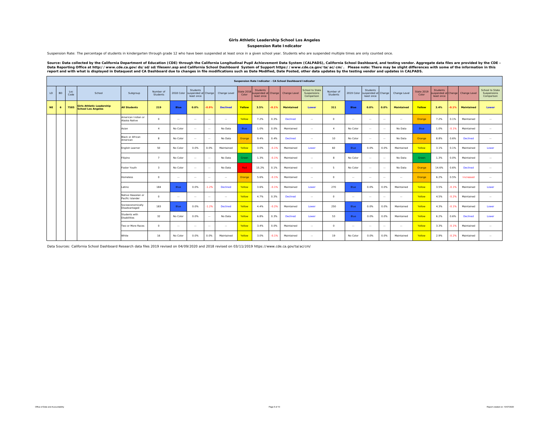**Suspension Rate Indicator**

Suspension Rate: The percentage of students in kindergarten through grade 12 who have been suspended at least once in a given school year. Students who are suspended multiple times are only counted once.

Source: Data collected by the California Department of Education (CDE) through the California Longitudinal Pupil Achievement Data System (CALPADS), California School Dashboard, and testing vendor. Aggregate data files are

|           |           |             |                                                               |                                        |                         |               |                                               |         |                 |                    |                                               |         | Suspension Rate Indicator - CA School Dashboard Indicator |                                                     |                       |               |                                               |               |               |                            |                                                     |         |                     |                                              |
|-----------|-----------|-------------|---------------------------------------------------------------|----------------------------------------|-------------------------|---------------|-----------------------------------------------|---------|-----------------|--------------------|-----------------------------------------------|---------|-----------------------------------------------------------|-----------------------------------------------------|-----------------------|---------------|-----------------------------------------------|---------------|---------------|----------------------------|-----------------------------------------------------|---------|---------------------|----------------------------------------------|
| LD        | <b>BD</b> | Loc<br>Code | School                                                        | Subgroup                               | Number of<br>Students   | 2018 Color    | Students<br>suspended at Change<br>least once |         | Change Level    | State 201<br>Color | Students<br>suspended at Change<br>least once |         | Change Level                                              | <b>School to State</b><br>Suspensions<br>Comparison | Number of<br>Students | 2019 Color    | Students<br>suspended at Change<br>least once |               | Change Level  | <b>State 2019</b><br>Color | <b>Students</b><br>ispended at Change<br>least once |         | <b>Change Level</b> | School to State<br>Suspensions<br>Comparison |
| <b>NE</b> | 6         | 7585        | <b>Girls Athletic Leadership</b><br><b>School Los Angeles</b> | <b>All Students</b>                    | 219                     | <b>Blue</b>   | 0.0%                                          | $-0.9%$ | <b>Declined</b> | Yellow             | 3.5%                                          | $-0.1%$ | Maintained                                                | Lower                                               | 311                   | <b>Blue</b>   | 0.0%                                          | 0.0%          | Maintained    | Yellow                     | 3.4%                                                | 0.1%    | Maintained          | Lower                                        |
|           |           |             |                                                               | American Indian or<br>Alaska Native    | $\Omega$                | $\sim$ $\sim$ | $\sim$                                        | $\sim$  | $\sim$          | Yellow             | 7.2%                                          | 0.3%    | Declined                                                  | $\sim$ $\sim$                                       | $\Omega$              | $\sim$ $\sim$ | $\sim$                                        | $\sim$        | $\sim$ $\sim$ | Orange                     | 7.2%                                                | 0.1%    | Maintained          | $\sim$                                       |
|           |           |             |                                                               | Asian                                  | $\mathbf{A}$            | No Color      | $\sim$                                        | $\sim$  | No Data         | Blue               | 1.0%                                          | 0.0%    | Maintained                                                | $\sim$                                              | $\mathbf{A}$          | No Color      | $\sim$                                        | $\sim$        | No Data       | Blue:                      | 1.0%                                                | $-0.1%$ | Maintained          | <b>Service</b>                               |
|           |           |             |                                                               | Black or African<br>American           |                         | No Color      | $\sim$                                        | $\sim$  | No Data         | Orange             | 9.4%                                          | 0.4%    | Declined                                                  | $\sim$ $\sim$                                       | 10                    | No Color      | $\sim$                                        | $\sim$        | No Data       | Orange                     | 8.8%                                                | 0.6%    | <b>Declined</b>     | $\sim$ $\sim$                                |
|           |           |             |                                                               | English Learner                        | 50                      | No Color      | 0.0%                                          | 0.0%    | Maintained      | Yellow             | 3.0%                                          | $-0.1%$ | Maintained                                                | Lower                                               | 60                    | Blue          | 0.0%                                          | 0.0%          | Maintained    | Yellow                     | 3.1%                                                | 0.1%    | Maintained          | Lower                                        |
|           |           |             |                                                               | Filipino                               | $\overline{7}$          | No Color      | $\cdots$                                      | $\sim$  | No Data         | Green              | 1.3%                                          | $-0.1%$ | Maintained                                                | $\cdots$                                            | $\mathbf{a}$          | No Color      | $\sim$                                        | $\sim$        | No Data       | Green                      | 1.3%                                                | 0.0%    | Maintained          | $\sim$                                       |
|           |           |             |                                                               | Foster Youth                           | $\overline{\mathbf{3}}$ | No Color      | $\sim$                                        | $\sim$  | No Data         | Red                | 15.2%                                         | 0.1%    | Maintained                                                | $\sim$                                              | 5                     | No Color      | $\sim$                                        | $\sim$        | No Data       | Orange                     | 14.6%                                               | 0.6%    | Declined            | $\sim$                                       |
|           |           |             |                                                               | <b>Homeless</b>                        | $^{\circ}$              | $\sim$        | $\sim$                                        | $\sim$  | $\sim$          | Orange             | 5.6%                                          | $-0.1%$ | Maintained                                                | $\sim$                                              | $\circ$               | $\sim$ $\sim$ | $\sim$                                        | $\sim$ $-$    | $\sim$        | Orange                     | 6.2%                                                | 0.5%    | Increased           | $\sim$                                       |
|           |           |             |                                                               | Latino                                 | 184                     | Blue          | 0.0%                                          | $-1.2%$ | <b>Declined</b> | Yellow             | 3.6%                                          | $-0.1%$ | Maintained                                                | Lower                                               | 270                   | Blue          | 0.0%                                          | 0.0%          | Maintained    | Yellow                     | 3.5%                                                | $-0.1%$ | Maintained          | Lower                                        |
|           |           |             |                                                               | Native Hawaiian or<br>Pacific Islander | $\Omega$                | $\sim$ $\sim$ | $\sim$                                        | $\sim$  | $\sim$ $\sim$   | Yellow             | 4.7%                                          | 0.3%    | Declined                                                  | $\sim$                                              | $\Omega$              | $\sim$        | $\sim$                                        | $\sim$ $\sim$ | $\sim$ $\sim$ | Yellow                     | 4.5%                                                | $-0.2%$ | Maintained          | <b>Service</b>                               |
|           |           |             |                                                               | Socioeconomically<br>Disadvantaged     | 183                     | Blue          | 0.0%                                          | $-1.2%$ | <b>Declined</b> | Yellow             | 4.4%                                          | $-0.2%$ | Maintained                                                | Lower                                               | 250                   | Blue          | 0.0%                                          | 0.0%          | Maintained    | Yellow                     | 4.3%                                                | $-0.1%$ | Maintained          | Lower                                        |
|           |           |             |                                                               | Students with<br><b>Disabilities</b>   | 32                      | No Color      | 0.0%                                          | $\sim$  | No Data         | Yellow             | 6.8%                                          | 0.3%    | Declined                                                  | Lower                                               | 53                    | Blue          | 0.0%                                          | 0.0%          | Maintained    | Yellow                     | 6.2%                                                | 0.6%    | Declined            | Lower                                        |
|           |           |             |                                                               | Two or More Races                      | $\Omega$                | $\sim$ $\sim$ | $\sim$                                        | $\sim$  | $\sim$          | Yellow             | 3.4%                                          | 0.0%    | Maintained                                                | $\sim$ $\sim$                                       | $\circ$               | $\sim$ $\sim$ | $\sim$                                        | $\sim$        | $\sim$        | Yellow                     | 3.3%                                                | $-0.1%$ | Maintained          | $\sim$                                       |
|           |           |             |                                                               | White                                  | 16                      | No Color      | 0.0%                                          | 0.0%    | Maintained      | Yellow             | 3.0%                                          | $-0.1%$ | Maintained                                                | $\sim$ $\sim$                                       | 19                    | No Color      | 0.0%                                          | 0.0%          | Maintained    | Yellow                     | 2.9%                                                | $-0.2%$ | Maintained          | $\sim$ $\sim$                                |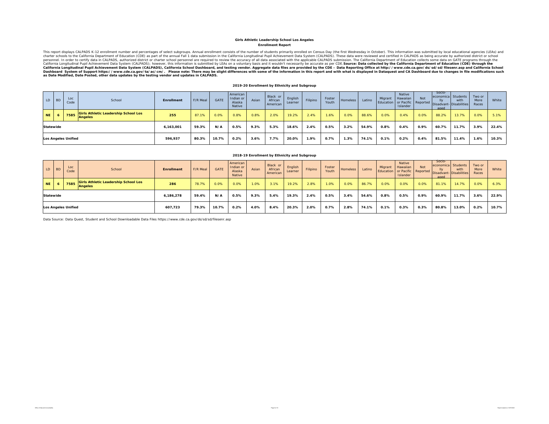#### **Enrollment Report Girls Athletic Leadership School Los Angeles**

This report displays CALPADS K-12 enrollment number and percentages of select subgroups. Annual enrollment consists of the number of students primarily enrolled on Census Day (the first Wednesday in October). This informat California Longitudinal Pupil Achievement Data System (CALPADS), California School Dashboard, and testing vendor. Aggregate data files are provided by the CDE – Data Reporting Office at http://www.cde.ca.gov/ds/sd/filesenr

#### **2019-20 Enrollment by Ethnicity and Subgroup**

| $\sim$ LD $\parallel$ | <b>BD</b> | Loc<br>Code                | School                                                        | <b>Enrollment</b> | F/R Meal | GATE  | American<br>Indian or<br>Alaska<br>Native | Asian | Black or<br>African<br>American | English<br>Learner | Filipino | Foster<br>Youth | <b>Homeless</b> | Latino | Migrant | Native<br>Hawaiian<br>Islander | <b>Not</b> | Socio-<br>economica Students<br>aged | with<br>Education or Pacific Reported Disadvant- Disabilities | Two or<br>More<br>Races | White |
|-----------------------|-----------|----------------------------|---------------------------------------------------------------|-------------------|----------|-------|-------------------------------------------|-------|---------------------------------|--------------------|----------|-----------------|-----------------|--------|---------|--------------------------------|------------|--------------------------------------|---------------------------------------------------------------|-------------------------|-------|
| NE.                   |           | 7585                       | <b>Girls Athletic Leadership School Los</b><br><b>Angeles</b> | 255               | 87.1%    | 0.0%  | 0.8%                                      | 0.8%  | 2.0%                            | 19.2%              | 2.4%     | 1.6%            | 0.0%            | 88.6%  | 0.0%    | 0.4%                           | 0.0%       | 88.2%                                | 13.7%                                                         | 0.0%                    | 5.1%  |
| Statewide             |           |                            |                                                               | 6,163,001         | 59.3%    | N/A   | 0.5%                                      | 9.3%  | 5.3%                            | 18.6%              | 2.4%     | 0.5%            | 3.2%            | 54.9%  | 0.8%    | 0.4%                           | 0.9%       | 60.7%                                | 11.7%                                                         | 3.9%                    | 22.4% |
|                       |           | <b>Los Angeles Unified</b> |                                                               | 596,937           | 80.3%    | 10.7% | $0.2\%$                                   | 3.6%  | 7.7%                            | 20.0%              | 1.9%     | $0.7\%$         | 1.3%            | 74.1%  | 0.1%    | 0.2%                           | 0.4%       | 81.5%                                | 11.4%                                                         | 1.6%                    | 10.3% |

| LD        | <b>BD</b> | Loc<br>Code                | School                                                 | <b>Enrollment</b> | F/R Meal | GATE  | American<br>Indian or<br>Alaska<br>Native | Asian | Black or<br>African<br>American | English<br>Learner | Filipino | Foster<br>Youth | Homeless | Latino | Migrant<br>Education | Native<br>Hawaiian<br>Islander | <b>Not</b><br>or Pacific   Reported | Socio-<br>IIv<br>aged | economica Students<br>with<br>Disadvant-Disabilities | Two or<br>More<br>Races | White |
|-----------|-----------|----------------------------|--------------------------------------------------------|-------------------|----------|-------|-------------------------------------------|-------|---------------------------------|--------------------|----------|-----------------|----------|--------|----------------------|--------------------------------|-------------------------------------|-----------------------|------------------------------------------------------|-------------------------|-------|
| <b>NE</b> |           | 7585                       | <b>Girls Athletic Leadership School Los</b><br>Angeles | 286               | 78.7%    | 0.0%  | 0.0%                                      | 1.0%  | 3.1%                            | 19.2%              | 2.8%     | 1.0%            | 0.0%     | 86.7%  | 0.0%                 | 0.0%                           | 0.0%                                | 81.1%                 | 14.7%                                                | 0.0%                    | 6.3%  |
| Statewide |           |                            |                                                        | 6,186,278         | 59.4%    | N/A   | 0.5%                                      | 9.3%  | 5.4%                            | 19.3%              | 2.4%     | 0.5%            | 3.4%     | 54.6%  | 0.8%                 | 0.5%                           | 0.9%                                | 60.9%                 | 11.7%                                                | 3.6%                    | 22.9% |
|           |           | <b>Los Angeles Unified</b> |                                                        | 607.723           | 79.3%    | 10.7% | 0.2%                                      | 4.0%  | 8.4%                            | 20.3%              | 2.0%     | 0.7%            | 2.8%     | 74.1%  | 0.1%                 | 0.3%                           | 0.3%                                | 80.8%                 | 13.0%                                                | 0.2%                    | 10.7% |

**2018-19 Enrollment by Ethnicity and Subgroup**

Data Source: Data Quest, Student and School Downloadable Data Files https://www.cde.ca.gov/ds/sd/sd/filesenr.asp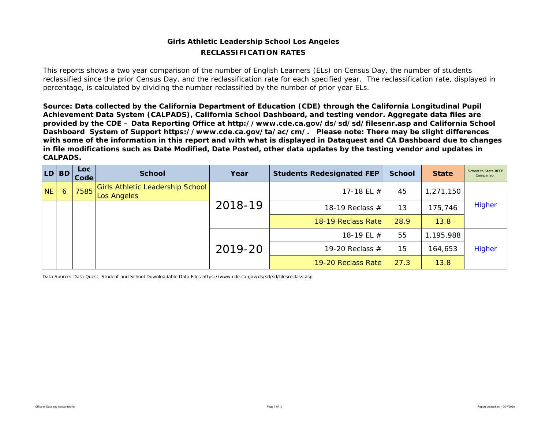### **Girls Athletic Leadership School Los Angeles RECLASSIFICATION RATES**

This reports shows a two year comparison of the number of English Learners (ELs) on Census Day, the number of students reclassified since the prior Census Day, and the reclassification rate for each specified year. The reclassification rate, displayed in percentage, is calculated by dividing the number reclassified by the number of prior year ELs.

*Source: Data collected by the California Department of Education (CDE) through the California Longitudinal Pupil Achievement Data System (CALPADS), California School Dashboard, and testing vendor. Aggregate data files are provided by the CDE – Data Reporting Office at http://www.cde.ca.gov/ds/sd/sd/filesenr.asp and California School Dashboard System of Support https://www.cde.ca.gov/ta/ac/cm/. Please note: There may be slight differences with some of the information in this report and with what is displayed in Dataquest and CA Dashboard due to changes in file modifications such as Date Modified, Date Posted, other data updates by the testing vendor and updates in CALPADS.* 

| LD.       | <b>BD</b> | <b>Loc</b><br>Code | <b>School</b>                                          | Year    | <b>Students Redesignated FEP</b> | <b>School</b> | <b>State</b> | School to State RFEP<br>Comparison |
|-----------|-----------|--------------------|--------------------------------------------------------|---------|----------------------------------|---------------|--------------|------------------------------------|
| <b>NE</b> | 6         | 7585               | <b>Girls Athletic Leadership School</b><br>Los Angeles |         | 17-18 EL $#$                     | 45            | 1,271,150    |                                    |
|           |           |                    |                                                        | 2018-19 | 18-19 Reclass $#$                | 13            | 175,746      | <b>Higher</b>                      |
|           |           |                    |                                                        |         | 18-19 Reclass Rate               | 28.9          | 13.8         |                                    |
|           |           |                    |                                                        |         | 18-19 EL #                       | 55            | 1,195,988    |                                    |
|           |           |                    |                                                        | 2019-20 | 19-20 Reclass $#$                | 15            | 164,653      | <b>Higher</b>                      |
|           |           |                    |                                                        |         | 19-20 Reclass Rate               | 27.3          | 13.8         |                                    |

Data Source: Data Quest, Student and School Downloadable Data Files https://www.cde.ca.gov/ds/sd/sd/filesreclass.asp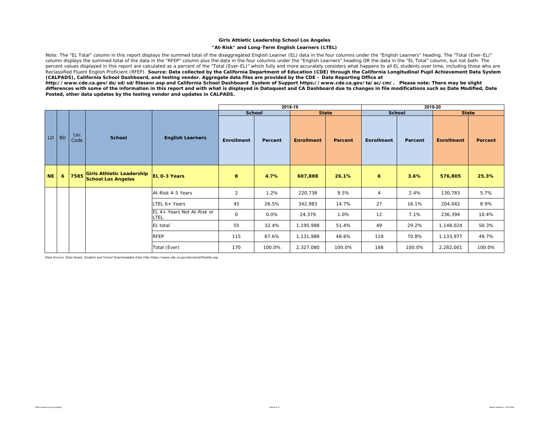#### **"At-Risk" and Long-Term English Learners (LTEL)**

Note: The "EL Total" column in this report displays the summed total of the disaggregated English Learner (EL) data in the four columns under the "English Learners" heading. The "Total (Ever-EL)" column displays the summed total of the data in the "RFEP" column plus the data in the four columns under the "English Learners" heading OR the data in the "EL Total" column, but not both. The percent values displayed in this report are calculated as a percent of the "Total (Ever-EL)" which fully and more accurately considers what happens to all EL students over time, including those who are Reclassified Fluent English Proficient (RFEP). *Source: Data collected by the California Department of Education (CDE) through the California Longitudinal Pupil Achievement Data System (CALPADS), California School Dashboard, and testing vendor. Aggregate data files are provided by the CDE – Data Reporting Office at* 

*http://www.cde.ca.gov/ds/sd/sd/filesenr.asp and California School Dashboard System of Support https://www.cde.ca.gov/ta/ac/cm/. Please note: There may be slight differences with some of the information in this report and with what is displayed in Dataquest and CA Dashboard due to changes in file modifications such as Date Modified, Date Posted, other data updates by the testing vendor and updates in CALPADS.* 

|           |           |             |                                |                                    |                | 2018-19       |                   |                |                |               | 2019-20           |                |
|-----------|-----------|-------------|--------------------------------|------------------------------------|----------------|---------------|-------------------|----------------|----------------|---------------|-------------------|----------------|
|           |           |             |                                |                                    |                | <b>School</b> | <b>State</b>      |                |                | <b>School</b> | <b>State</b>      |                |
| LD        | <b>BD</b> | Loc<br>Code | <b>School</b>                  | <b>English Learners</b>            | Enrollment     | Percent       | <b>Enrollment</b> | <b>Percent</b> | Enrollment     | Percent       | <b>Enrollment</b> | <b>Percent</b> |
| <b>NE</b> | 6         |             | 7585 Girls Athletic Leadership | EL 0-3 Years                       | 8              | 4.7%          | 607,888           | 26.1%          | 6              | 3.6%          | 576,805           | 25.3%          |
|           |           |             |                                | At-Risk 4-5 Years                  | $\overline{2}$ | 1.2%          | 220,738           | 9.5%           | $\overline{4}$ | 2.4%          | 130,783           | 5.7%           |
|           |           |             |                                | LTEL 6+ Years                      | 45             | 26.5%         | 342,983           | 14.7%          | 27             | 16.1%         | 204,042           | 8.9%           |
|           |           |             |                                | EL 4+ Years Not At-Risk or<br>LTEL | 0              | 0.0%          | 24,379            | 1.0%           | 12             | 7.1%          | 236,394           | 10.4%          |
|           |           |             |                                | EL total                           | 55             | 32.4%         | 1,195,988         | 51.4%          | 49             | 29.2%         | 1,148,024         | 50.3%          |
|           |           |             |                                | <b>RFEP</b>                        | 115            | 67.6%         | 1,131,988         | 48.6%          | 119            | 70.8%         | 1,133,977         | 49.7%          |
|           |           |             |                                | Total (Ever)                       | 170            | 100.0%        | 2,327,080         | 100.0%         | 168            | 100.0%        | 2,282,001         | 100.0%         |

Data Source: Data Quest, Student and School Downloadable Data Files https://www.cde.ca.gov/ds/sd/sd/filesltel.asp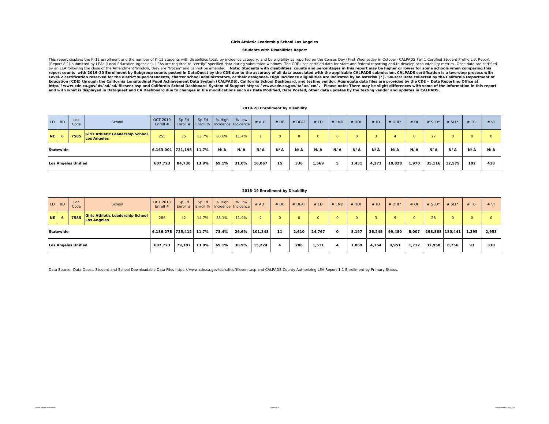#### **Students with Disabilities Report**

This report displays the K-12 enrollment and the number of K-12 students with disabilities total, by incidence category, and by eligibility as reported on the Census Day (First Wednesday in October) CALPADS Fall 1 Certifie (Report 8.1) submitted by LEAs (Local Education Agencies). LEAs are required to "certify" specified data during submission windows. The CDE uses certified data for state and federal reporting and to develop accountability by an LEA following the close of the Amendment Window, they are "frozen" and cannot be amended and allect Students with disabilities counts and percentages in this report may be higher or lower for some schools when compar Level-2 certification reserved for the district superintendents, charter school administrators, or their designees. High incidence eligibilities are indicated by an asterisk (\*). Source: Data collected by the California De *and with what is displayed in Dataquest and CA Dashboard due to changes in file modifications such as Date Modified, Date Posted, other data updates by the testing vendor and updates in CALPADS.* 

#### **2019-20 Enrollment by Disability**

|           | LD BD            | Loc<br>Code         | School                                                 | <b>OCT 2019</b><br>Enroll # | Sp Ed<br>Enroll $#$ | Sp Ed<br>Enroll %   Incidence   Incidence | % High | % Low | # AUT  | #DB      | # DEAF | # ED  | # EMD    | # HOH    | #ID   | # OHI* | $#$ OI  | # $SLD^*$ | $# SLI*$ | <b>TBI</b> | # VI |
|-----------|------------------|---------------------|--------------------------------------------------------|-----------------------------|---------------------|-------------------------------------------|--------|-------|--------|----------|--------|-------|----------|----------|-------|--------|---------|-----------|----------|------------|------|
| <b>NE</b> |                  | 7585                | <b>Girls Athletic Leadership School</b><br>Los Angeles | 255                         | 35                  | 13.7%                                     | 88.6%  | 11.4% |        | $\Omega$ |        |       | $\Omega$ | $\Omega$ |       |        | $\circ$ | 27        |          | O          |      |
|           | <b>Statewide</b> |                     |                                                        | 6,163,001 721,198           |                     | 11.7%                                     | N/A    | N/A   | N/A    | N/A      | N/A    | N/A   | N/A      | N/A      | N/A   | N/A    | N/A     | N/A       | N/A      | N/A        | N/A  |
|           |                  | Los Angeles Unified |                                                        | 607.723                     | 84.730              | 13.9%                                     | 69.1%  | 31.0% | 16,067 | 15       | 336    | 1,569 |          | 1,431    | 4,271 | 10,828 | 1,970   | 35,116    | 12,579   | 102        | 418  |

#### **2018-19 Enrollment by Disability**

|      | LD BD            | Loc.<br>Code               | School                                                        | <b>OCT 2018</b><br>Enroll $#$ | Sp Ed  | Sp Ed | % High | % Low<br>Enroll #   Enroll %   Incidence   Incidence | # AUT   | #DB     | # DEAF | # ED     | # EMD    | $#$ HOH | #ID    | $#$ OHI <sup>*</sup> | #OI      | $#$ SLD*        | # $SLI^*$ | $#$ TBI | # VI  |
|------|------------------|----------------------------|---------------------------------------------------------------|-------------------------------|--------|-------|--------|------------------------------------------------------|---------|---------|--------|----------|----------|---------|--------|----------------------|----------|-----------------|-----------|---------|-------|
| NE I |                  | 7585                       | <b>Girls Athletic Leadership School</b><br><b>Los Angeles</b> | 286                           | 42     | 14.7% | 88.1%  | 11.9%                                                |         | $\circ$ |        | $\Omega$ |          |         |        |                      | $\Omega$ | 28              |           | 0       |       |
|      | <b>Statewide</b> |                            |                                                               | 6,186,278 725,412             |        | 11.7% | 73.4%  | 26.6%                                                | 101,348 | 11      | 2,610  | 24,767   | $\Omega$ | 8,197   | 36,245 | 99,480               | 8,007    | 298,868 130,441 |           | 1,395   | 2,953 |
|      |                  | <b>Los Angeles Unified</b> |                                                               | 607.723                       | 79.187 | 13.0% | 69.1%  | 30.9%                                                | 15.224  | Δ       | 286    | 1,511    |          | 1,069   | 4,154  | 9,951                | 1,712    | 32,950          | 8,756     | 93      | 330   |

Data Source: Data Quest, Student and School Downloadable Data Files https://www.cde.ca.gov/ds/sd/sd/filesenr.asp and CALPADS County Authorizing LEA Report 1.1 Enrollment by Primary Status.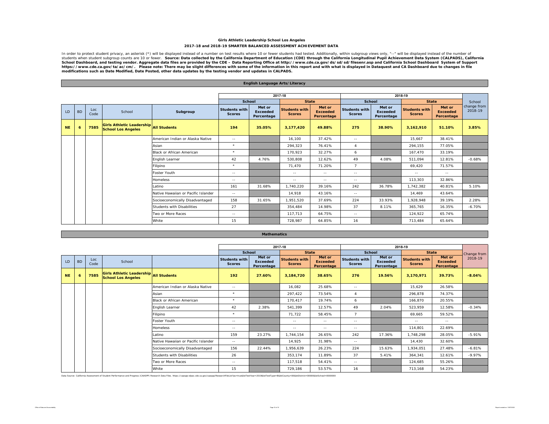#### **Girls Athletic Leadership School Los Angeles 2017-18 and 2018-19 SMARTER BALANCED ASSESSMENT ACHIEVEMENT DATA**

In order to protect student privacy, an asterisk (\*) will be displayed instead of a number on test results when students when students when students ubgroup views only, "--" will be displayed instead of the number of the n

|           |           |             |                                                                            |                                     |                                       | English Language Arts/Literacy          |                                       |                                         |                                       |                                         |                                       |                                         |                        |
|-----------|-----------|-------------|----------------------------------------------------------------------------|-------------------------------------|---------------------------------------|-----------------------------------------|---------------------------------------|-----------------------------------------|---------------------------------------|-----------------------------------------|---------------------------------------|-----------------------------------------|------------------------|
|           |           |             |                                                                            |                                     |                                       |                                         |                                       |                                         |                                       |                                         |                                       |                                         |                        |
|           |           |             |                                                                            |                                     |                                       |                                         | 2017-18                               |                                         |                                       |                                         | 2018-19                               |                                         |                        |
|           |           |             |                                                                            |                                     | <b>School</b>                         |                                         | <b>State</b>                          |                                         | School                                |                                         | <b>State</b>                          |                                         | School                 |
| LD        | <b>BD</b> | Loc<br>Code | School                                                                     | Subgroup                            | <b>Students with</b><br><b>Scores</b> | Met or<br><b>Exceeded</b><br>Percentage | <b>Students with</b><br><b>Scores</b> | Met or<br><b>Exceeded</b><br>Percentage | <b>Students with</b><br><b>Scores</b> | Met or<br><b>Exceeded</b><br>Percentage | <b>Students with</b><br><b>Scores</b> | Met or<br><b>Exceeded</b><br>Percentage | change from<br>2018-19 |
| <b>NE</b> | 6         | 7585        | <b>Girls Athletic Leadership All Students</b><br><b>School Los Angeles</b> |                                     | 194                                   | 35.05%                                  | 3,177,420                             | 49.88%                                  | 275                                   | 38.90%                                  | 3,162,910                             | 51.10%                                  | 3.85%                  |
|           |           |             |                                                                            | American Indian or Alaska Native    | $\sim$ $-$                            |                                         | 16.100                                | 37.42%                                  | $\sim$ $\sim$                         |                                         | 15.667                                | 38.41%                                  |                        |
|           |           |             |                                                                            | Asian                               | $\star$                               |                                         | 294,323                               | 76.41%                                  | $\overline{4}$                        |                                         | 294,155                               | 77.05%                                  |                        |
|           |           |             |                                                                            | Black or African American           | $\star$                               |                                         | 170,923                               | 32.27%                                  | 6                                     |                                         | 167,470                               | 33.19%                                  |                        |
|           |           |             |                                                                            | English Learner                     | 42                                    | 4.76%                                   | 530,808                               | 12.62%                                  | 49                                    | 4.08%                                   | 511.094                               | 12.81%                                  | $-0.68%$               |
|           |           |             |                                                                            | Filipino                            | $\star$                               |                                         | 71,470                                | 71.20%                                  | $\overline{7}$                        |                                         | 69,420                                | 71.57%                                  |                        |
|           |           |             |                                                                            | Foster Youth                        | $\sim$ $-$                            |                                         | $\sim$ $-$                            | $\sim$ $-$                              | $\sim$ $-$                            |                                         | $\frac{1}{2}$                         | $\sim$ $-$                              |                        |
|           |           |             |                                                                            | <b>Homeless</b>                     | $\sim$ $-$                            |                                         | $\sim$ $-$                            | $\sim$ $\sim$                           | $\sim$ $-$                            |                                         | 113,303                               | 32.86%                                  |                        |
|           |           |             |                                                                            | Latino                              | 161                                   | 31.68%                                  | 1,740,220                             | 39.16%                                  | 242                                   | 36.78%                                  | 1,742,382                             | 40.81%                                  | 5.10%                  |
|           |           |             |                                                                            | Native Hawaiian or Pacific Islander | $\sim$ $-$                            |                                         | 14,918                                | 43.16%                                  | $\sim$ $-$                            |                                         | 14,469                                | 43.64%                                  |                        |
|           |           |             |                                                                            | Socioeconomically Disadvantaged     | 158                                   | 31.65%                                  | 1,951,520                             | 37.69%                                  | 224                                   | 33.93%                                  | 1,928,948                             | 39.19%                                  | 2.28%                  |
|           |           |             |                                                                            | Students with Disabilities          | 27                                    |                                         | 354,484                               | 14.98%                                  | 37                                    | 8.11%                                   | 365,765                               | 16.35%                                  | $-6.70%$               |
|           |           |             |                                                                            | Two or More Races                   | $\sim$ $-$                            |                                         | 117.713                               | 64.75%                                  | $\sim$ $-$                            |                                         | 124,922                               | 65.74%                                  |                        |
|           |           |             |                                                                            | White                               | 15                                    |                                         | 728,987                               | 64.85%                                  | 16                                    |                                         | 713,484                               | 65.64%                                  |                        |

#### **Mathematics**

|           |           |             |                                                                            |                                     |                                       |                                         | 2017-18                               |                                         |                                       |                                         | 2018-19                               |                                         |             |
|-----------|-----------|-------------|----------------------------------------------------------------------------|-------------------------------------|---------------------------------------|-----------------------------------------|---------------------------------------|-----------------------------------------|---------------------------------------|-----------------------------------------|---------------------------------------|-----------------------------------------|-------------|
|           |           |             |                                                                            |                                     | <b>School</b>                         |                                         | <b>State</b>                          |                                         | <b>School</b>                         |                                         | <b>State</b>                          |                                         | Change from |
| LD.       | <b>BD</b> | Loc<br>Code | School                                                                     |                                     | <b>Students with</b><br><b>Scores</b> | Met or<br><b>Exceeded</b><br>Percentage | <b>Students with</b><br><b>Scores</b> | Met or<br><b>Exceeded</b><br>Percentage | <b>Students with</b><br><b>Scores</b> | Met or<br><b>Exceeded</b><br>Percentage | <b>Students with</b><br><b>Scores</b> | Met or<br><b>Exceeded</b><br>Percentage | 2018-19     |
| <b>NE</b> | 6         | 7585        | <b>Girls Athletic Leadership All Students</b><br><b>School Los Angeles</b> |                                     | 192                                   | 27.60%                                  | 3,184,720                             | 38.65%                                  | 276                                   | 19.56%                                  | 3,170,971                             | 39.73%                                  | $-8.04%$    |
|           |           |             |                                                                            | American Indian or Alaska Native    | $\sim$ $-$                            |                                         | 16,082                                | 25.68%                                  | $\sim$ $\sim$                         |                                         | 15,629                                | 26.58%                                  |             |
|           |           |             |                                                                            | Asian                               | $\ddot{}$                             |                                         | 297,422                               | 73.54%                                  | $\overline{4}$                        |                                         | 296.878                               | 74.37%                                  |             |
|           |           |             |                                                                            | Black or African American           | $\ddot{}$                             |                                         | 170.417                               | 19.74%                                  | 6                                     |                                         | 166.870                               | 20.55%                                  |             |
|           |           |             |                                                                            | English Learner                     | 42                                    | 2.38%                                   | 541,399                               | 12.57%                                  | 49                                    | 2.04%                                   | 523,959                               | 12.58%                                  | $-0.34%$    |
|           |           |             |                                                                            | Filipino                            | $\star$                               |                                         | 71,722                                | 58.45%                                  | $\overline{7}$                        |                                         | 69,665                                | 59.52%                                  |             |
|           |           |             |                                                                            | Foster Youth                        | $\sim$ $-$                            |                                         | $\sim$ $-$                            | $\sim$ $-$                              | $\sim$ $-$                            |                                         | $\sim$ $\sim$                         | $\sim$ $-$                              |             |
|           |           |             |                                                                            | <b>Homeless</b>                     | $\sim$ $-$                            |                                         | $\sim$ $-$                            | $\sim$ $-$                              | $\sim$ $-$                            |                                         | 114,801                               | 22.69%                                  |             |
|           |           |             |                                                                            | Latino                              | 159                                   | 23.27%                                  | 1,744,154                             | 26.65%                                  | 242                                   | 17.36%                                  | 1,748,298                             | 28.05%                                  | $-5.91%$    |
|           |           |             |                                                                            | Native Hawaiian or Pacific Islander | $\sim$ $-$                            |                                         | 14,925                                | 31.98%                                  | $\sim$ $-$                            |                                         | 14,430                                | 32.60%                                  |             |
|           |           |             |                                                                            | Socioeconomically Disadvantaged     | 156                                   | 22.44%                                  | 1,956,639                             | 26.23%                                  | 224                                   | 15.63%                                  | 1,934,051                             | 27.48%                                  | $-6.81%$    |
|           |           |             |                                                                            | Students with Disabilities          | 26                                    |                                         | 353,174                               | 11.89%                                  | 37                                    | 5.41%                                   | 364,341                               | 12.61%                                  | $-9.97%$    |
|           |           |             |                                                                            | Two or More Races                   | $\sim$ $-$                            |                                         | 117,518                               | 54.41%                                  | $- -$                                 |                                         | 124.685                               | 55.26%                                  |             |
|           |           |             |                                                                            | White                               | 15                                    |                                         | 729.186                               | 53.57%                                  | 16                                    |                                         | 713.168                               | 54.23%                                  |             |

Data Source: California Assessment of Student Performance and Progress (CAASPP) Research Data Files. https://caaspp-eipac.cde.ca.gov/caaspp/ResearchFileList?ps=true&IstTestYear=2019&IstTestType=B&IstCounty=00&IstDistrict=0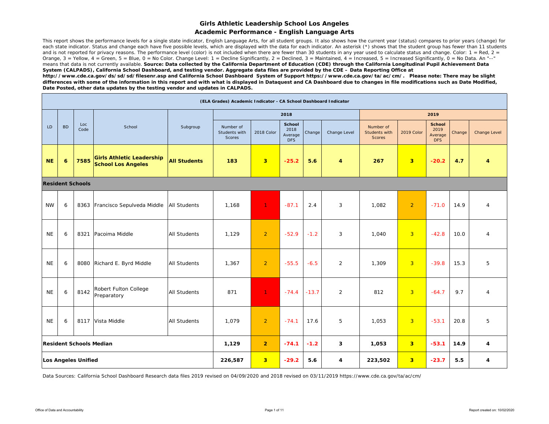#### **Academic Performance - English Language Arts**

This report shows the performance levels for a single state indicator, English Language Arts, for all student groups. It also shows how the current year (status) compares to prior years (change) for each state indicator. Status and change each have five possible levels, which are displayed with the data for each indicator. An asterisk (\*) shows that the student group has fewer than 11 students and is not reported for privacy reasons. The performance level (color) is not included when there are fewer than 30 students in any year used to calculate status and change. Color:  $1 = \text{Red}$ ,  $2 =$ Orange,  $3$  = Yellow,  $4$  = Green,  $5$  = Blue,  $0$  = No Color. Change Level:  $1$  = Decline Significantly,  $2$  = Declined,  $3$  = Maintained,  $4$  = Increased,  $5$  = Increased Significantly,  $0$  = No Data. An "--" means that data is not currently available. *Source: Data collected by the California Department of Education (CDE) through the California Longitudinal Pupil Achievement Data System (CALPADS), California School Dashboard, and testing vendor. Aggregate data files are provided by the CDE – Data Reporting Office at* 

*http://www.cde.ca.gov/ds/sd/sd/filesenr.asp and California School Dashboard System of Support https://www.cde.ca.gov/ta/ac/cm/. Please note: There may be slight differences with some of the information in this report and with what is displayed in Dataquest and CA Dashboard due to changes in file modifications such as Date Modified, Date Posted, other data updates by the testing vendor and updates in CALPADS.* 

|           |           |                            |                                                               |                     | (ELA Grades) Academic Indicator - CA School Dashboard Indicator |                         |                                                |         |              |                                             |                         |                                                |        |                |
|-----------|-----------|----------------------------|---------------------------------------------------------------|---------------------|-----------------------------------------------------------------|-------------------------|------------------------------------------------|---------|--------------|---------------------------------------------|-------------------------|------------------------------------------------|--------|----------------|
|           |           |                            |                                                               |                     |                                                                 |                         | 2018                                           |         |              |                                             |                         | 2019                                           |        |                |
| LD        | <b>BD</b> | Loc<br>Code                | School                                                        | Subgroup            | Number of<br>Students with<br><b>Scores</b>                     | 2018 Color              | <b>School</b><br>2018<br>Average<br><b>DFS</b> | Change  | Change Level | Number of<br>Students with<br><b>Scores</b> | 2019 Color              | <b>School</b><br>2019<br>Average<br><b>DFS</b> | Change | Change Level   |
| <b>NE</b> | 6         | 7585                       | <b>Girls Athletic Leadership</b><br><b>School Los Angeles</b> | <b>All Students</b> | 183                                                             | $\overline{\mathbf{3}}$ | $-25.2$                                        | 5.6     | 4            | 267                                         | $\overline{\mathbf{3}}$ | $-20.2$                                        | 4.7    | 4              |
|           |           | <b>Resident Schools</b>    |                                                               |                     |                                                                 |                         |                                                |         |              |                                             |                         |                                                |        |                |
| <b>NW</b> | 6         |                            | 8363 Francisco Sepulveda Middle                               | <b>All Students</b> | 1,168                                                           | $\mathbf{1}$            | $-87.1$                                        | 2.4     | 3            | 1,082                                       | $\overline{2}$          | $-71.0$                                        | 14.9   | $\overline{4}$ |
| <b>NE</b> | 6         | 8321                       | Pacoima Middle                                                | All Students        | 1,129                                                           | $\overline{2}$          | $-52.9$                                        | $-1.2$  | 3            | 1,040                                       | $\overline{3}$          | $-42.8$                                        | 10.0   | 4              |
| <b>NE</b> | 6         |                            | 8080 Richard E. Byrd Middle                                   | All Students        | 1,367                                                           | $\overline{2}$          | $-55.5$                                        | $-6.5$  | 2            | 1,309                                       | $\overline{3}$          | $-39.8$                                        | 15.3   | 5              |
| <b>NE</b> | 6         | 8142                       | Robert Fulton College<br>Preparatory                          | All Students        | 871                                                             | $\mathbf{1}$            | $-74.4$                                        | $-13.7$ | 2            | 812                                         | $\overline{3}$          | $-64.7$                                        | 9.7    | 4              |
| <b>NE</b> | 6         | 8117                       | Vista Middle                                                  | All Students        | 1,079                                                           | $\overline{2}$          | $-74.1$                                        | 17.6    | 5            | 1,053                                       | $\overline{3}$          | $-53.1$                                        | 20.8   | 5              |
|           |           |                            | <b>Resident Schools Median</b>                                |                     | 1,129                                                           | $\overline{2}$          | $-74.1$                                        | $-1.2$  | 3            | 1,053                                       | 3 <sup>2</sup>          | $-53.1$                                        | 14.9   | 4              |
|           |           | <b>Los Angeles Unified</b> |                                                               |                     | 226,587                                                         | 3 <sup>1</sup>          | $-29.2$                                        | 5.6     | 4            | 223,502                                     | $\overline{\mathbf{3}}$ | $-23.7$                                        | 5.5    | 4              |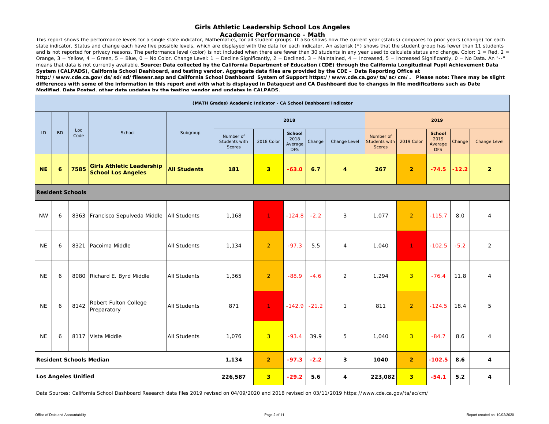**Academic Performance - Math**

Ihis report shows the performance levels for a single state indicator, Mathematics, for all student groups. It also shows how the current year (status) compares to prior years (change) for each state indicator. Status and change each have five possible levels, which are displayed with the data for each indicator. An asterisk (\*) shows that the student group has fewer than 11 students and is not reported for privacy reasons. The performance level (color) is not included when there are fewer than 30 students in any year used to calculate status and change. Color: 1 = Red, 2 = Orange, 3 = Yellow, 4 = Green, 5 = Blue, 0 = No Color. Change Level: 1 = Decline Significantly, 2 = Declined, 3 = Maintained, 4 = Increased, 5 = Increased Significantly, 0 = No Data. An "--" means that data is not currently available. Source: Data collected by the California Department of Education (CDE) through the California Longitudinal Pupil Achievement Data *System (CALPADS), California School Dashboard, and testing vendor. Aggregate data files are provided by the CDE – Data Reporting Office at* 

*http://www.cde.ca.gov/ds/sd/sd/filesenr.asp and California School Dashboard System of Support https://www.cde.ca.gov/ta/ac/cm/. Please note: There may be slight differences with some of the information in this report and with what is displayed in Dataquest and CA Dashboard due to changes in file modifications such as Date*  Modified. Date Posted, other data undates by the testing vendor and undates in CAI PADS.

|           |           |                            |                                                               |                     | (MATH Grades) Academic Indicator - CA School Dashboard Indicator |                |                                                |         |                |                                             |                |                                                |         |                     |
|-----------|-----------|----------------------------|---------------------------------------------------------------|---------------------|------------------------------------------------------------------|----------------|------------------------------------------------|---------|----------------|---------------------------------------------|----------------|------------------------------------------------|---------|---------------------|
|           |           |                            |                                                               |                     |                                                                  |                | 2018                                           |         |                |                                             |                | 2019                                           |         |                     |
| LD        | <b>BD</b> | Loc<br>Code                | School                                                        | Subgroup            | Number of<br>Students with<br>Scores                             | 2018 Color     | <b>School</b><br>2018<br>Average<br><b>DFS</b> | Change  | Change Level   | Number of<br>Students with<br><b>Scores</b> | 2019 Color     | <b>School</b><br>2019<br>Average<br><b>DFS</b> | Change  | <b>Change Level</b> |
| <b>NE</b> | 6         | 7585                       | <b>Girls Athletic Leadership</b><br><b>School Los Angeles</b> | <b>All Students</b> | 181                                                              | 3 <sup>2</sup> | $-63.0$                                        | 6.7     | $\overline{4}$ | 267                                         | $\overline{2}$ | $-74.5$                                        | $-12.2$ | $\overline{2}$      |
|           |           | <b>Resident Schools</b>    |                                                               |                     |                                                                  |                |                                                |         |                |                                             |                |                                                |         |                     |
| <b>NW</b> | 6         |                            | 8363 Francisco Sepulveda Middle                               | <b>All Students</b> | 1.168                                                            | $\mathbf{1}$   | $-124.8$                                       | $-2.2$  | 3              | 1.077                                       | $\overline{2}$ | $-115.7$                                       | 8.0     | $\overline{4}$      |
| <b>NE</b> | 6         |                            | 8321 Pacoima Middle                                           | <b>All Students</b> | 1,134                                                            | 2              | $-97.3$                                        | 5.5     | $\overline{4}$ | 1,040                                       | 1 <sup>1</sup> | $-102.5$                                       | $-5.2$  | $\overline{2}$      |
| <b>NE</b> | 6         |                            | 8080 Richard E. Byrd Middle                                   | <b>All Students</b> | 1,365                                                            | $\overline{2}$ | $-88.9$                                        | $-4.6$  | 2              | 1,294                                       | $\overline{3}$ | $-76.4$                                        | 11.8    | $\overline{4}$      |
| <b>NE</b> | 6         | 8142                       | Robert Fulton College<br>Preparatory                          | All Students        | 871                                                              | $\mathbf{1}$   | $-142.9$                                       | $-21.2$ | $\mathbf{1}$   | 811                                         | $\overline{2}$ | $-124.5$                                       | 18.4    | 5                   |
| <b>NE</b> | 6         |                            | 8117 Vista Middle                                             | All Students        | 1,076                                                            | 3 <sup>2</sup> | $-93.4$                                        | 39.9    | 5              | 1,040                                       | $\overline{3}$ | $-84.7$                                        | 8.6     | $\overline{4}$      |
|           |           |                            | <b>Resident Schools Median</b>                                |                     | 1,134                                                            | $\overline{2}$ | $-97.3$                                        | $-2.2$  | 3              | 1040                                        | $\overline{2}$ | $-102.5$                                       | 8.6     | 4                   |
|           |           | <b>Los Angeles Unified</b> |                                                               |                     | 226,587                                                          | 3 <sup>2</sup> | $-29.2$                                        | 5.6     | 4              | 223,082                                     | 3 <sup>1</sup> | $-54.1$                                        | 5.2     | 4                   |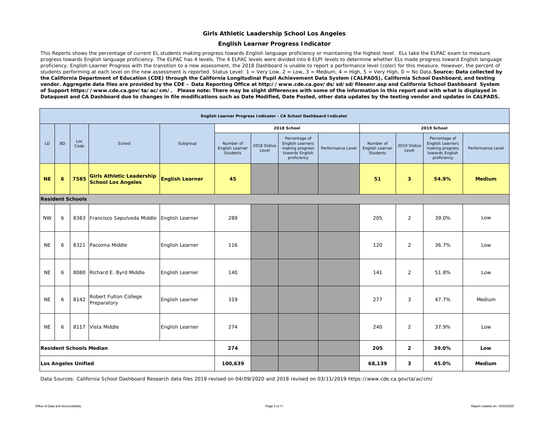#### **English Learner Progress Indicator**

This Reports shows the percentage of current EL students making progress towards English language proficiency or maintaining the highest level. ELs take the ELPAC exam to measure progress towards English language proficiency. The ELPAC has 4 levels. The 4 ELPAC levels were divided into 6 ELPI levels to determine whether ELs made progress toward English language proficiency. English Learner Progress with the transition to a new assessment, the 2018 Dashboard is unable to report a performance level (color) for this measure. However, the percent of students performing at each level on the new assessment is reported. Status Level: 1 = Very Low, 2 = Low, 3 = Medium, 4 = High, 5 = Very High, 0 = No Data. **Source: Data collected by** *the California Department of Education (CDE) through the California Longitudinal Pupil Achievement Data System (CALPADS), California School Dashboard, and testing vendor. Aggregate data files are provided by the CDE – Data Reporting Office at http://www.cde.ca.gov/ds/sd/sd/filesenr.asp and California School Dashboard System of Support https://www.cde.ca.gov/ta/ac/cm/. Please note: There may be slight differences with some of the information in this report and with what is displayed in Dataquest and CA Dashboard due to changes in file modifications such as Date Modified, Date Posted, other data updates by the testing vendor and updates in CALPADS.* 

|           | English Learner Progress Indicator - CA School Dashboard Indicator |                         |                                                               |                        |                                          |                      |                                                                                               |                   |                                          |                      |                                                                                        |                   |  |  |
|-----------|--------------------------------------------------------------------|-------------------------|---------------------------------------------------------------|------------------------|------------------------------------------|----------------------|-----------------------------------------------------------------------------------------------|-------------------|------------------------------------------|----------------------|----------------------------------------------------------------------------------------|-------------------|--|--|
|           |                                                                    |                         |                                                               |                        |                                          |                      | 2018 School                                                                                   |                   |                                          |                      | 2019 School                                                                            |                   |  |  |
| LD.       | <b>BD</b>                                                          | Loc<br>Code             | School                                                        | Subgroup               | Number of<br>English Learner<br>Students | 2018 Status<br>Level | Percentage of<br><b>English Learners</b><br>making progress<br>towards English<br>proficiency | Performance Level | Number of<br>English Learner<br>Students | 2019 Status<br>Level | Percentage of<br>English Learners<br>making progress<br>towards English<br>proficiency | Performance Level |  |  |
| <b>NE</b> | 6                                                                  | 7585                    | <b>Girls Athletic Leadership</b><br><b>School Los Angeles</b> | <b>English Learner</b> | 45                                       |                      |                                                                                               |                   | 51                                       | $\mathbf{3}$         | 54.9%                                                                                  | <b>Medium</b>     |  |  |
|           |                                                                    | <b>Resident Schools</b> |                                                               |                        |                                          |                      |                                                                                               |                   |                                          |                      |                                                                                        |                   |  |  |
| <b>NW</b> | 6                                                                  |                         | 8363 Francisco Sepulveda Middle                               | English Learner        | 289                                      |                      |                                                                                               |                   | 205                                      | $\overline{2}$       | 39.0%                                                                                  | Low               |  |  |
| <b>NE</b> | 6                                                                  | 8321                    | Pacoima Middle                                                | English Learner        | 116                                      |                      |                                                                                               |                   | 120                                      | $\overline{2}$       | 36.7%                                                                                  | Low               |  |  |
| <b>NE</b> | 6                                                                  |                         | 8080 Richard E. Byrd Middle                                   | English Learner        | 140                                      |                      |                                                                                               |                   | 141                                      | $\overline{2}$       | 51.8%                                                                                  | Low               |  |  |
| <b>NE</b> | 6                                                                  | 8142                    | Robert Fulton College<br>Preparatory                          | English Learner        | 319                                      |                      |                                                                                               |                   | 277                                      | 3                    | 47.7%                                                                                  | Medium            |  |  |
| <b>NE</b> | 6                                                                  |                         | 8117 Vista Middle                                             | English Learner        | 274                                      |                      |                                                                                               |                   | 240                                      | $\overline{2}$       | 37.9%                                                                                  | Low               |  |  |
|           | <b>Resident Schools Median</b>                                     |                         |                                                               |                        | 274                                      |                      |                                                                                               |                   | 205                                      | $\overline{2}$       | 39.0%                                                                                  | Low               |  |  |
|           | <b>Los Angeles Unified</b>                                         |                         |                                                               |                        | 100,639                                  |                      |                                                                                               |                   | 68,139                                   | 3                    | 45.0%                                                                                  | Medium            |  |  |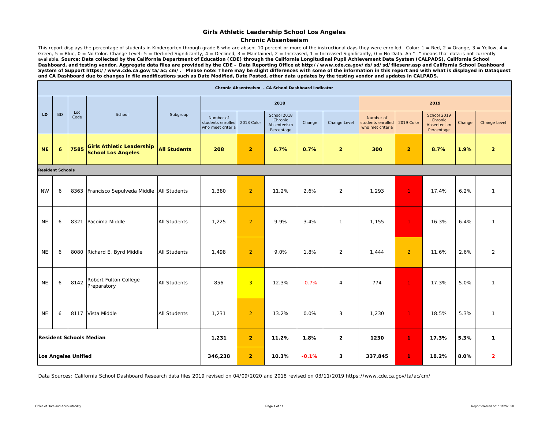#### **Chronic Absenteeism**

This report displays the percentage of students in Kindergarten through grade 8 who are absent 10 percent or more of the instructional days they were enrolled. Color: 1 = Red, 2 = Orange, 3 = Yellow, 4 = Green, 5 = Blue, 0 = No Color. Change Level: 5 = Declined Significantly, 4 = Declined, 3 = Maintained, 2 = Increased, 1 = Increased Significantly, 0 = No Data. An "--" means that data is not currently available. *Source: Data collected by the California Department of Education (CDE) through the California Longitudinal Pupil Achievement Data System (CALPADS), California School Dashboard, and testing vendor. Aggregate data files are provided by the CDE – Data Reporting Office at http://www.cde.ca.gov/ds/sd/sd/filesenr.asp and California School Dashboard System of Support https://www.cde.ca.gov/ta/ac/cm/. Please note: There may be slight differences with some of the information in this report and with what is displayed in Dataquest and CA Dashboard due to changes in file modifications such as Date Modified, Date Posted, other data updates by the testing vendor and updates in CALPADS.* 

|           |                            |             |                                                               |                     |                                                     |                | Chronic Absenteeism - CA School Dashboard Indicator |         |                |                                                    |                |                                                     |        |                |
|-----------|----------------------------|-------------|---------------------------------------------------------------|---------------------|-----------------------------------------------------|----------------|-----------------------------------------------------|---------|----------------|----------------------------------------------------|----------------|-----------------------------------------------------|--------|----------------|
|           |                            |             |                                                               |                     |                                                     |                | 2018                                                |         |                |                                                    |                | 2019                                                |        |                |
| LD        | <b>BD</b>                  | Loc<br>Code | School                                                        | Subgroup            | Number of<br>students enrolled<br>who meet criteria | 2018 Color     | School 2018<br>Chronic<br>Absenteeism<br>Percentage | Change  | Change Level   | Number of<br>students enrolled<br>who met criteria | 2019 Color     | School 2019<br>Chronic<br>Absenteeism<br>Percentage | Change | Change Level   |
| <b>NE</b> | 6                          | 7585        | <b>Girls Athletic Leadership</b><br><b>School Los Angeles</b> | <b>All Students</b> | 208                                                 | $\overline{2}$ | 6.7%                                                | 0.7%    | $\overline{2}$ | 300                                                | $\overline{2}$ | 8.7%                                                | 1.9%   | $\overline{2}$ |
|           | <b>Resident Schools</b>    |             |                                                               |                     |                                                     |                |                                                     |         |                |                                                    |                |                                                     |        |                |
| <b>NW</b> | 6                          |             | 8363 Francisco Sepulveda Middle   All Students                |                     | 1,380                                               | $\overline{2}$ | 11.2%                                               | 2.6%    | $\overline{2}$ | 1,293                                              | $\mathbf{1}$   | 17.4%                                               | 6.2%   | $\overline{1}$ |
| <b>NE</b> | 6                          | 8321        | Pacoima Middle                                                | <b>All Students</b> | 1,225                                               | $\overline{2}$ | 9.9%                                                | 3.4%    | $\mathbf{1}$   | 1,155                                              | $\mathbf{1}$   | 16.3%                                               | 6.4%   | $\overline{1}$ |
| <b>NE</b> | 6                          |             | 8080 Richard E. Byrd Middle                                   | <b>All Students</b> | 1,498                                               | $\overline{2}$ | 9.0%                                                | 1.8%    | $\overline{2}$ | 1,444                                              | $\overline{2}$ | 11.6%                                               | 2.6%   | $\overline{2}$ |
| <b>NE</b> | 6                          | 8142        | Robert Fulton College<br>Preparatory                          | <b>All Students</b> | 856                                                 | 3 <sup>2</sup> | 12.3%                                               | $-0.7%$ | $\overline{4}$ | 774                                                | $\mathbf{1}$   | 17.3%                                               | 5.0%   | $\overline{1}$ |
| <b>NE</b> | 6                          |             | 8117 Vista Middle                                             | <b>All Students</b> | 1,231                                               | $\overline{2}$ | 13.2%                                               | 0.0%    | 3              | 1,230                                              | $\mathbf{1}$   | 18.5%                                               | 5.3%   | $\overline{1}$ |
|           |                            |             | <b>Resident Schools Median</b>                                |                     | 1,231                                               | $\overline{2}$ | 11.2%                                               | 1.8%    | $\overline{2}$ | 1230                                               | 1.             | 17.3%                                               | 5.3%   | $\mathbf{1}$   |
|           | <b>Los Angeles Unified</b> |             |                                                               |                     | 346,238                                             | $\overline{2}$ | 10.3%                                               | $-0.1%$ | 3              | 337,845                                            | 1.             | 18.2%                                               | 8.0%   | $\overline{2}$ |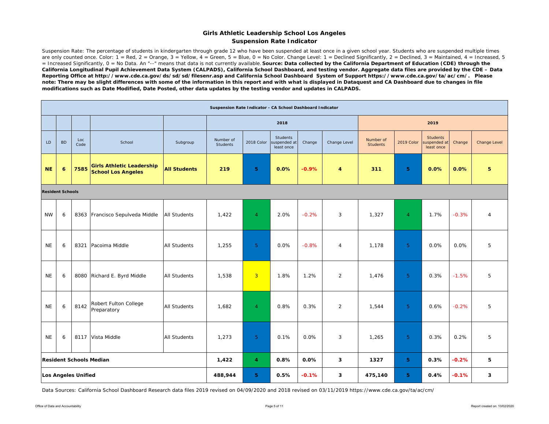#### **Girls Athletic Leadership School Los Angeles Suspension Rate Indicator**

Suspension Rate: The percentage of students in kindergarten through grade 12 who have been suspended at least once in a given school year. Students who are suspended multiple times are only counted once. Color:  $1 = \text{Red}$ ,  $2 = \text{Orange}$ ,  $3 = \text{Yellow}$ ,  $4 = \text{Green}$ ,  $5 = \text{Blue}$ ,  $0 = \text{No Color}$ . Change Level:  $1 = \text{Decimal}$  Significantly,  $2 = \text{Decimal}$ ,  $3 = \text{maintained}$ ,  $4 = \text{Increasing}$ ,  $5 = \text{Rel}$ = Increased Significantly, 0 = No Data. An "--" means that data is not currently available. *Source: Data collected by the California Department of Education (CDE) through the California Longitudinal Pupil Achievement Data System (CALPADS), California School Dashboard, and testing vendor. Aggregate data files are provided by the CDE – Data Reporting Office at http://www.cde.ca.gov/ds/sd/sd/filesenr.asp and California School Dashboard System of Support https://www.cde.ca.gov/ta/ac/cm/. Please note: There may be slight differences with some of the information in this report and with what is displayed in Dataquest and CA Dashboard due to changes in file modifications such as Date Modified, Date Posted, other data updates by the testing vendor and updates in CALPADS.* 

|                         |                                         |                            |                                                               |                     | Suspension Rate Indicator - CA School Dashboard Indicator |                |                                               |         |                |                              |                |                                               |         |                |
|-------------------------|-----------------------------------------|----------------------------|---------------------------------------------------------------|---------------------|-----------------------------------------------------------|----------------|-----------------------------------------------|---------|----------------|------------------------------|----------------|-----------------------------------------------|---------|----------------|
|                         |                                         |                            |                                                               |                     |                                                           |                | 2018                                          |         |                |                              |                | 2019                                          |         |                |
| LD                      | <b>BD</b>                               | Loc<br>Code                | School                                                        | Subgroup            | Number of<br><b>Students</b>                              | 2018 Color     | <b>Students</b><br>suspended at<br>least once | Change  | Change Level   | Number of<br><b>Students</b> | 2019 Color     | <b>Students</b><br>suspended at<br>least once | Change  | Change Level   |
| <b>NE</b>               | 6                                       | 7585                       | <b>Girls Athletic Leadership</b><br><b>School Los Angeles</b> | <b>All Students</b> | 219                                                       | 5              | 0.0%                                          | $-0.9%$ | $\overline{4}$ | 311                          | 5 <sup>1</sup> | 0.0%                                          | 0.0%    | 5              |
| <b>Resident Schools</b> |                                         |                            |                                                               |                     |                                                           |                |                                               |         |                |                              |                |                                               |         |                |
| <b>NW</b>               | 6                                       |                            | 8363 Francisco Sepulveda Middle                               | <b>All Students</b> | 1,422                                                     | $\overline{4}$ | 2.0%                                          | $-0.2%$ | 3              | 1,327                        | $\overline{4}$ | 1.7%                                          | $-0.3%$ | $\overline{4}$ |
| <b>NE</b>               | 6                                       | 8321                       | Pacoima Middle                                                | <b>All Students</b> | 1,255                                                     | 5              | 0.0%                                          | $-0.8%$ | $\overline{4}$ | 1,178                        | 5 <sup>1</sup> | 0.0%                                          | 0.0%    | 5              |
| <b>NE</b>               | 6                                       | 8080                       | Richard E. Byrd Middle                                        | All Students        | 1,538                                                     | $\overline{3}$ | 1.8%                                          | 1.2%    | $\overline{2}$ | 1,476                        | 5 <sup>1</sup> | 0.3%                                          | $-1.5%$ | 5              |
| <b>NE</b>               | 6                                       | 8142                       | Robert Fulton College<br>Preparatory                          | <b>All Students</b> | 1,682                                                     | $\overline{4}$ | 0.8%                                          | 0.3%    | 2              | 1,544                        | 5 <sup>1</sup> | 0.6%                                          | $-0.2%$ | 5              |
| <b>NE</b>               | 6                                       |                            | 8117 Vista Middle                                             | <b>All Students</b> | 1,273                                                     | 5 <sup>1</sup> | 0.1%                                          | 0.0%    | 3              | 1,265                        | 5 <sup>1</sup> | 0.3%                                          | 0.2%    | 5              |
|                         | 1,422<br><b>Resident Schools Median</b> |                            |                                                               |                     |                                                           | 4              | 0.8%                                          | 0.0%    | 3              | 1327                         | 5 <sub>1</sub> | 0.3%                                          | $-0.2%$ | 5              |
|                         |                                         | <b>Los Angeles Unified</b> |                                                               | 488,944             | 5                                                         | 0.5%           | $-0.1%$                                       | 3       | 475,140        | 5 <sup>1</sup>               | 0.4%           | $-0.1%$                                       | 3       |                |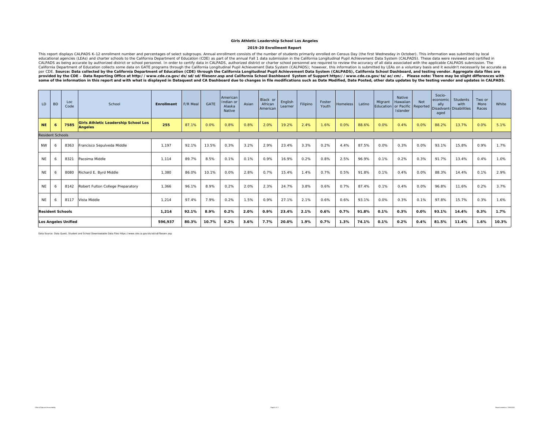#### **2019-20 Enrollment Report**

This report displays CALPADS K-12 enrollment number and percentages of select subgroups. Annual enrollment consists of the number of students primarily enrolled on Census Day (the first Wednesday in October). This informat some of the information in this report and with what is displayed in Dataquest and CA Dashboard due to changes in file modifications such as Date Modified, Date Posted, other data updates by the testing vendor and updates

| LD.                     | <b>BD</b> | Loc<br>Code                | School                                                        | <b>Enrollment</b>                                                                                                                  | F/R Meal | GATE  | American<br>Indian or<br>Alaska<br>Native | Asian | Black or<br>African<br>American | English<br>Learner                                                               | Filipino | Foster<br>Youth | <b>Homeless</b> | Latino | Migrant<br>Education | Native<br>Hawaiian<br>or Pacific Reported<br>Islander | Not  | Socio-<br>economic<br>ally<br>aged | Students<br>with<br>Disadvant Disabilities | Two or<br>More<br>Races | White |
|-------------------------|-----------|----------------------------|---------------------------------------------------------------|------------------------------------------------------------------------------------------------------------------------------------|----------|-------|-------------------------------------------|-------|---------------------------------|----------------------------------------------------------------------------------|----------|-----------------|-----------------|--------|----------------------|-------------------------------------------------------|------|------------------------------------|--------------------------------------------|-------------------------|-------|
| <b>NE</b>               | 6         | 7585                       | <b>Girls Athletic Leadership School Los</b><br><b>Angeles</b> | 255                                                                                                                                | 87.1%    | 0.0%  | 0.8%                                      | 0.8%  | 2.0%                            | 19.2%                                                                            | 2.4%     | 1.6%            | 0.0%            | 88.6%  | 0.0%                 | 0.4%                                                  | 0.0% | 88.2%                              | 13.7%                                      | 0.0%                    | 5.1%  |
| <b>Resident Schools</b> |           |                            |                                                               |                                                                                                                                    |          |       |                                           |       |                                 |                                                                                  |          |                 |                 |        |                      |                                                       |      |                                    |                                            |                         |       |
| <b>NW</b>               | 6         | 8363                       | Francisco Sepulveda Middle                                    | 1,197                                                                                                                              | 92.1%    | 13.5% | 0.3%                                      | 3.2%  | 2.9%                            | 23.4%                                                                            | 3.3%     | 0.2%            | 4.4%            | 87.5%  | 0.0%                 | 0.3%                                                  | 0.0% | 93.1%                              | 15.8%                                      | 0.9%                    | 1.7%  |
| <b>NE</b>               | -6        | 8321                       | Pacoima Middle                                                | 1,114                                                                                                                              | 89.7%    | 8.5%  | 0.1%                                      | 0.1%  | 0.9%                            | 16.9%                                                                            | 0.2%     | 0.8%            | 2.5%            | 96.9%  | 0.1%                 | 0.2%                                                  | 0.3% | 91.7%                              | 13.4%                                      | 0.4%                    | 1.0%  |
| <b>NE</b>               | -6        | 8080                       | Richard E. Byrd Middle                                        | 1,380                                                                                                                              | 86.0%    | 10.1% | 0.0%                                      | 2.8%  | 0.7%                            | 15.4%                                                                            | 1.4%     | 0.7%            | 0.5%            | 91.8%  | 0.1%                 | 0.4%                                                  | 0.0% | 88.3%                              | 14.4%                                      | 0.1%                    | 2.9%  |
| <b>NE</b>               | -6        | 8142                       | Robert Fulton College Preparatory                             | 1,366                                                                                                                              | 96.1%    | 8.9%  | 0.2%                                      | 2.0%  | 2.3%                            | 24.7%                                                                            | 3.8%     | 0.6%            | 0.7%            | 87.4%  | 0.1%                 | 0.4%                                                  | 0.0% | 96.8%                              | 11.6%                                      | 0.2%                    | 3.7%  |
| <b>NE</b>               | 6         | 8117                       | Vista Middle                                                  | 1,214                                                                                                                              | 97.4%    | 7.9%  | 0.2%                                      | 1.5%  | 0.9%                            | 27.1%                                                                            | 2.1%     | 0.6%            | 0.6%            | 93.1%  | 0.0%                 | 0.3%                                                  | 0.1% | 97.8%                              | 15.7%                                      | 0.3%                    | 1.6%  |
| <b>Resident Schools</b> |           |                            |                                                               | 0.2%<br>2.1%<br>0.6%<br>0.7%<br>0.1%<br>0.3%<br>0.0%<br>93.1%<br>1,214<br>92.1%<br>8.9%<br>2.0%<br>0.9%<br>91.8%<br>14.4%<br>23.4% |          |       |                                           |       | 0.3%                            | 1.7%                                                                             |          |                 |                 |        |                      |                                                       |      |                                    |                                            |                         |       |
|                         |           | <b>Los Angeles Unified</b> |                                                               | 596,937                                                                                                                            | 80.3%    | 10.7% | 0.2%                                      | 3.6%  | 7.7%                            | 1.9%<br>81.5%<br>0.7%<br>1.3%<br>74.1%<br>0.1%<br>0.2%<br>0.4%<br>20.0%<br>11.4% |          |                 | 1.6%            | 10.3%  |                      |                                                       |      |                                    |                                            |                         |       |

Data Source: Data Quest, Student and School Downloadable Data Files https://www.cde.ca.gov/ds/sd/sd/filesenr.asp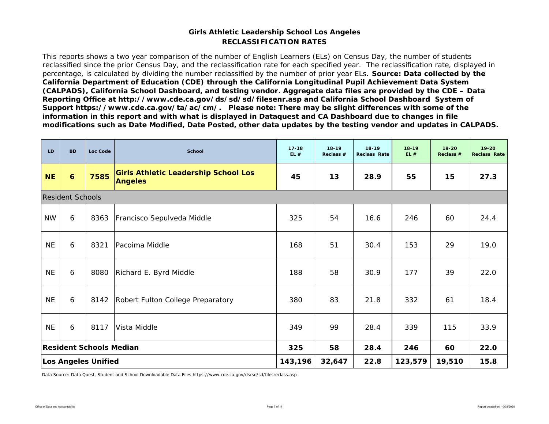#### **RECLASSIFICATION RATESGirls Athletic Leadership School Los Angeles**

This reports shows a two year comparison of the number of English Learners (ELs) on Census Day, the number of students reclassified since the prior Census Day, and the reclassification rate for each specified year. The reclassification rate, displayed in percentage, is calculated by dividing the number reclassified by the number of prior year ELs. *Source: Data collected by the California Department of Education (CDE) through the California Longitudinal Pupil Achievement Data System (CALPADS), California School Dashboard, and testing vendor. Aggregate data files are provided by the CDE – Data Reporting Office at http://www.cde.ca.gov/ds/sd/sd/filesenr.asp and California School Dashboard System of Support https://www.cde.ca.gov/ta/ac/cm/. Please note: There may be slight differences with some of the information in this report and with what is displayed in Dataquest and CA Dashboard due to changes in file modifications such as Date Modified, Date Posted, other data updates by the testing vendor and updates in CALPADS.* 

| <b>LD</b> | <b>BD</b>               | Loc Code                       | <b>School</b>                                                 | $17 - 18$<br>EL# | $18 - 19$<br>Reclass # | $18 - 19$<br><b>Reclass Rate</b> | $18 - 19$<br>EL# | $19 - 20$<br>Reclass # | $19 - 20$<br><b>Reclass Rate</b> |
|-----------|-------------------------|--------------------------------|---------------------------------------------------------------|------------------|------------------------|----------------------------------|------------------|------------------------|----------------------------------|
| <b>NE</b> | 6                       | 7585                           | <b>Girls Athletic Leadership School Los</b><br><b>Angeles</b> | 45               | 13                     | 28.9                             | 55               | 15                     | 27.3                             |
|           | <b>Resident Schools</b> |                                |                                                               |                  |                        |                                  |                  |                        |                                  |
| <b>NW</b> | 6                       | 8363                           | Francisco Sepulveda Middle                                    | 325              | 54                     | 16.6                             | 246              | 60                     | 24.4                             |
| <b>NE</b> | 6                       | 8321                           | Pacoima Middle                                                | 168              | 51                     | 30.4                             | 153              | 29                     | 19.0                             |
| <b>NE</b> | 6                       | 8080                           | Richard E. Byrd Middle                                        | 188              | 58                     | 30.9                             | 177              | 39                     | 22.0                             |
| <b>NE</b> | 6                       | 8142                           | Robert Fulton College Preparatory                             | 380              | 83                     | 21.8                             | 332              | 61                     | 18.4                             |
| <b>NE</b> | 6                       | 8117                           | Vista Middle                                                  | 349              | 99                     | 28.4                             | 339              | 115                    | 33.9                             |
|           |                         | <b>Resident Schools Median</b> |                                                               | 325              | 58                     | 28.4                             | 246              | 60                     | 22.0                             |
|           |                         | <b>Los Angeles Unified</b>     |                                                               | 143,196          | 32,647                 | 22.8                             | 123,579          | 19,510                 | 15.8                             |

Data Source: Data Quest, Student and School Downloadable Data Files https://www.cde.ca.gov/ds/sd/sd/filesreclass.asp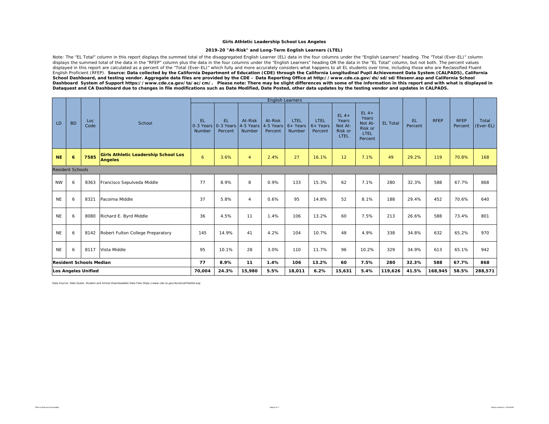#### **2019-20 "At-Risk" and Long-Term English Learners (LTEL)**

Note: The "EL Total" column in this report displays the summed total of the disaggregated English Learner (EL) data in the four columns under the "English Learners" heading. The "Total (Ever-EL)" column displays the summed total of the data in the "RFEP" column plus the data in the four columns under the "English Learners" heading OR the data in the "EL Total" column, but not both. The percent values displayed in this report are calculated as a percent of the "Total (Ever-EL)" which fully and more accurately considers what happens to all EL students over time, including those who are Reclassified Fluent English Proficient (RFEP). *Source: Data collected by the California Department of Education (CDE) through the California Longitudinal Pupil Achievement Data System (CALPADS), California School Dashboard, and testing vendor. Aggregate data files are provided by the CDE – Data Reporting Office at http://www.cde.ca.gov/ds/sd/sd/filesenr.asp and California School*  Dashboard System of Support https://www.cde.ca.gov/ta/ac/cm/. Please note: There may be slight differences with some of the information in this report and with what is displayed in *Dataquest and CA Dashboard due to changes in file modifications such as Date Modified, Date Posted, other data updates by the testing vendor and updates in CALPADS.* 

|           |                         |                                |                                                               |                     |                                             |                                |                                 | <b>English Learners</b>      |                               |                                               |                                                                         |                 |                      |             |                        |                    |
|-----------|-------------------------|--------------------------------|---------------------------------------------------------------|---------------------|---------------------------------------------|--------------------------------|---------------------------------|------------------------------|-------------------------------|-----------------------------------------------|-------------------------------------------------------------------------|-----------------|----------------------|-------------|------------------------|--------------------|
| LD        | <b>BD</b>               | Loc.<br>Code                   | School                                                        | <b>EL</b><br>Number | <b>EL</b><br>0-3 Years 0-3 Years<br>Percent | At-Risk<br>4-5 Years<br>Number | At-Risk<br>4-5 Years<br>Percent | LTEL<br>$6+$ Years<br>Number | LTEL<br>$6+$ Years<br>Percent | $EL4+$<br>Years<br>Not At-<br>Risk or<br>LTEL | $EL$ 4+<br>Years<br>Not At-<br><b>Risk or</b><br><b>LTFL</b><br>Percent | <b>EL Total</b> | <b>EL</b><br>Percent | <b>RFEP</b> | <b>RFEP</b><br>Percent | Total<br>(Ever-EL) |
| <b>NE</b> | $\ddot{\mathbf{6}}$     | 7585                           | <b>Girls Athletic Leadership School Los</b><br><b>Angeles</b> | 6                   | 3.6%                                        | $\overline{4}$                 | 2.4%                            | 27                           | 16.1%                         | 12                                            | 7.1%                                                                    | 49              | 29.2%                | 119         | 70.8%                  | 168                |
|           | <b>Resident Schools</b> |                                |                                                               |                     |                                             |                                |                                 |                              |                               |                                               |                                                                         |                 |                      |             |                        |                    |
| <b>NW</b> | 6                       | 8363                           | Francisco Sepulveda Middle                                    | 77                  | 8.9%                                        | 8                              | 0.9%                            | 133                          | 15.3%                         | 62                                            | 7.1%                                                                    | 280             | 32.3%                | 588         | 67.7%                  | 868                |
| <b>NE</b> | 6                       | 8321                           | Pacoima Middle                                                | 37                  | 5.8%                                        | $\overline{4}$                 | 0.6%                            | 95                           | 14.8%                         | 52                                            | 8.1%                                                                    | 188             | 29.4%                | 452         | 70.6%                  | 640                |
| <b>NE</b> | 6                       | 8080                           | Richard E. Byrd Middle                                        | 36                  | 4.5%                                        | 11                             | 1.4%                            | 106                          | 13.2%                         | 60                                            | 7.5%                                                                    | 213             | 26.6%                | 588         | 73.4%                  | 801                |
| <b>NE</b> | 6                       | 8142                           | Robert Fulton College Preparatory                             | 145                 | 14.9%                                       | 41                             | 4.2%                            | 104                          | 10.7%                         | 48                                            | 4.9%                                                                    | 338             | 34.8%                | 632         | 65.2%                  | 970                |
| <b>NE</b> | 6                       | 8117                           | Vista Middle                                                  | 95                  | 10.1%                                       | 28                             | 3.0%                            | 110                          | 11.7%                         | 96                                            | 10.2%                                                                   | 329             | 34.9%                | 613         | 65.1%                  | 942                |
|           |                         | <b>Resident Schools Median</b> |                                                               | 77                  | 8.9%                                        | 11                             | 1.4%                            | 106                          | 13.2%                         | 60                                            | 7.5%                                                                    | 280             | 32.3%                | 588         | 67.7%                  | 868                |
|           | Los Angeles Unified     |                                |                                                               |                     | 24.3%                                       | 15,980                         | 5.5%                            | 18,011                       | 6.2%                          | 15,631                                        | 5.4%                                                                    | 119,626         | 41.5%                | 168,945     | 58.5%                  | 288,571            |

Data Source: Data Quest, Student and School Downloadable Data Files https://www.cde.ca.gov/ds/sd/sd/filesltel.asp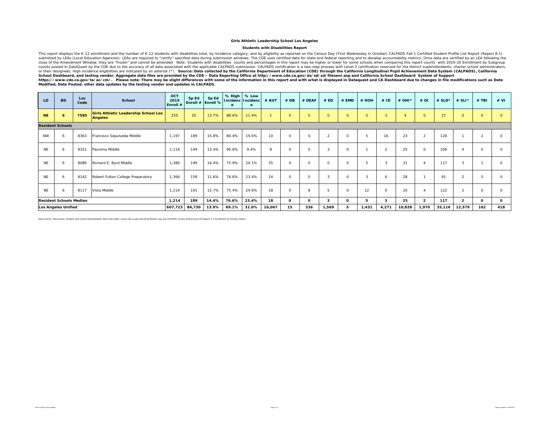#### **Students with Disabilities Report**

This report displays the K-12 enrollment and the number of K-12 students with disabilities total, by incidence category, and by eligibility as reported on the Census Day (First Wednesday in October) CALPADS Fall 1 Certifie submitted by LEAs (Local Education Agencies). LEAs are required to "certify" specified data during submission windows. The CDE uses certified data for state and federal reporting and to develop accountability metrics. Once *Modified, Date Posted, other data updates by the testing vendor and updates in CALPADS.* 

| LD                                             | <b>BD</b>               | Loc<br>Code | <b>School</b>                                                 | OCT<br>2019<br>Enroll # | Sp Ed  | Sp Ed<br>Enroll # Enroll % | % High<br>e | % Low<br>Incidenc Incidenc | # AUT  | #DB          | # DEAF   | # ED         | # EMD    | # HOH   | #ID            | # OHI * | $#$ OI         | # $SLD*$ | # SLI $*$      | $#$ TBI        | # VI     |
|------------------------------------------------|-------------------------|-------------|---------------------------------------------------------------|-------------------------|--------|----------------------------|-------------|----------------------------|--------|--------------|----------|--------------|----------|---------|----------------|---------|----------------|----------|----------------|----------------|----------|
| <b>NE</b>                                      | 6                       | 7585        | <b>Girls Athletic Leadership School Los</b><br><b>Angeles</b> | 255                     | 35     | 13.7%                      | 88.6%       | 11.4%                      |        | $\circ$      | $\circ$  | $\circ$      | $\circ$  | $\circ$ | $\overline{3}$ |         | $\circ$        | 27       | $\circ$        | $\circ$        |          |
|                                                | <b>Resident Schools</b> |             |                                                               |                         |        |                            |             |                            |        |              |          |              |          |         |                |         |                |          |                |                |          |
| <b>NW</b>                                      | 6                       | 8363        | Francisco Sepulveda Middle                                    | 1,197                   | 189    | 15.8%                      | 80.4%       | 19.6%                      | 10     | $\circ$      | $\Omega$ | $\Omega$     | 0        | 5       | 16             | 23      | $\overline{2}$ | 128      |                | $\overline{2}$ |          |
| <b>NE</b>                                      | 6                       | 8321        | Pacoima Middle                                                | 1.114                   | 149    | 13.4%                      | 90.6%       | 9.4%                       | 8      | $\Omega$     | $\Omega$ | $\mathbf{z}$ | $\circ$  |         | $\overline{2}$ | 25      | $\circ$        | 106      |                | $\circ$        | $\Omega$ |
| <b>NE</b>                                      | 6                       | 8080        | Richard E. Byrd Middle                                        | 1,380                   | 199    | 14.4%                      | 75.9%       | 24.1%                      | 35     | $\Omega$     | $\Omega$ | $\Omega$     | $\Omega$ | 5       |                | 31      |                | 117      |                |                | $\Omega$ |
| <b>NE</b>                                      | 6                       | 8142        | Robert Fulton College Preparatory                             | 1,366                   | 158    | 11.6%                      | 76.6%       | 23.4%                      | 24     | $\Omega$     | $\Omega$ |              | $\Omega$ | 3       | 6              | 28      |                | 91       | $\mathcal{P}$  | $\Omega$       | $\Omega$ |
| <b>NE</b>                                      | 6                       | 8117        | Vista Middle                                                  | 1,214                   | 191    | 15.7%                      | 75.4%       | 24.6%                      | 18     | $\Omega$     | 8        |              | $\Omega$ | 12      | $\Omega$       | 20      | $\Delta$       | 122      | $\overline{2}$ | $\circ$        | $\Omega$ |
| <b>Resident Schools Median</b><br>1,214<br>189 |                         |             |                                                               |                         |        | 14.4%                      | 76.6%       | 23.4%                      | 18     | $\mathbf{o}$ | $\Omega$ | з            | O        | 5       | 3              | 25      | $\overline{2}$ | 117      | $\overline{2}$ | $\mathbf{o}$   | $\Omega$ |
| <b>Los Angeles Unified</b>                     |                         |             |                                                               | 607,723                 | 84,730 | 13.9%                      | 69.1%       | 31.0%                      | 16,067 | 15           | 336      | 1,569        |          | 1,431   | 4,271          | 10,828  | 1,970          | 35,116   | 12,579         | 102            | 418      |

Data Source: Data Quest, Student and School Downloadable Data Files https://www.cde.ca.gov/ds/sd/sd/filesenr.asp and CALPADS County Authorizing LEA Report 1.1 Enrollment by Primary Status.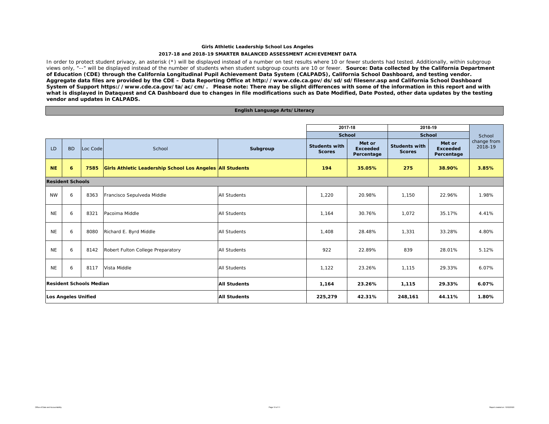#### **2017-18 and 2018-19 SMARTER BALANCED ASSESSMENT ACHIEVEMENT DATA**

In order to protect student privacy, an asterisk (\*) will be displayed instead of a number on test results where 10 or fewer students had tested. Additionally, within subgroup views only, "--" will be displayed instead of the number of students when student subgroup counts are 10 or fewer. *Source: Data collected by the California Department of Education (CDE) through the California Longitudinal Pupil Achievement Data System (CALPADS), California School Dashboard, and testing vendor. Aggregate data files are provided by the CDE – Data Reporting Office at http://www.cde.ca.gov/ds/sd/sd/filesenr.asp and California School Dashboard System of Support https://www.cde.ca.gov/ta/ac/cm/. Please note: There may be slight differences with some of the information in this report and with what is displayed in Dataquest and CA Dashboard due to changes in file modifications such as Date Modified, Date Posted, other data updates by the testing vendor and updates in CALPADS.* 

#### **English Language Arts/Literacy**

|                            |                         |                                |                                                           |                     | 2017-18                               |                                         | 2018-19                               |                                         |                        |
|----------------------------|-------------------------|--------------------------------|-----------------------------------------------------------|---------------------|---------------------------------------|-----------------------------------------|---------------------------------------|-----------------------------------------|------------------------|
|                            |                         |                                |                                                           |                     | School                                |                                         | <b>School</b>                         |                                         | School                 |
| LD                         | <b>BD</b>               | Loc Code                       | School                                                    | Subgroup            | <b>Students with</b><br><b>Scores</b> | Met or<br><b>Exceeded</b><br>Percentage | <b>Students with</b><br><b>Scores</b> | Met or<br><b>Exceeded</b><br>Percentage | change from<br>2018-19 |
| <b>NE</b>                  | 6                       | 7585                           | Girls Athletic Leadership School Los Angeles All Students |                     | 194                                   | 35.05%                                  | 275                                   | 38.90%                                  | 3.85%                  |
|                            | <b>Resident Schools</b> |                                |                                                           |                     |                                       |                                         |                                       |                                         |                        |
| <b>NW</b>                  | 6                       | 8363                           | Francisco Sepulveda Middle                                | All Students        | 1,220                                 | 20.98%                                  | 1,150                                 | 22.96%                                  | 1.98%                  |
| <b>NE</b>                  | 6                       | 8321                           | Pacoima Middle                                            | All Students        | 1,164                                 | 30.76%                                  | 1,072                                 | 35.17%                                  | 4.41%                  |
| <b>NE</b>                  | 6                       | 8080                           | Richard E. Byrd Middle                                    | All Students        | 1,408                                 | 28.48%                                  | 1,331                                 | 33.28%                                  | 4.80%                  |
| <b>NE</b>                  | 6                       | 8142                           | Robert Fulton College Preparatory                         | All Students        | 922                                   | 22.89%                                  | 839                                   | 28.01%                                  | 5.12%                  |
| <b>NE</b>                  | 6                       | 8117                           | Vista Middle                                              | All Students        | 1,122                                 | 23.26%                                  | 1,115                                 | 29.33%                                  | 6.07%                  |
|                            |                         | <b>Resident Schools Median</b> |                                                           | <b>All Students</b> | 1,164                                 | 23.26%                                  | 1,115                                 | 29.33%                                  | 6.07%                  |
| <b>Los Angeles Unified</b> |                         |                                |                                                           | <b>All Students</b> | 225,279                               | 42.31%                                  | 248,161                               | 44.11%                                  | 1.80%                  |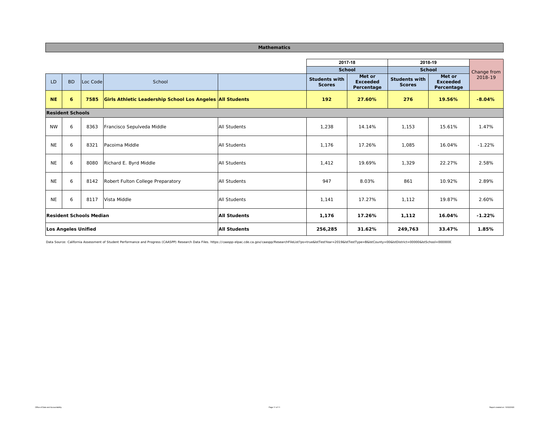#### **Mathematics**

|           |                                |          |                                                           |                     | 2017-18                               |                                         | 2018-19                               |                                         |             |
|-----------|--------------------------------|----------|-----------------------------------------------------------|---------------------|---------------------------------------|-----------------------------------------|---------------------------------------|-----------------------------------------|-------------|
|           |                                |          |                                                           |                     | <b>School</b>                         |                                         | <b>School</b>                         |                                         | Change from |
| LD        | <b>BD</b>                      | Loc Code | School                                                    |                     | <b>Students with</b><br><b>Scores</b> | Met or<br><b>Exceeded</b><br>Percentage | <b>Students with</b><br><b>Scores</b> | Met or<br><b>Exceeded</b><br>Percentage | 2018-19     |
| <b>NE</b> | $\boldsymbol{6}$               | 7585     | Girls Athletic Leadership School Los Angeles All Students |                     | 192                                   | 27.60%                                  | 276                                   | 19.56%                                  | $-8.04%$    |
|           | <b>Resident Schools</b>        |          |                                                           |                     |                                       |                                         |                                       |                                         |             |
| <b>NW</b> | 6                              | 8363     | Francisco Sepulveda Middle                                | <b>All Students</b> | 1,238                                 | 14.14%                                  | 1,153                                 | 15.61%                                  | 1.47%       |
| <b>NE</b> | 6                              | 8321     | Pacoima Middle                                            | <b>All Students</b> | 1.176                                 | 17.26%                                  | 1.085                                 | 16.04%                                  | $-1.22%$    |
| <b>NE</b> | 6                              | 8080     | Richard E. Byrd Middle                                    | <b>All Students</b> | 1,412                                 | 19.69%                                  | 1,329                                 | 22.27%                                  | 2.58%       |
| <b>NE</b> | 6                              | 8142     | Robert Fulton College Preparatory                         | <b>All Students</b> | 947                                   | 8.03%                                   | 861                                   | 10.92%                                  | 2.89%       |
| <b>NE</b> | 6                              | 8117     | Vista Middle                                              | <b>All Students</b> | 1,141                                 | 17.27%                                  | 1,112                                 | 19.87%                                  | 2.60%       |
|           | <b>Resident Schools Median</b> |          |                                                           | <b>All Students</b> | 1,176                                 | 17.26%                                  | 1,112                                 | 16.04%                                  | $-1.22%$    |
|           | Los Angeles Unified            |          |                                                           | <b>All Students</b> | 256,285                               | 31.62%                                  | 249,763                               | 33.47%                                  | 1.85%       |

Data Source: California Assessment of Student Performance and Progress (CAASPP) Research Data Files. https://caaspp-elpac.cde.ca.gov/caaspp/ResearchFileList?ps=true&IstTestYear=2019&IstTestType=B&IstCounty=00&IstDistrict=0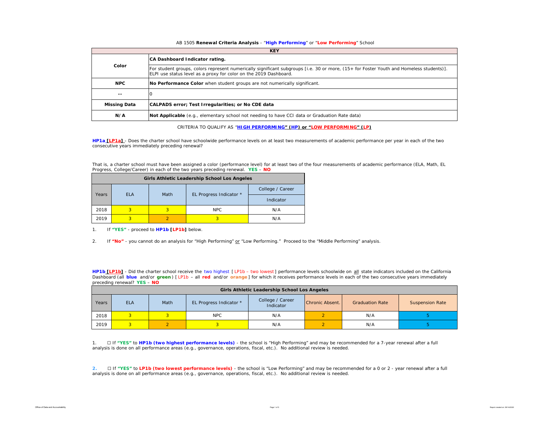#### AB 1505 **Renewal Criteria Analysis** - "**High Performing**" or "**Low Performing**" School

|                     | <b>KEY</b>                                                                                                                                                                                                   |
|---------------------|--------------------------------------------------------------------------------------------------------------------------------------------------------------------------------------------------------------|
|                     | CA Dashboard Indicator rating.                                                                                                                                                                               |
| Color               | For student groups, colors represent numerically significant subgroups [i.e. 30 or more, (15+ for Foster Youth and Homeless students)].<br>ELPI use status level as a proxy for color on the 2019 Dashboard. |
| <b>NPC</b>          | No Performance Color when student groups are not numerically significant.                                                                                                                                    |
| $- -$               |                                                                                                                                                                                                              |
| <b>Missing Data</b> | CALPADS error; Test Irregularities; or No CDE data                                                                                                                                                           |
| N/A                 | Not Applicable (e.g., elementary school not needing to have CCI data or Graduation Rate data)                                                                                                                |

CRITERIA TO QUALIFY AS "**HIGH PERFORMING" (HP) or "LOW PERFORMING" (LP)**

**HP1a [LP1a]** - *Does the charter school have schoolwide performance levels on at least two measurements of academic performance per year in each of the two consecutive years immediately preceding renewal?* 

That is, a charter school must have been assigned a color (performance level) for at least two of the four measurements of academic performance (ELA, Math, EL Progress, College/Career) in each of the two years preceding renewal. **YES** – **NO**

|       |            |      | Girls Athletic Leadership School Los Angeles |                  |
|-------|------------|------|----------------------------------------------|------------------|
|       |            | Math |                                              | College / Career |
| Years | <b>ELA</b> |      | EL Progress Indicator *                      | Indicator        |
| 2018  | 3          | 3    | <b>NPC</b>                                   | N/A              |
| 2019  |            |      |                                              | N/A              |

1. If **"YES"** - proceed to **HP1b [LP1b]** below.

2. If **"No"** - you cannot do an analysis for "High Performing" or "Low Performing." Proceed to the "Middle Performing" analysis.

**HP1b [LP1b]** - *Did the charter school receive the two highest [ LP1b – two lowest ] performance levels schoolwide on all state indicators included on the California*  Dashboard (all blue and/or green) [LP1b - all red and/or orange] for which it receives performance levels in each of the two consecutive years immediately *preceding renewal?* **YES** – **NO**

|       | Girls Athletic Leadership School Los Angeles |      |                         |                               |                 |                        |                        |  |  |  |  |  |  |  |
|-------|----------------------------------------------|------|-------------------------|-------------------------------|-----------------|------------------------|------------------------|--|--|--|--|--|--|--|
| Years | <b>ELA</b>                                   | Math | EL Progress Indicator * | College / Career<br>Indicator | Chronic Absent. | <b>Graduation Rate</b> | <b>Suspension Rate</b> |  |  |  |  |  |  |  |
| 2018  |                                              |      | <b>NPC</b>              | N/A                           |                 | N/A                    |                        |  |  |  |  |  |  |  |
| 2019  |                                              |      |                         | N/A                           |                 | N/A                    |                        |  |  |  |  |  |  |  |

1. ☐ If **"YES"** to **HP1b (two highest performance levels)** - the school is "High Performing" and may be recommended for a 7-year renewal after a full analysis is done on all performance areas (e.g., governance, operations, fiscal, etc.). No additional review is needed.

**2.** ☐ If **"YES"** to **LP1b (two lowest performance levels)** - the school is "Low Performing" and may be recommended for a 0 or 2 - year renewal after a full analysis is done on all performance areas (e.g., governance, operations, fiscal, etc.). No additional review is needed.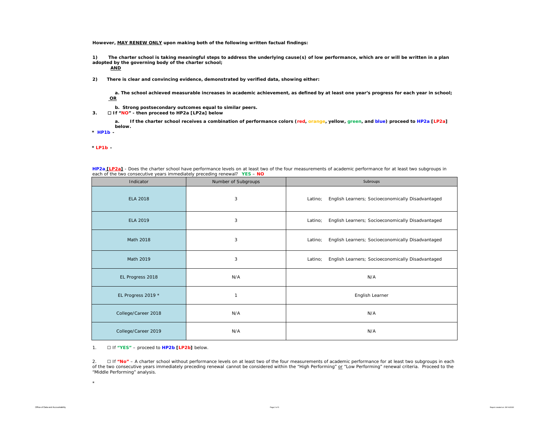**However, MAY RENEW ONLY upon making both of the following written factual findings:**

**1) The charter school is taking meaningful steps to address the underlying cause(s) of low performance, which are or will be written in a plan adopted by the governing body of the charter school;** 

**AND**

**2) There is clear and convincing evidence, demonstrated by verified data, showing either:**

**a. The school achieved measurable increases in academic achievement, as defined by at least one year's progress for each year in school; OR**

- **b. Strong postsecondary outcomes equal to similar peers.**
- **3.** ☐ **If "NO" then proceed to HP2a [LP2a] below**

**a. If the charter school receives a combination of performance colors (red, orange, yellow, green, and blue) proceed to HP2a [LP2a] below.** 

**\*** *HP1b -* 

*\* LP1b -* 

| <b>HP2a [LP2a]</b> - Does the charter school have performance levels on at least two of the four measurements of academic performance for at least two subgroups in |                     |          |  |  |  |  |  |  |  |  |
|---------------------------------------------------------------------------------------------------------------------------------------------------------------------|---------------------|----------|--|--|--|--|--|--|--|--|
| each of the two consecutive years immediately preceding renewal? YES - NO                                                                                           |                     |          |  |  |  |  |  |  |  |  |
| Indicator                                                                                                                                                           | Number of Subgroups | Subroups |  |  |  |  |  |  |  |  |

| Indicator           | Number of Subgroups | Subroups                                                     |
|---------------------|---------------------|--------------------------------------------------------------|
| <b>ELA 2018</b>     | 3                   | English Learners; Socioeconomically Disadvantaged<br>Latino; |
| <b>ELA 2019</b>     | 3                   | English Learners; Socioeconomically Disadvantaged<br>Latino; |
| Math 2018           | 3                   | English Learners; Socioeconomically Disadvantaged<br>Latino; |
| Math 2019           | 3                   | English Learners; Socioeconomically Disadvantaged<br>Latino; |
| EL Progress 2018    | N/A                 | N/A                                                          |
| EL Progress 2019 *  | 1                   | English Learner                                              |
| College/Career 2018 | N/A                 | N/A                                                          |
| College/Career 2019 | N/A                 | N/A                                                          |

1. ☐ If **"YES"** – proceed to **HP2b [LP2b]** below.

2. ☐ If **"No"** – A charter school without *performance levels on at least two of the four measurements of academic performance for at least two subgroups in each of the two consecutive years immediately preceding renewal* cannot be considered within the "High Performing" or "Low Performing" renewal criteria. Proceed to the "Middle Performing" analysis.

\*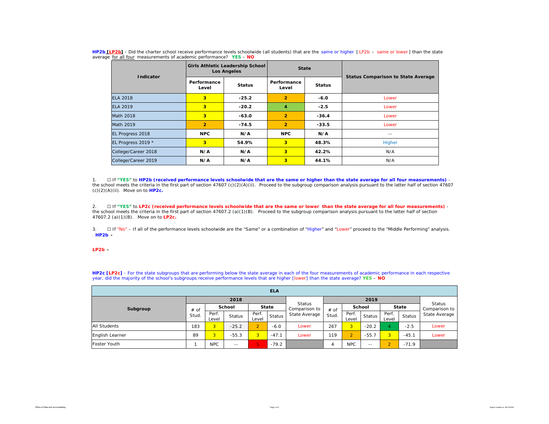| Indicator           |                      | Girls Athletic Leadership School<br><b>Los Angeles</b> | <b>State</b>         |               |                                           |  |  |  |
|---------------------|----------------------|--------------------------------------------------------|----------------------|---------------|-------------------------------------------|--|--|--|
|                     | Performance<br>Level | <b>Status</b>                                          | Performance<br>Level | <b>Status</b> | <b>Status Comparison to State Average</b> |  |  |  |
| <b>ELA 2018</b>     | 3                    | $-25.2$                                                | $\overline{2}$       | $-6.0$        | Lower                                     |  |  |  |
| <b>ELA 2019</b>     | 3                    | $-20.2$                                                | 4                    | $-2.5$        | Lower                                     |  |  |  |
| <b>Math 2018</b>    | 3                    | $-63.0$                                                | $\overline{2}$       | $-36.4$       | Lower                                     |  |  |  |
| Math 2019           | $\overline{2}$       | $-74.5$                                                | $\overline{2}$       | $-33.5$       | Lower                                     |  |  |  |
| EL Progress 2018    | <b>NPC</b>           | N/A                                                    | <b>NPC</b>           | N/A           | $- -$                                     |  |  |  |
| EL Progress 2019 *  | 3                    | 54.9%                                                  | 3                    | 48.3%         | Higher                                    |  |  |  |
| College/Career 2018 | N/A                  | N/A                                                    | 3                    | 42.2%         | N/A                                       |  |  |  |
| College/Career 2019 | N/A                  | N/A                                                    | 3                    | 44.1%         | N/A                                       |  |  |  |

**HP2b [LP2b]** - *Did the charter school receive performance levels schoolwide (all students) that are the same or higher [ LP2b – same or lower ] than the state average for all four measurements of academic performance?* **YES** – **NO**

1. ☐ If **"YES"** to **HP2b (received performance levels schoolwide that are the same or higher than the state average for all four measurements)**  the school meets the criteria in the first part of section 47607 (c)(2)(A)(ii). Proceed to the subgroup comparison analysis pursuant to the latter half of section 47607 (c)(2)(A)(ii). Move on to **HP2c.**

2. ☐ If **"YES"** to **LP2c (received performance levels schoolwide that are the same or lower than the state average for all four measurements)** the school meets the criteria in the first part of section 47607.2 (a)(1)(B). Proceed to the subgroup comparison analysis pursuant to the latter half of section 47607.2 (a)(1)(B). Move on to **LP2c.**

3. □ If "No" – If all of the performance levels schoolwide are the "Same" or a combination of "Higher" and "Lower" proceed to the "Middle Performing" analysis. \* *HP2b -* 

\**LP2b -* 

**HP2c [LP2c]** - For the state subgroups that are performing below the state average in each of the four measurements of academic performance in each respective year, did the majority of the school's subgroups receive performance levels that are higher [lower] than the state average? **YES** – **NO**

| <b>ELA</b>          |       |                |               |                |              |               |       |                |               |                |              |                                          |  |  |
|---------------------|-------|----------------|---------------|----------------|--------------|---------------|-------|----------------|---------------|----------------|--------------|------------------------------------------|--|--|
|                     |       |                | 2018          |                |              | Status        |       |                |               |                |              |                                          |  |  |
| Subgroup            | # of  |                | <b>School</b> |                | <b>State</b> | Comparison to | # of  |                | School        |                | <b>State</b> | Status<br>Comparison to<br>State Average |  |  |
|                     | Stud. | Perf.<br>Level | Status        | Perf.<br>Level | Status       | State Average | Stud. | Perf.<br>Level | Status        | Perf.<br>Level | Status       |                                          |  |  |
| <b>All Students</b> | 183   | 3              | $-25.2$       | $\overline{2}$ | $-6.0$       | Lower         | 267   | 3              | $-20.2$       |                | $-2.5$       | Lower                                    |  |  |
| English Learner     | 89    | 3              | $-55.3$       | 3 <sup>1</sup> | $-47.1$      | Lower         | 119   | $\overline{2}$ | $-55.7$       | 3              | $-45.1$      | Lower                                    |  |  |
| Foster Youth        |       | <b>NPC</b>     | $\sim$ $-$    |                | $-79.2$      |               | 4     | <b>NPC</b>     | $\frac{1}{2}$ | $\sim$         | $-71.9$      |                                          |  |  |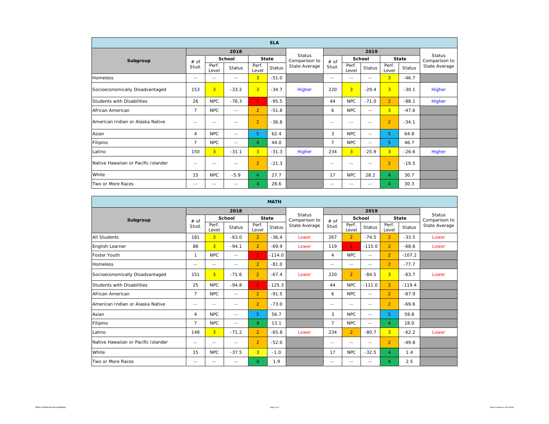| <b>ELA</b>                          |                |                |               |                |               |               |                |                |               |                |               |                                |
|-------------------------------------|----------------|----------------|---------------|----------------|---------------|---------------|----------------|----------------|---------------|----------------|---------------|--------------------------------|
|                                     |                |                | 2018          |                |               | <b>Status</b> |                |                |               |                |               |                                |
| Subgroup                            | # of           |                | School        |                | <b>State</b>  | Comparison to | # of           |                | School        | <b>State</b>   |               | <b>Status</b><br>Comparison to |
|                                     | Stud.          | Perf.<br>Level | <b>Status</b> | Perf.<br>Level | <b>Status</b> | State Average | Stud.          | Perf.<br>Level | <b>Status</b> | Perf.<br>Level | <b>Status</b> | State Average                  |
| Homeless                            | $-$            | $- -$          | $-$           | $\overline{3}$ | $-51.0$       |               | $\frac{1}{2}$  | $= -$          | $= -$         | 3 <sup>1</sup> | $-46.7$       |                                |
| Socioeconomically Disadvantaged     | 153            | 3              | $-33.2$       | $\overline{3}$ | $-34.7$       | Higher        | 220            | 3              | $-29.4$       | $\overline{3}$ | $-30.1$       | Higher                         |
| Students with Disabilities          | 26             | <b>NPC</b>     | $-76.3$       | $\mathbf{1}$   | $-95.5$       |               | 44             | <b>NPC</b>     | $-71.0$       | $\overline{2}$ | $-88.1$       | Higher                         |
| African American                    | $\overline{7}$ | <b>NPC</b>     | $\frac{1}{2}$ | $\overline{2}$ | $-51.8$       |               | 6              | <b>NPC</b>     | $\sim$ $-$    | $\overline{3}$ | $-47.6$       |                                |
| American Indian or Alaska Native    | $\frac{1}{2}$  | $- -$          | $- -$         | $\overline{2}$ | $-36.8$       |               | $- -$          | $\frac{1}{2}$  | $\frac{1}{2}$ | $\overline{2}$ | $-34.1$       |                                |
| Asian                               | $\overline{4}$ | <b>NPC</b>     | $\sim$ $-$    | 5              | 62.4          |               | 3              | <b>NPC</b>     | $\sim$ $-$    | 5.             | 64.8          |                                |
| Filipino                            | $\overline{7}$ | <b>NPC</b>     | $- -$         | $\overline{4}$ | 44.0          |               | $\overline{7}$ | NPC.           | $\frac{1}{2}$ | 5              | 46.7          |                                |
| Latino                              | 150            | $\overline{3}$ | $-31.1$       | $\overline{3}$ | $-31.3$       | <b>Higher</b> | 234            | $\overline{3}$ | $-25.9$       | 3 <sup>1</sup> | $-26.6$       | Higher                         |
| Native Hawaiian or Pacific Islander | $-$            | $- -$          | $-$           | $\overline{2}$ | $-21.3$       |               | $=$ $-$        | $= -$          | $= -$         | $\overline{2}$ | $-19.5$       |                                |
| White                               | 15             | <b>NPC</b>     | $-5.9$        | $\overline{4}$ | 27.7          |               | 17             | <b>NPC</b>     | 28.2          | $\overline{4}$ | 30.7          |                                |
| Two or More Races                   | $\frac{1}{2}$  | $\frac{1}{2}$  | $\frac{1}{2}$ | $\overline{4}$ | 28.6          |               | $\frac{1}{2}$  | $\frac{1}{2}$  | $\frac{1}{2}$ | 4              | 30.3          |                                |

| <b>MATH</b>                         |                |                |               |                |               |                                |                |                |               |                |               |                                |
|-------------------------------------|----------------|----------------|---------------|----------------|---------------|--------------------------------|----------------|----------------|---------------|----------------|---------------|--------------------------------|
|                                     |                |                | 2018          |                |               |                                |                |                |               |                |               |                                |
| Subgroup                            | # of           |                | School        |                | <b>State</b>  | <b>Status</b><br>Comparison to | # of           |                | School        |                | <b>State</b>  | <b>Status</b><br>Comparison to |
|                                     | Stud.          | Perf.<br>Level | <b>Status</b> | Perf.<br>Level | <b>Status</b> | State Average                  | Stud.          | Perf.<br>Level | <b>Status</b> | Perf.<br>Level | <b>Status</b> | State Average                  |
| <b>All Students</b>                 | 181            | $\overline{3}$ | $-63.0$       | $\overline{2}$ | $-36.4$       | Lower                          | 267            | $\overline{2}$ | $-74.5$       | $\overline{2}$ | $-33.5$       | Lower                          |
| English Learner                     | 88             | $\overline{3}$ | $-94.1$       | $\overline{2}$ | $-69.9$       | Lower                          | 119            | 1.             | $-115.0$      | $\overline{2}$ | $-68.6$       | Lower                          |
| <b>Foster Youth</b>                 | $\mathbf{1}$   | <b>NPC</b>     | $-$           | 1.             | $-114.0$      |                                | $\overline{4}$ | <b>NPC</b>     | $\sim$ $-$    | $\overline{2}$ | $-107.2$      |                                |
| Homeless                            | $-$            | $- -$          | $-$           | $\overline{2}$ | $-81.0$       |                                | $\frac{1}{2}$  | $\frac{1}{2}$  | $\frac{1}{2}$ | $\overline{2}$ | $-77.7$       |                                |
| Socioeconomically Disadvantaged     | 151            | $\overline{3}$ | $-71.6$       | $\overline{2}$ | $-67.4$       | Lower                          | 220            | $\overline{2}$ | $-84.5$       | 3 <sup>1</sup> | $-63.7$       | Lower                          |
| Students with Disabilities          | 25             | <b>NPC</b>     | $-94.8$       | $\mathbf{1}$   | $-125.3$      |                                | 44             | <b>NPC</b>     | $-111.0$      | $\overline{2}$ | $-119.4$      |                                |
| African American                    | $\overline{7}$ | <b>NPC</b>     | $\sim$ $-$    | $\overline{2}$ | $-91.5$       |                                | 6              | <b>NPC</b>     | $\sim$ $-$    | $\overline{2}$ | $-87.9$       |                                |
| American Indian or Alaska Native    | $-$            | $\frac{1}{2}$  | $-$           | $\overline{2}$ | $-73.0$       |                                | $\frac{1}{2}$  | $\frac{1}{2}$  | $\frac{1}{2}$ | $\overline{2}$ | $-69.6$       |                                |
| Asian                               | 4              | NPC.           | $-$           | 5              | 56.7          |                                | 3              | NPC.           | $- -$         | 5.             | 59.8          |                                |
| Filipino                            | $\overline{7}$ | <b>NPC</b>     | $-$           | $\overline{4}$ | 13.1          |                                | $\overline{7}$ | <b>NPC</b>     | $- -$         | 4              | 18.0          |                                |
| Latino                              | 148            | $\overline{3}$ | $-71.2$       | $\overline{2}$ | $-65.8$       | Lower                          | 234            | $\overline{2}$ | $-80.7$       | 3 <sup>1</sup> | $-62.2$       | Lower                          |
| Native Hawaiian or Pacific Islander | $-$            | $\frac{1}{2}$  | $-$           | $\overline{2}$ | $-52.0$       |                                | $\frac{1}{2}$  | $\frac{1}{2}$  | $\frac{1}{2}$ | $2^+$          | $-49.8$       |                                |
| White                               | 15             | <b>NPC</b>     | $-37.5$       | $\overline{3}$ | $-1.0$        |                                | 17             | <b>NPC</b>     | $-32.5$       | 4              | 1.4           |                                |
| Two or More Races                   | $- -$          | $\frac{1}{2}$  | --            | 4              | 1.9           |                                | $\frac{1}{2}$  | $- -$          | $- -$         | 4              | 2.5           |                                |